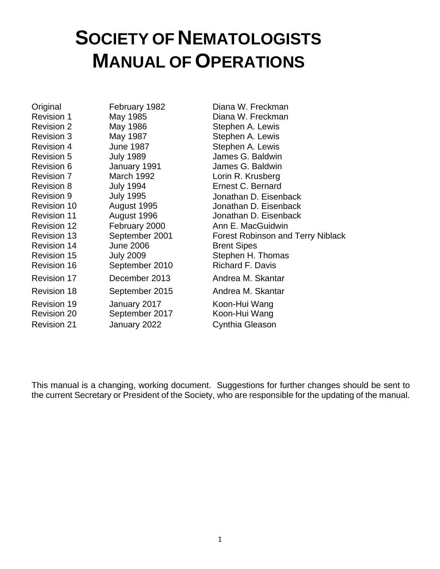# **SOCIETY OF NEMATOLOGISTS MANUAL OF OPERATIONS**

Original February 1982 Diana W. Freckman Revision 1 May 1985 **Diana W. Freckman** Revision 2 May 1986 Stephen A. Lewis Revision 3 May 1987 Stephen A. Lewis Revision 4 June 1987 Stephen A. Lewis Revision 5 July 1989 James G. Baldwin Revision 6 **January 1991** James G. Baldwin Revision 7 March 1992 Lorin R. Krusberg Revision 8 July 1994 **Ernest C. Bernard** Revision 9 Revision 10 July 1995 August 1995 Revision 11 **August 1996** Jonathan D. Eisenback Revision 12 February 2000 Ann E. MacGuidwin Revision 14 June 2006 Brent Sipes Revision 15 July 2009 Stephen H. Thomas Revision 16 September 2010 Richard F. Davis Revision 17 December 2013 Andrea M. Skantar Revision 18 **September 2015** Andrea M. Skantar Revision 19 Revision 20 January 2017 September 2017 Revision 21 **January 2022** Cynthia Gleason

Jonathan D. Eisenback Jonathan D. Eisenback Revision 13 September 2001 Forest Robinson and Terry Niblack Koon-Hui Wang Koon-Hui Wang

This manual is a changing, working document. Suggestions for further changes should be sent to the current Secretary or President of the Society, who are responsible for the updating of the manual.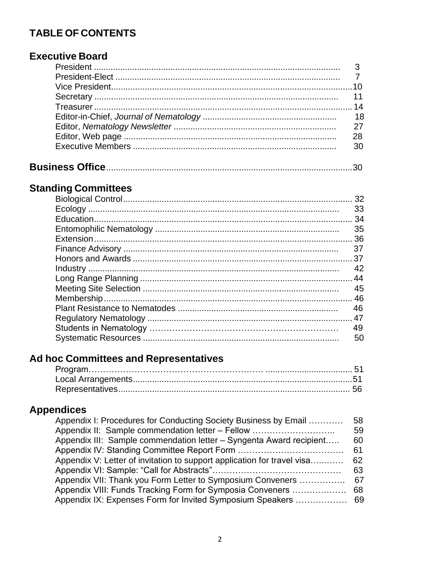# **TABLE OF CONTENTS**

# **Executive Board**

| 27 |
|----|
| 28 |
| 30 |
|    |

# **Standing Committees**

| 33  |
|-----|
| -34 |
| 35  |
|     |
| 37  |
|     |
| 42  |
| 44  |
| 45  |
|     |
| 46  |
|     |
| 49  |
| 50  |
|     |

# Ad hoc Committees and Representatives

# **Appendices**

| Appendix I: Procedures for Conducting Society Business by Email         | 58  |
|-------------------------------------------------------------------------|-----|
| Appendix II: Sample commendation letter – Fellow                        | 59  |
| Appendix III: Sample commendation letter - Syngenta Award recipient     | 60  |
|                                                                         | 61  |
| Appendix V: Letter of invitation to support application for travel visa | 62  |
|                                                                         | 63  |
| Appendix VII: Thank you Form Letter to Symposium Conveners              | 67  |
| Appendix VIII: Funds Tracking Form for Symposia Conveners               | 68  |
| Appendix IX: Expenses Form for Invited Symposium Speakers               | -69 |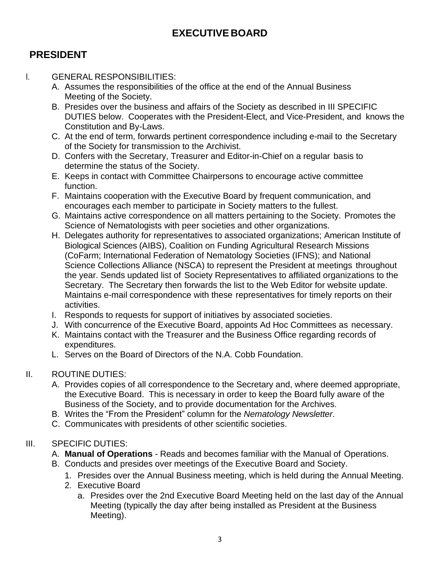# **EXECUTIVE BOARD**

# **PRESIDENT**

#### I. GENERAL RESPONSIBILITIES:

- A. Assumes the responsibilities of the office at the end of the Annual Business Meeting of the Society.
- B. Presides over the business and affairs of the Society as described in III SPECIFIC DUTIES below. Cooperates with the President-Elect, and Vice-President, and knows the Constitution and By-Laws.
- C. At the end of term, forwards pertinent correspondence including e-mail to the Secretary of the Society for transmission to the Archivist.
- D. Confers with the Secretary, Treasurer and Editor-in-Chief on a regular basis to determine the status of the Society.
- E. Keeps in contact with Committee Chairpersons to encourage active committee function.
- F. Maintains cooperation with the Executive Board by frequent communication, and encourages each member to participate in Society matters to the fullest.
- G. Maintains active correspondence on all matters pertaining to the Society. Promotes the Science of Nematologists with peer societies and other organizations.
- H. Delegates authority for representatives to associated organizations; American Institute of Biological Sciences (AIBS), Coalition on Funding Agricultural Research Missions (CoFarm; International Federation of Nematology Societies (IFNS); and National Science Collections Alliance (NSCA) to represent the President at meetings throughout the year. Sends updated list of Society Representatives to affiliated organizations to the Secretary. The Secretary then forwards the list to the Web Editor for website update. Maintains e-mail correspondence with these representatives for timely reports on their activities.
- I. Responds to requests for support of initiatives by associated societies.
- J. With concurrence of the Executive Board, appoints Ad Hoc Committees as necessary.
- K. Maintains contact with the Treasurer and the Business Office regarding records of expenditures.
- L. Serves on the Board of Directors of the N.A. Cobb Foundation.

#### II. ROUTINE DUTIES:

- A. Provides copies of all correspondence to the Secretary and, where deemed appropriate, the Executive Board. This is necessary in order to keep the Board fully aware of the Business of the Society, and to provide documentation for the Archives.
- B. Writes the "From the President" column for the *Nematology Newsletter*.
- C. Communicates with presidents of other scientific societies.

#### III. SPECIFIC DUTIES:

- A. **Manual of Operations** Reads and becomes familiar with the Manual of Operations.
- B. Conducts and presides over meetings of the Executive Board and Society.
	- 1. Presides over the Annual Business meeting, which is held during the Annual Meeting.
	- 2. Executive Board
		- a. Presides over the 2nd Executive Board Meeting held on the last day of the Annual Meeting (typically the day after being installed as President at the Business Meeting).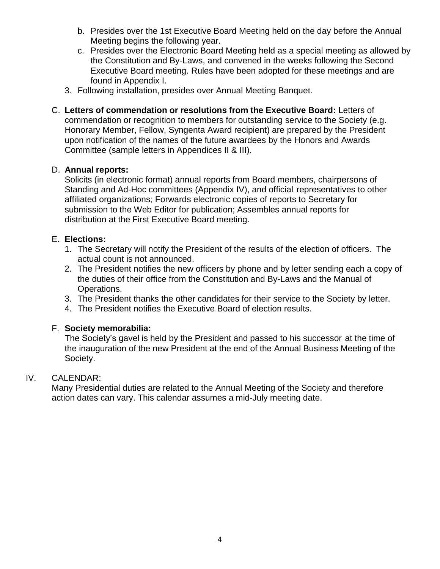- b. Presides over the 1st Executive Board Meeting held on the day before the Annual Meeting begins the following year.
- c. Presides over the Electronic Board Meeting held as a special meeting as allowed by the Constitution and By-Laws, and convened in the weeks following the Second Executive Board meeting. Rules have been adopted for these meetings and are found in Appendix I.
- 3. Following installation, presides over Annual Meeting Banquet.
- C. **Letters of commendation or resolutions from the Executive Board:** Letters of commendation or recognition to members for outstanding service to the Society (e.g. Honorary Member, Fellow, Syngenta Award recipient) are prepared by the President upon notification of the names of the future awardees by the Honors and Awards Committee (sample letters in Appendices II & III).

#### D. **Annual reports:**

Solicits (in electronic format) annual reports from Board members, chairpersons of Standing and Ad-Hoc committees (Appendix IV), and official representatives to other affiliated organizations; Forwards electronic copies of reports to Secretary for submission to the Web Editor for publication; Assembles annual reports for distribution at the First Executive Board meeting.

#### E. **Elections:**

- 1. The Secretary will notify the President of the results of the election of officers. The actual count is not announced.
- 2. The President notifies the new officers by phone and by letter sending each a copy of the duties of their office from the Constitution and By-Laws and the Manual of Operations.
- 3. The President thanks the other candidates for their service to the Society by letter.
- 4. The President notifies the Executive Board of election results.

#### F. **Society memorabilia:**

The Society's gavel is held by the President and passed to his successor at the time of the inauguration of the new President at the end of the Annual Business Meeting of the Society.

#### IV. CALENDAR:

Many Presidential duties are related to the Annual Meeting of the Society and therefore action dates can vary. This calendar assumes a mid-July meeting date.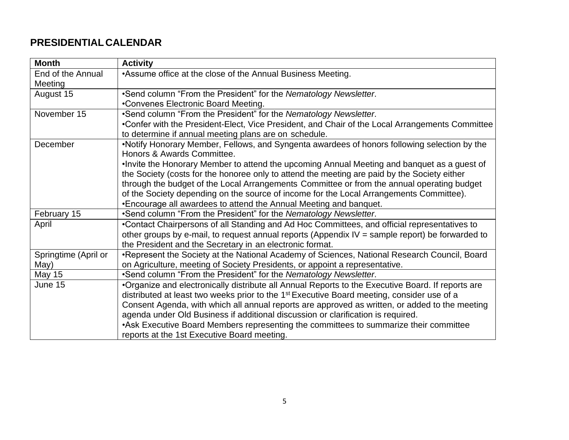# **PRESIDENTIAL CALENDAR**

| <b>Month</b>                 | <b>Activity</b>                                                                                        |
|------------------------------|--------------------------------------------------------------------------------------------------------|
| End of the Annual<br>Meeting | *Assume office at the close of the Annual Business Meeting.                                            |
| August 15                    | •Send column "From the President" for the Nematology Newsletter.                                       |
|                              | •Convenes Electronic Board Meeting.                                                                    |
| November 15                  | •Send column "From the President" for the Nematology Newsletter.                                       |
|                              | •Confer with the President-Elect, Vice President, and Chair of the Local Arrangements Committee        |
|                              | to determine if annual meeting plans are on schedule.                                                  |
| December                     | •Notify Honorary Member, Fellows, and Syngenta awardees of honors following selection by the           |
|                              | Honors & Awards Committee.                                                                             |
|                              | . Invite the Honorary Member to attend the upcoming Annual Meeting and banquet as a guest of           |
|                              | the Society (costs for the honoree only to attend the meeting are paid by the Society either           |
|                              | through the budget of the Local Arrangements Committee or from the annual operating budget             |
|                              | of the Society depending on the source of income for the Local Arrangements Committee).                |
|                              | •Encourage all awardees to attend the Annual Meeting and banquet.                                      |
| February 15                  | .Send column "From the President" for the Nematology Newsletter.                                       |
| April                        | •Contact Chairpersons of all Standing and Ad Hoc Committees, and official representatives to           |
|                              | other groups by e-mail, to request annual reports (Appendix IV = sample report) be forwarded to        |
|                              | the President and the Secretary in an electronic format.                                               |
| Springtime (April or         | •Represent the Society at the National Academy of Sciences, National Research Council, Board           |
| May)                         | on Agriculture, meeting of Society Presidents, or appoint a representative.                            |
| May 15                       | .Send column "From the President" for the Nematology Newsletter.                                       |
| June 15                      | •Organize and electronically distribute all Annual Reports to the Executive Board. If reports are      |
|                              | distributed at least two weeks prior to the 1 <sup>st</sup> Executive Board meeting, consider use of a |
|                              | Consent Agenda, with which all annual reports are approved as written, or added to the meeting         |
|                              | agenda under Old Business if additional discussion or clarification is required.                       |
|                              | • Ask Executive Board Members representing the committees to summarize their committee                 |
|                              | reports at the 1st Executive Board meeting.                                                            |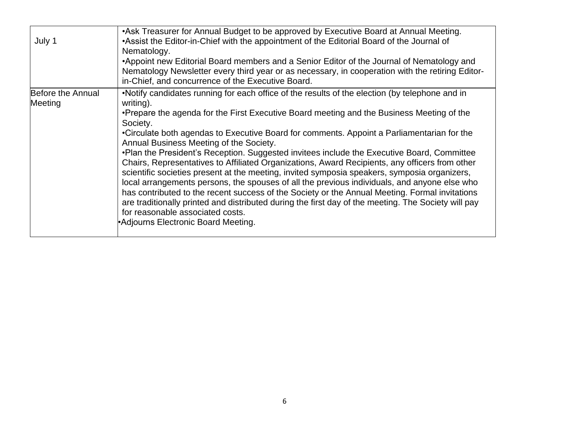| July 1                       | • Ask Treasurer for Annual Budget to be approved by Executive Board at Annual Meeting.<br>• Assist the Editor-in-Chief with the appointment of the Editorial Board of the Journal of<br>Nematology.<br>•Appoint new Editorial Board members and a Senior Editor of the Journal of Nematology and<br>Nematology Newsletter every third year or as necessary, in cooperation with the retiring Editor-<br>in-Chief, and concurrence of the Executive Board.                                                                                                                                                                                                                                                                                                                                                                                                                                                                                                                                                                                         |
|------------------------------|---------------------------------------------------------------------------------------------------------------------------------------------------------------------------------------------------------------------------------------------------------------------------------------------------------------------------------------------------------------------------------------------------------------------------------------------------------------------------------------------------------------------------------------------------------------------------------------------------------------------------------------------------------------------------------------------------------------------------------------------------------------------------------------------------------------------------------------------------------------------------------------------------------------------------------------------------------------------------------------------------------------------------------------------------|
| Before the Annual<br>Meeting | •Notify candidates running for each office of the results of the election (by telephone and in<br>writing).<br>•Prepare the agenda for the First Executive Board meeting and the Business Meeting of the<br>Society.<br>•Circulate both agendas to Executive Board for comments. Appoint a Parliamentarian for the<br>Annual Business Meeting of the Society.<br>•Plan the President's Reception. Suggested invitees include the Executive Board, Committee<br>Chairs, Representatives to Affiliated Organizations, Award Recipients, any officers from other<br>scientific societies present at the meeting, invited symposia speakers, symposia organizers,<br>local arrangements persons, the spouses of all the previous individuals, and anyone else who<br>has contributed to the recent success of the Society or the Annual Meeting. Formal invitations<br>are traditionally printed and distributed during the first day of the meeting. The Society will pay<br>for reasonable associated costs.<br>•Adjourns Electronic Board Meeting. |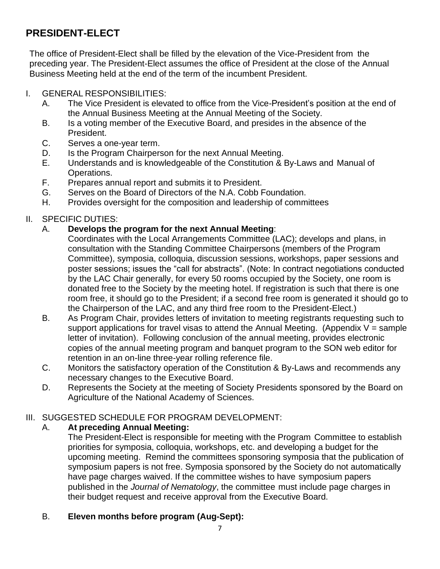# **PRESIDENT-ELECT**

The office of President-Elect shall be filled by the elevation of the Vice-President from the preceding year. The President-Elect assumes the office of President at the close of the Annual Business Meeting held at the end of the term of the incumbent President.

#### I. GENERAL RESPONSIBILITIES:

- A. The Vice President is elevated to office from the Vice-President's position at the end of the Annual Business Meeting at the Annual Meeting of the Society.
- B. Is a voting member of the Executive Board, and presides in the absence of the President.
- C. Serves a one-year term.
- D. Is the Program Chairperson for the next Annual Meeting.
- E. Understands and is knowledgeable of the Constitution & By-Laws and Manual of Operations.
- F. Prepares annual report and submits it to President.
- G. Serves on the Board of Directors of the N.A. Cobb Foundation.
- H. Provides oversight for the composition and leadership of committees

### II. SPECIFIC DUTIES:

### A. **Develops the program for the next Annual Meeting**:

- Coordinates with the Local Arrangements Committee (LAC); develops and plans, in consultation with the Standing Committee Chairpersons (members of the Program Committee), symposia, colloquia, discussion sessions, workshops, paper sessions and poster sessions; issues the "call for abstracts". (Note: In contract negotiations conducted by the LAC Chair generally, for every 50 rooms occupied by the Society, one room is donated free to the Society by the meeting hotel. If registration is such that there is one room free, it should go to the President; if a second free room is generated it should go to the Chairperson of the LAC, and any third free room to the President-Elect.)
- B. As Program Chair, provides letters of invitation to meeting registrants requesting such to support applications for travel visas to attend the Annual Meeting. (Appendix  $V =$  sample letter of invitation). Following conclusion of the annual meeting, provides electronic copies of the annual meeting program and banquet program to the SON web editor for retention in an on-line three-year rolling reference file.
- C. Monitors the satisfactory operation of the Constitution & By-Laws and recommends any necessary changes to the Executive Board.
- D. Represents the Society at the meeting of Society Presidents sponsored by the Board on Agriculture of the National Academy of Sciences.

### III. SUGGESTED SCHEDULE FOR PROGRAM DEVELOPMENT:

### A. **At preceding Annual Meeting:**

The President-Elect is responsible for meeting with the Program Committee to establish priorities for symposia, colloquia, workshops, etc. and developing a budget for the upcoming meeting. Remind the committees sponsoring symposia that the publication of symposium papers is not free. Symposia sponsored by the Society do not automatically have page charges waived. If the committee wishes to have symposium papers published in the *Journal of Nematology*, the committee must include page charges in their budget request and receive approval from the Executive Board.

### B. **Eleven months before program (Aug-Sept):**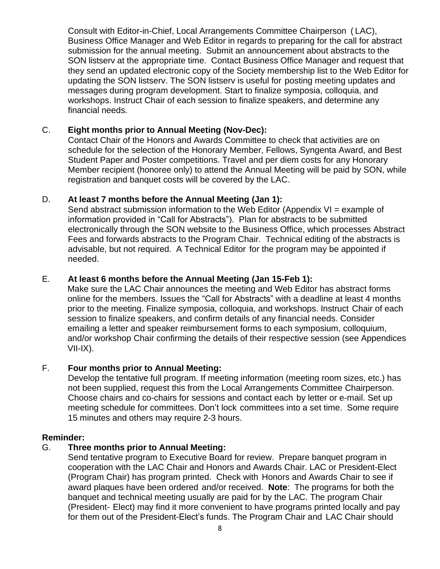Consult with Editor-in-Chief, Local Arrangements Committee Chairperson ( LAC), Business Office Manager and Web Editor in regards to preparing for the call for abstract submission for the annual meeting. Submit an announcement about abstracts to the SON listserv at the appropriate time. Contact Business Office Manager and request that they send an updated electronic copy of the Society membership list to the Web Editor for updating the SON listserv. The SON listserv is useful for posting meeting updates and messages during program development. Start to finalize symposia, colloquia, and workshops. Instruct Chair of each session to finalize speakers, and determine any financial needs.

#### C. **Eight months prior to Annual Meeting (Nov-Dec):**

Contact Chair of the Honors and Awards Committee to check that activities are on schedule for the selection of the Honorary Member, Fellows, Syngenta Award, and Best Student Paper and Poster competitions. Travel and per diem costs for any Honorary Member recipient (honoree only) to attend the Annual Meeting will be paid by SON, while registration and banquet costs will be covered by the LAC.

#### D. **At least 7 months before the Annual Meeting (Jan 1):**

Send abstract submission information to the Web Editor (Appendix VI = example of information provided in "Call for Abstracts"). Plan for abstracts to be submitted electronically through the SON website to the Business Office, which processes Abstract Fees and forwards abstracts to the Program Chair. Technical editing of the abstracts is advisable, but not required. A Technical Editor for the program may be appointed if needed.

#### E. **At least 6 months before the Annual Meeting (Jan 15-Feb 1):**

Make sure the LAC Chair announces the meeting and Web Editor has abstract forms online for the members. Issues the "Call for Abstracts" with a deadline at least 4 months prior to the meeting. Finalize symposia, colloquia, and workshops. Instruct Chair of each session to finalize speakers, and confirm details of any financial needs. Consider emailing a letter and speaker reimbursement forms to each symposium, colloquium, and/or workshop Chair confirming the details of their respective session (see Appendices VII-IX).

#### F. **Four months prior to Annual Meeting:**

Develop the tentative full program. If meeting information (meeting room sizes, etc.) has not been supplied, request this from the Local Arrangements Committee Chairperson. Choose chairs and co-chairs for sessions and contact each by letter or e-mail. Set up meeting schedule for committees. Don't lock committees into a set time. Some require 15 minutes and others may require 2-3 hours.

#### **Reminder:**

#### G. **Three months prior to Annual Meeting:**

Send tentative program to Executive Board for review. Prepare banquet program in cooperation with the LAC Chair and Honors and Awards Chair. LAC or President-Elect (Program Chair) has program printed. Check with Honors and Awards Chair to see if award plaques have been ordered and/or received. **Note**: The programs for both the banquet and technical meeting usually are paid for by the LAC. The program Chair (President- Elect) may find it more convenient to have programs printed locally and pay for them out of the President-Elect's funds. The Program Chair and LAC Chair should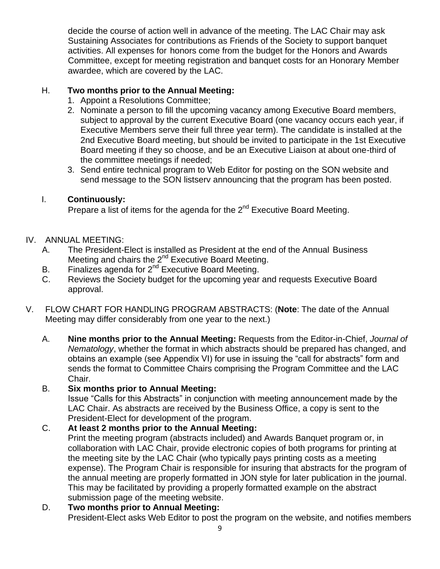decide the course of action well in advance of the meeting. The LAC Chair may ask Sustaining Associates for contributions as Friends of the Society to support banquet activities. All expenses for honors come from the budget for the Honors and Awards Committee, except for meeting registration and banquet costs for an Honorary Member awardee, which are covered by the LAC.

#### H. **Two months prior to the Annual Meeting:**

- 1. Appoint a Resolutions Committee;
- 2. Nominate a person to fill the upcoming vacancy among Executive Board members, subject to approval by the current Executive Board (one vacancy occurs each year, if Executive Members serve their full three year term). The candidate is installed at the 2nd Executive Board meeting, but should be invited to participate in the 1st Executive Board meeting if they so choose, and be an Executive Liaison at about one-third of the committee meetings if needed;
- 3. Send entire technical program to Web Editor for posting on the SON website and send message to the SON listserv announcing that the program has been posted.

#### I. **Continuously:**

Prepare a list of items for the agenda for the  $2^{nd}$  Executive Board Meeting.

#### IV. ANNUAL MEETING:

- A. The President-Elect is installed as President at the end of the Annual Business Meeting and chairs the 2<sup>nd</sup> Executive Board Meeting.
- B. Finalizes agenda for 2<sup>nd</sup> Executive Board Meeting.
- C. Reviews the Society budget for the upcoming year and requests Executive Board approval.
- V. FLOW CHART FOR HANDLING PROGRAM ABSTRACTS: (**Note**: The date of the Annual Meeting may differ considerably from one year to the next.)
	- A. **Nine months prior to the Annual Meeting:** Requests from the Editor-in-Chief, *Journal of Nematology*, whether the format in which abstracts should be prepared has changed, and obtains an example (see Appendix VI) for use in issuing the "call for abstracts" form and sends the format to Committee Chairs comprising the Program Committee and the LAC Chair.

#### B. **Six months prior to Annual Meeting:**

Issue "Calls for this Abstracts" in conjunction with meeting announcement made by the LAC Chair. As abstracts are received by the Business Office, a copy is sent to the President-Elect for development of the program.

### C. **At least 2 months prior to the Annual Meeting:**

Print the meeting program (abstracts included) and Awards Banquet program or, in collaboration with LAC Chair, provide electronic copies of both programs for printing at the meeting site by the LAC Chair (who typically pays printing costs as a meeting expense). The Program Chair is responsible for insuring that abstracts for the program of the annual meeting are properly formatted in JON style for later publication in the journal. This may be facilitated by providing a properly formatted example on the abstract submission page of the meeting website.

#### D. **Two months prior to Annual Meeting:**

President-Elect asks Web Editor to post the program on the website, and notifies members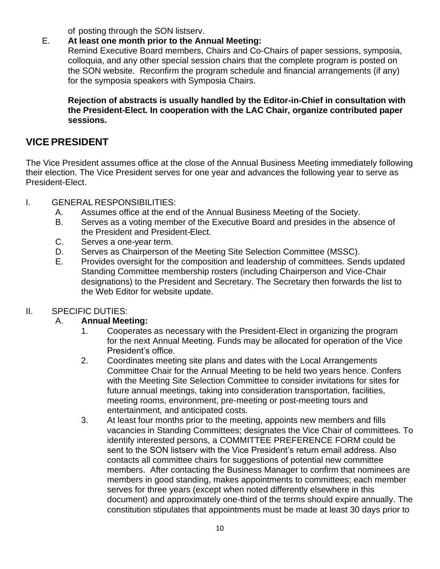of posting through the SON listserv.

#### E. **At least one month prior to the Annual Meeting:**

Remind Executive Board members, Chairs and Co-Chairs of paper sessions, symposia, colloquia, and any other special session chairs that the complete program is posted on the SON website. Reconfirm the program schedule and financial arrangements (if any) for the symposia speakers with Symposia Chairs.

**Rejection of abstracts is usually handled by the Editor-in-Chief in consultation with the President-Elect. In cooperation with the LAC Chair, organize contributed paper sessions.**

# <span id="page-9-0"></span>**VICEPRESIDENT**

The Vice President assumes office at the close of the Annual Business Meeting immediately following their election. The Vice President serves for one year and advances the following year to serve as President-Elect.

- I. GENERAL RESPONSIBILITIES:
	- A. Assumes office at the end of the Annual Business Meeting of the Society.
	- B. Serves as a voting member of the Executive Board and presides in the absence of the President and President-Elect.
	- C. Serves a one-year term.
	- D. Serves as Chairperson of the Meeting Site Selection Committee (MSSC).
	- E. Provides oversight for the composition and leadership of committees. Sends updated Standing Committee membership rosters (including Chairperson and Vice-Chair designations) to the President and Secretary. The Secretary then forwards the list to the Web Editor for website update.

### II. SPECIFIC DUTIES:

### A. **Annual Meeting:**

- 1. Cooperates as necessary with the President-Elect in organizing the program for the next Annual Meeting. Funds may be allocated for operation of the Vice President's office.
- 2. Coordinates meeting site plans and dates with the Local Arrangements Committee Chair for the Annual Meeting to be held two years hence. Confers with the Meeting Site Selection Committee to consider invitations for sites for future annual meetings, taking into consideration transportation, facilities, meeting rooms, environment, pre-meeting or post-meeting tours and entertainment, and anticipated costs.
- 3. At least four months prior to the meeting, appoints new members and fills vacancies in Standing Committees; designates the Vice Chair of committees. To identify interested persons, a COMMITTEE PREFERENCE FORM could be sent to the SON listserv with the Vice President's return email address. Also contacts all committee chairs for suggestions of potential new committee members. After contacting the Business Manager to confirm that nominees are members in good standing, makes appointments to committees; each member serves for three years (except when noted differently elsewhere in this document) and approximately one-third of the terms should expire annually. The constitution stipulates that appointments must be made at least 30 days prior to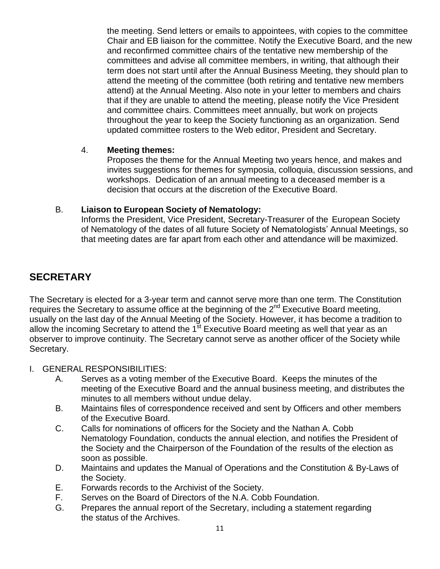the meeting. Send letters or emails to appointees, with copies to the committee Chair and EB liaison for the committee. Notify the Executive Board, and the new and reconfirmed committee chairs of the tentative new membership of the committees and advise all committee members, in writing, that although their term does not start until after the Annual Business Meeting, they should plan to attend the meeting of the committee (both retiring and tentative new members attend) at the Annual Meeting. Also note in your letter to members and chairs that if they are unable to attend the meeting, please notify the Vice President and committee chairs. Committees meet annually, but work on projects throughout the year to keep the Society functioning as an organization. Send updated committee rosters to the Web editor, President and Secretary.

#### 4. **Meeting themes:**

<span id="page-10-0"></span>Proposes the theme for the Annual Meeting two years hence, and makes and invites suggestions for themes for symposia, colloquia, discussion sessions, and workshops. Dedication of an annual meeting to a deceased member is a decision that occurs at the discretion of the Executive Board.

#### B. **Liaison to European Society of Nematology:**

Informs the President, Vice President, Secretary-Treasurer of the European Society of Nematology of the dates of all future Society of Nematologists' Annual Meetings, so that meeting dates are far apart from each other and attendance will be maximized.

# **SECRETARY**

The Secretary is elected for a 3-year term and cannot serve more than one term. The Constitution requires the Secretary to assume office at the beginning of the 2<sup>nd</sup> Executive Board meeting, usually on the last day of the Annual Meeting of the Society. However, it has become a tradition to allow the incoming Secretary to attend the 1<sup>st</sup> Executive Board meeting as well that year as an observer to improve continuity. The Secretary cannot serve as another officer of the Society while Secretary.

- I. GENERAL RESPONSIBILITIES:
	- A. Serves as a voting member of the Executive Board. Keeps the minutes of the meeting of the Executive Board and the annual business meeting, and distributes the minutes to all members without undue delay.
	- B. Maintains files of correspondence received and sent by Officers and other members of the Executive Board.
	- C. Calls for nominations of officers for the Society and the Nathan A. Cobb Nematology Foundation, conducts the annual election, and notifies the President of the Society and the Chairperson of the Foundation of the results of the election as soon as possible.
	- D. Maintains and updates the Manual of Operations and the Constitution & By-Laws of the Society.
	- E. Forwards records to the Archivist of the Society.
	- F. Serves on the Board of Directors of the N.A. Cobb Foundation.
	- G. Prepares the annual report of the Secretary, including a statement regarding the status of the Archives.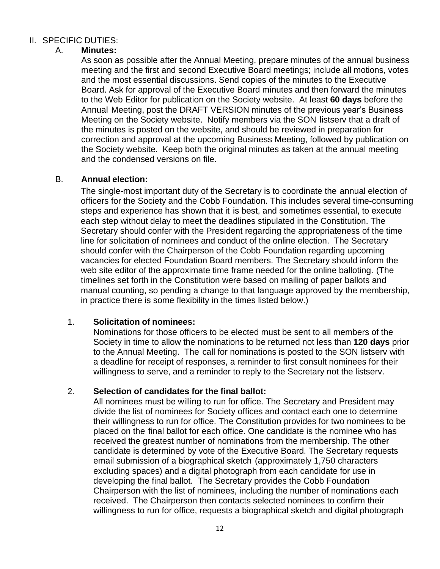#### II. SPECIFIC DUTIES:

#### A. **Minutes:**

As soon as possible after the Annual Meeting, prepare minutes of the annual business meeting and the first and second Executive Board meetings; include all motions, votes and the most essential discussions. Send copies of the minutes to the Executive Board. Ask for approval of the Executive Board minutes and then forward the minutes to the Web Editor for publication on the Society website. At least **60 days** before the Annual Meeting, post the DRAFT VERSION minutes of the previous year's Business Meeting on the Society website. Notify members via the SON listserv that a draft of the minutes is posted on the website, and should be reviewed in preparation for correction and approval at the upcoming Business Meeting, followed by publication on the Society website. Keep both the original minutes as taken at the annual meeting and the condensed versions on file.

#### B. **Annual election:**

The single-most important duty of the Secretary is to coordinate the annual election of officers for the Society and the Cobb Foundation. This includes several time-consuming steps and experience has shown that it is best, and sometimes essential, to execute each step without delay to meet the deadlines stipulated in the Constitution. The Secretary should confer with the President regarding the appropriateness of the time line for solicitation of nominees and conduct of the online election. The Secretary should confer with the Chairperson of the Cobb Foundation regarding upcoming vacancies for elected Foundation Board members. The Secretary should inform the web site editor of the approximate time frame needed for the online balloting. (The timelines set forth in the Constitution were based on mailing of paper ballots and manual counting, so pending a change to that language approved by the membership, in practice there is some flexibility in the times listed below.)

#### 1. **Solicitation of nominees:**

Nominations for those officers to be elected must be sent to all members of the Society in time to allow the nominations to be returned not less than **120 days** prior to the Annual Meeting. The call for nominations is posted to the SON listserv with a deadline for receipt of responses, a reminder to first consult nominees for their willingness to serve, and a reminder to reply to the Secretary not the listserv.

#### 2. **Selection of candidates for the final ballot:**

All nominees must be willing to run for office. The Secretary and President may divide the list of nominees for Society offices and contact each one to determine their willingness to run for office. The Constitution provides for two nominees to be placed on the final ballot for each office. One candidate is the nominee who has received the greatest number of nominations from the membership. The other candidate is determined by vote of the Executive Board. The Secretary requests email submission of a biographical sketch (approximately 1,750 characters excluding spaces) and a digital photograph from each candidate for use in developing the final ballot. The Secretary provides the Cobb Foundation Chairperson with the list of nominees, including the number of nominations each received. The Chairperson then contacts selected nominees to confirm their willingness to run for office, requests a biographical sketch and digital photograph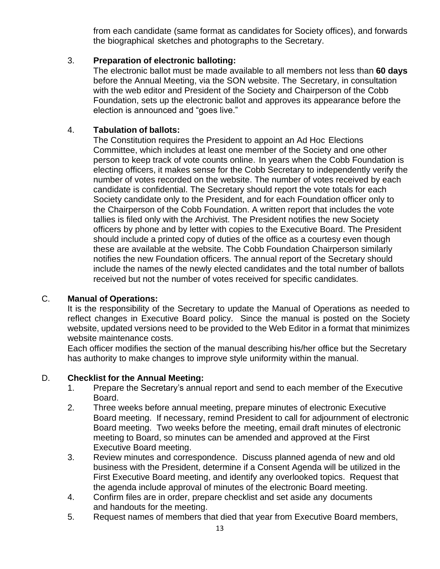from each candidate (same format as candidates for Society offices), and forwards the biographical sketches and photographs to the Secretary.

#### 3. **Preparation of electronic balloting:**

The electronic ballot must be made available to all members not less than **60 days** before the Annual Meeting, via the SON website. The Secretary, in consultation with the web editor and President of the Society and Chairperson of the Cobb Foundation, sets up the electronic ballot and approves its appearance before the election is announced and "goes live."

#### 4. **Tabulation of ballots:**

The Constitution requires the President to appoint an Ad Hoc Elections Committee, which includes at least one member of the Society and one other person to keep track of vote counts online. In years when the Cobb Foundation is electing officers, it makes sense for the Cobb Secretary to independently verify the number of votes recorded on the website. The number of votes received by each candidate is confidential. The Secretary should report the vote totals for each Society candidate only to the President, and for each Foundation officer only to the Chairperson of the Cobb Foundation. A written report that includes the vote tallies is filed only with the Archivist. The President notifies the new Society officers by phone and by letter with copies to the Executive Board. The President should include a printed copy of duties of the office as a courtesy even though these are available at the website. The Cobb Foundation Chairperson similarly notifies the new Foundation officers. The annual report of the Secretary should include the names of the newly elected candidates and the total number of ballots received but not the number of votes received for specific candidates.

#### C. **Manual of Operations:**

It is the responsibility of the Secretary to update the Manual of Operations as needed to reflect changes in Executive Board policy. Since the manual is posted on the Society website, updated versions need to be provided to the Web Editor in a format that minimizes website maintenance costs.

Each officer modifies the section of the manual describing his/her office but the Secretary has authority to make changes to improve style uniformity within the manual.

#### D. **Checklist for the Annual Meeting:**

- 1. Prepare the Secretary's annual report and send to each member of the Executive Board.
- 2. Three weeks before annual meeting, prepare minutes of electronic Executive Board meeting. If necessary, remind President to call for adjournment of electronic Board meeting. Two weeks before the meeting, email draft minutes of electronic meeting to Board, so minutes can be amended and approved at the First Executive Board meeting.
- 3. Review minutes and correspondence. Discuss planned agenda of new and old business with the President, determine if a Consent Agenda will be utilized in the First Executive Board meeting, and identify any overlooked topics. Request that the agenda include approval of minutes of the electronic Board meeting.
- 4. Confirm files are in order, prepare checklist and set aside any documents and handouts for the meeting.
- 5. Request names of members that died that year from Executive Board members,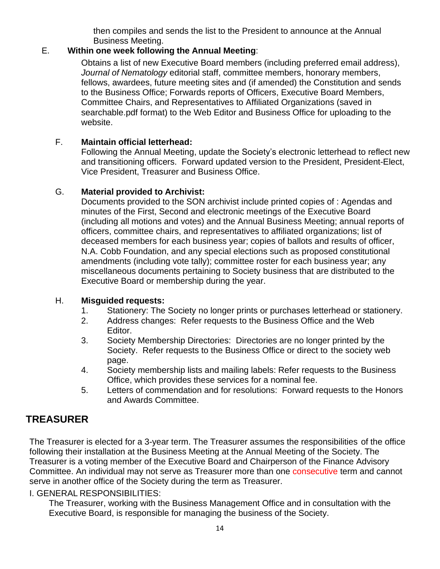then compiles and sends the list to the President to announce at the Annual Business Meeting.

#### E. **Within one week following the Annual Meeting**:

Obtains a list of new Executive Board members (including preferred email address), *Journal of Nematology* editorial staff, committee members, honorary members, fellows, awardees, future meeting sites and (if amended) the Constitution and sends to the Business Office; Forwards reports of Officers, Executive Board Members, Committee Chairs, and Representatives to Affiliated Organizations (saved in searchable.pdf format) to the Web Editor and Business Office for uploading to the website.

#### F. **Maintain official letterhead:**

Following the Annual Meeting, update the Society's electronic letterhead to reflect new and transitioning officers. Forward updated version to the President, President-Elect, Vice President, Treasurer and Business Office.

#### G. **Material provided to Archivist:**

Documents provided to the SON archivist include printed copies of : Agendas and minutes of the First, Second and electronic meetings of the Executive Board (including all motions and votes) and the Annual Business Meeting; annual reports of officers, committee chairs, and representatives to affiliated organizations; list of deceased members for each business year; copies of ballots and results of officer, N.A. Cobb Foundation, and any special elections such as proposed constitutional amendments (including vote tally); committee roster for each business year; any miscellaneous documents pertaining to Society business that are distributed to the Executive Board or membership during the year.

#### H. **Misguided requests:**

- 1. Stationery: The Society no longer prints or purchases letterhead or stationery.
- 2. Address changes: Refer requests to the Business Office and the Web Editor.
- 3. Society Membership Directories: Directories are no longer printed by the Society. Refer requests to the Business Office or direct to the society web page.
- 4. Society membership lists and mailing labels: Refer requests to the Business Office, which provides these services for a nominal fee.
- 5. Letters of commendation and for resolutions: Forward requests to the Honors and Awards Committee.

# <span id="page-13-0"></span>**TREASURER**

The Treasurer is elected for a 3-year term. The Treasurer assumes the responsibilities of the office following their installation at the Business Meeting at the Annual Meeting of the Society. The Treasurer is a voting member of the Executive Board and Chairperson of the Finance Advisory Committee. An individual may not serve as Treasurer more than one consecutive term and cannot serve in another office of the Society during the term as Treasurer.

#### I. GENERAL RESPONSIBILITIES:

The Treasurer, working with the Business Management Office and in consultation with the Executive Board, is responsible for managing the business of the Society.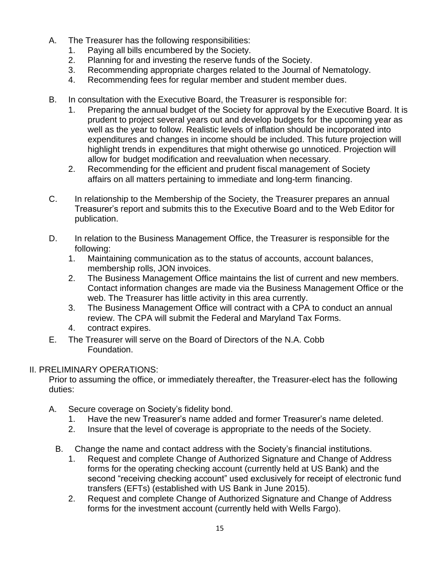- A. The Treasurer has the following responsibilities:
	- 1. Paying all bills encumbered by the Society.
	- 2. Planning for and investing the reserve funds of the Society.
	- 3. Recommending appropriate charges related to the Journal of Nematology.
	- 4. Recommending fees for regular member and student member dues.
- B. In consultation with the Executive Board, the Treasurer is responsible for:
	- 1. Preparing the annual budget of the Society for approval by the Executive Board. It is prudent to project several years out and develop budgets for the upcoming year as well as the year to follow. Realistic levels of inflation should be incorporated into expenditures and changes in income should be included. This future projection will highlight trends in expenditures that might otherwise go unnoticed. Projection will allow for budget modification and reevaluation when necessary.
	- 2. Recommending for the efficient and prudent fiscal management of Society affairs on all matters pertaining to immediate and long-term financing.
- C. In relationship to the Membership of the Society, the Treasurer prepares an annual Treasurer's report and submits this to the Executive Board and to the Web Editor for publication.
- D. In relation to the Business Management Office, the Treasurer is responsible for the following:
	- 1. Maintaining communication as to the status of accounts, account balances, membership rolls, JON invoices.
	- 2. The Business Management Office maintains the list of current and new members. Contact information changes are made via the Business Management Office or the web. The Treasurer has little activity in this area currently.
	- 3. The Business Management Office will contract with a CPA to conduct an annual review. The CPA will submit the Federal and Maryland Tax Forms.
	- 4. contract expires.
- E. The Treasurer will serve on the Board of Directors of the N.A. Cobb Foundation.

### II. PRELIMINARY OPERATIONS:

Prior to assuming the office, or immediately thereafter, the Treasurer-elect has the following duties:

- A. Secure coverage on Society's fidelity bond.
	- 1. Have the new Treasurer's name added and former Treasurer's name deleted.
	- 2. Insure that the level of coverage is appropriate to the needs of the Society.
	- B. Change the name and contact address with the Society's financial institutions.
		- 1. Request and complete Change of Authorized Signature and Change of Address forms for the operating checking account (currently held at US Bank) and the second "receiving checking account" used exclusively for receipt of electronic fund transfers (EFTs) (established with US Bank in June 2015).
		- 2. Request and complete Change of Authorized Signature and Change of Address forms for the investment account (currently held with Wells Fargo).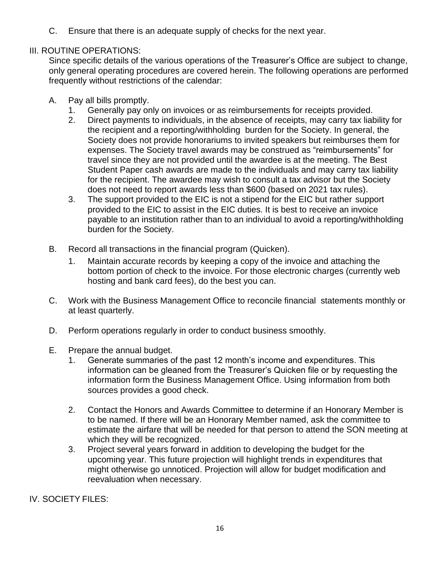C. Ensure that there is an adequate supply of checks for the next year.

#### III. ROUTINE OPERATIONS:

Since specific details of the various operations of the Treasurer's Office are subject to change, only general operating procedures are covered herein. The following operations are performed frequently without restrictions of the calendar:

- A. Pay all bills promptly.
	- 1. Generally pay only on invoices or as reimbursements for receipts provided.
	- 2. Direct payments to individuals, in the absence of receipts, may carry tax liability for the recipient and a reporting/withholding burden for the Society. In general, the Society does not provide honorariums to invited speakers but reimburses them for expenses. The Society travel awards may be construed as "reimbursements" for travel since they are not provided until the awardee is at the meeting. The Best Student Paper cash awards are made to the individuals and may carry tax liability for the recipient. The awardee may wish to consult a tax advisor but the Society does not need to report awards less than \$600 (based on 2021 tax rules).
	- 3. The support provided to the EIC is not a stipend for the EIC but rather support provided to the EIC to assist in the EIC duties. It is best to receive an invoice payable to an institution rather than to an individual to avoid a reporting/withholding burden for the Society.
- B. Record all transactions in the financial program (Quicken).
	- 1. Maintain accurate records by keeping a copy of the invoice and attaching the bottom portion of check to the invoice. For those electronic charges (currently web hosting and bank card fees), do the best you can.
- C. Work with the Business Management Office to reconcile financial statements monthly or at least quarterly.
- D. Perform operations regularly in order to conduct business smoothly.
- E. Prepare the annual budget.
	- 1. Generate summaries of the past 12 month's income and expenditures. This information can be gleaned from the Treasurer's Quicken file or by requesting the information form the Business Management Office. Using information from both sources provides a good check.
	- 2. Contact the Honors and Awards Committee to determine if an Honorary Member is to be named. If there will be an Honorary Member named, ask the committee to estimate the airfare that will be needed for that person to attend the SON meeting at which they will be recognized.
	- 3. Project several years forward in addition to developing the budget for the upcoming year. This future projection will highlight trends in expenditures that might otherwise go unnoticed. Projection will allow for budget modification and reevaluation when necessary.

IV. SOCIETY FILES: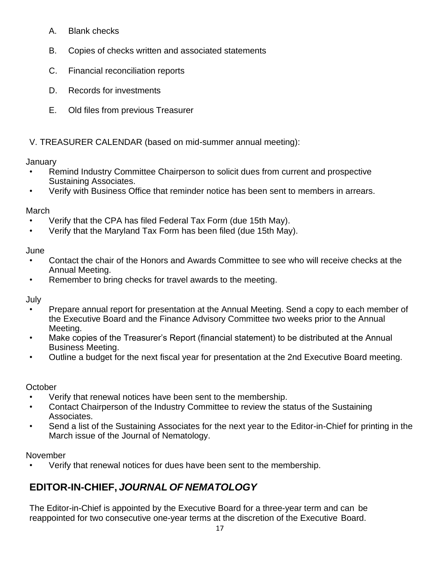- A. Blank checks
- B. Copies of checks written and associated statements
- C. Financial reconciliation reports
- D. Records for investments
- E. Old files from previous Treasurer

# V. TREASURER CALENDAR (based on mid-summer annual meeting):

### January

- Remind Industry Committee Chairperson to solicit dues from current and prospective Sustaining Associates.
- Verify with Business Office that reminder notice has been sent to members in arrears.

# March

- Verify that the CPA has filed Federal Tax Form (due 15th May).
- Verify that the Maryland Tax Form has been filed (due 15th May).

### June

- Contact the chair of the Honors and Awards Committee to see who will receive checks at the Annual Meeting.
- Remember to bring checks for travel awards to the meeting.

July

- Prepare annual report for presentation at the Annual Meeting. Send a copy to each member of the Executive Board and the Finance Advisory Committee two weeks prior to the Annual Meeting.
- Make copies of the Treasurer's Report (financial statement) to be distributed at the Annual Business Meeting.
- Outline a budget for the next fiscal year for presentation at the 2nd Executive Board meeting.

### **October**

- Verify that renewal notices have been sent to the membership.
- Contact Chairperson of the Industry Committee to review the status of the Sustaining Associates.
- Send a list of the Sustaining Associates for the next year to the Editor-in-Chief for printing in the March issue of the Journal of Nematology.

### November

• Verify that renewal notices for dues have been sent to the membership.

# **EDITOR-IN-CHIEF,** *JOURNAL OF NEMATOLOGY*

The Editor-in-Chief is appointed by the Executive Board for a three-year term and can be reappointed for two consecutive one-year terms at the discretion of the Executive Board.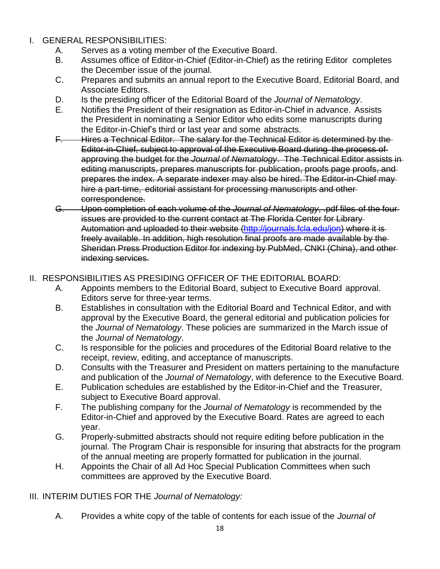- I. GENERAL RESPONSIBILITIES:
	- A. Serves as a voting member of the Executive Board.
	- B. Assumes office of Editor-in-Chief (Editor-in-Chief) as the retiring Editor completes the December issue of the journal.
	- C. Prepares and submits an annual report to the Executive Board, Editorial Board, and Associate Editors.
	- D. Is the presiding officer of the Editorial Board of the *Journal of Nematology*.
	- E. Notifies the President of their resignation as Editor-in-Chief in advance. Assists the President in nominating a Senior Editor who edits some manuscripts during the Editor-in-Chief's third or last year and some abstracts.
	- F. Hires a Technical Editor. The salary for the Technical Editor is determined by the Editor-in-Chief, subject to approval of the Executive Board during the process of approving the budget for the *Journal of Nematology*. The Technical Editor assists in editing manuscripts, prepares manuscripts for publication, proofs page proofs, and prepares the index. A separate indexer may also be hired. The Editor-in-Chief may hire a part-time, editorial assistant for processing manuscripts and other correspondence.
	- G. Upon completion of each volume of the *Journal of Nematology*, .pdf files of the four issues are provided to the current contact at The Florida Center for Library Automation and uploaded to their website [\(http://journals.fcla.edu/jon\)](http://journals.fcla.edu/jon) where it is freely available. In addition, high resolution final proofs are made available by the Sheridan Press Production Editor for indexing by PubMed, CNKI (China), and other indexing services.

#### II. RESPONSIBILITIES AS PRESIDING OFFICER OF THE EDITORIAL BOARD:

- A. Appoints members to the Editorial Board, subject to Executive Board approval. Editors serve for three-year terms.
- B. Establishes in consultation with the Editorial Board and Technical Editor, and with approval by the Executive Board, the general editorial and publication policies for the *Journal of Nematology*. These policies are summarized in the March issue of the *Journal of Nematology*.
- C. Is responsible for the policies and procedures of the Editorial Board relative to the receipt, review, editing, and acceptance of manuscripts.
- D. Consults with the Treasurer and President on matters pertaining to the manufacture and publication of the *Journal of Nematology*, with deference to the Executive Board.
- E. Publication schedules are established by the Editor-in-Chief and the Treasurer, subject to Executive Board approval.
- F. The publishing company for the *Journal of Nematology* is recommended by the Editor-in-Chief and approved by the Executive Board. Rates are agreed to each year.
- G. Properly-submitted abstracts should not require editing before publication in the journal. The Program Chair is responsible for insuring that abstracts for the program of the annual meeting are properly formatted for publication in the journal.
- H. Appoints the Chair of all Ad Hoc Special Publication Committees when such committees are approved by the Executive Board.

#### III. INTERIM DUTIES FOR THE *Journal of Nematology:*

A. Provides a white copy of the table of contents for each issue of the *Journal of*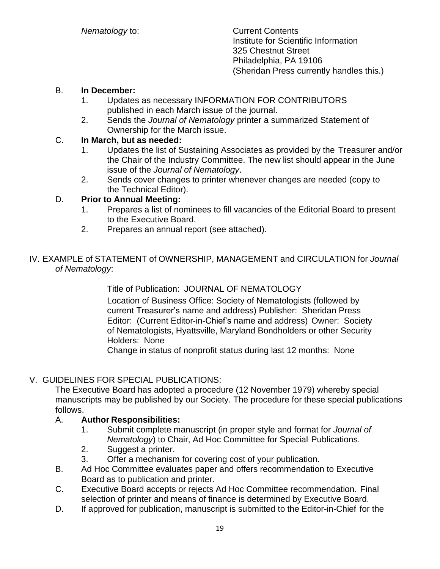*Nematology* to: Current Contents Institute for Scientific Information 325 Chestnut Street Philadelphia, PA 19106 (Sheridan Press currently handles this.)

#### B. **In December:**

- 1. Updates as necessary INFORMATION FOR CONTRIBUTORS published in each March issue of the journal.
- 2. Sends the *Journal of Nematology* printer a summarized Statement of Ownership for the March issue.

#### C. **In March, but as needed:**

- 1. Updates the list of Sustaining Associates as provided by the Treasurer and/or the Chair of the Industry Committee. The new list should appear in the June issue of the *Journal of Nematology*.
- 2. Sends cover changes to printer whenever changes are needed (copy to the Technical Editor).

#### D. **Prior to Annual Meeting:**

- 1. Prepares a list of nominees to fill vacancies of the Editorial Board to present to the Executive Board.
- 2. Prepares an annual report (see attached).

#### IV. EXAMPLE of STATEMENT of OWNERSHIP, MANAGEMENT and CIRCULATION for *Journal of Nematology*:

Title of Publication: JOURNAL OF NEMATOLOGY

Location of Business Office: Society of Nematologists (followed by current Treasurer's name and address) Publisher: Sheridan Press Editor: (Current Editor-in-Chief's name and address) Owner: Society of Nematologists, Hyattsville, Maryland Bondholders or other Security Holders: None

Change in status of nonprofit status during last 12 months: None

#### V. GUIDELINES FOR SPECIAL PUBLICATIONS:

The Executive Board has adopted a procedure (12 November 1979) whereby special manuscripts may be published by our Society. The procedure for these special publications follows.

#### A. **Author Responsibilities:**

- 1. Submit complete manuscript (in proper style and format for *Journal of Nematology*) to Chair, Ad Hoc Committee for Special Publications.
- 2. Suggest a printer.
- 3. Offer a mechanism for covering cost of your publication.
- B. Ad Hoc Committee evaluates paper and offers recommendation to Executive Board as to publication and printer.
- C. Executive Board accepts or rejects Ad Hoc Committee recommendation. Final selection of printer and means of finance is determined by Executive Board.
- D. If approved for publication, manuscript is submitted to the Editor-in-Chief for the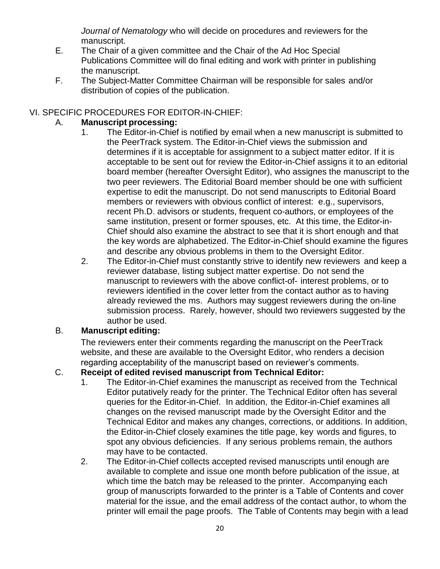*Journal of Nematology* who will decide on procedures and reviewers for the manuscript.

- E. The Chair of a given committee and the Chair of the Ad Hoc Special Publications Committee will do final editing and work with printer in publishing the manuscript.
- F. The Subject-Matter Committee Chairman will be responsible for sales and/or distribution of copies of the publication.

#### VI. SPECIFIC PROCEDURES FOR EDITOR-IN-CHIEF:

#### A. **Manuscript processing:**

- 1. The Editor-in-Chief is notified by email when a new manuscript is submitted to the PeerTrack system. The Editor-in-Chief views the submission and determines if it is acceptable for assignment to a subject matter editor. If it is acceptable to be sent out for review the Editor-in-Chief assigns it to an editorial board member (hereafter Oversight Editor), who assignes the manuscript to the two peer reviewers. The Editorial Board member should be one with sufficient expertise to edit the manuscript. Do not send manuscripts to Editorial Board members or reviewers with obvious conflict of interest: e.g., supervisors, recent Ph.D. advisors or students, frequent co-authors, or employees of the same institution, present or former spouses, etc. At this time, the Editor-in-Chief should also examine the abstract to see that it is short enough and that the key words are alphabetized. The Editor-in-Chief should examine the figures and describe any obvious problems in them to the Oversight Editor.
- 2. The Editor-in-Chief must constantly strive to identify new reviewers and keep a reviewer database, listing subject matter expertise. Do not send the manuscript to reviewers with the above conflict-of- interest problems, or to reviewers identified in the cover letter from the contact author as to having already reviewed the ms. Authors may suggest reviewers during the on-line submission process. Rarely, however, should two reviewers suggested by the author be used.

#### B. **Manuscript editing:**

The reviewers enter their comments regarding the manuscript on the PeerTrack website, and these are available to the Oversight Editor, who renders a decision regarding acceptability of the manuscript based on reviewer's comments.

#### C. **Receipt of edited revised manuscript from Technical Editor:**

- 1. The Editor-in-Chief examines the manuscript as received from the Technical Editor putatively ready for the printer. The Technical Editor often has several queries for the Editor-in-Chief. In addition, the Editor-in-Chief examines all changes on the revised manuscript made by the Oversight Editor and the Technical Editor and makes any changes, corrections, or additions. In addition, the Editor-in-Chief closely examines the title page, key words and figures, to spot any obvious deficiencies. If any serious problems remain, the authors may have to be contacted.
- 2. The Editor-in-Chief collects accepted revised manuscripts until enough are available to complete and issue one month before publication of the issue, at which time the batch may be released to the printer. Accompanying each group of manuscripts forwarded to the printer is a Table of Contents and cover material for the issue, and the email address of the contact author, to whom the printer will email the page proofs. The Table of Contents may begin with a lead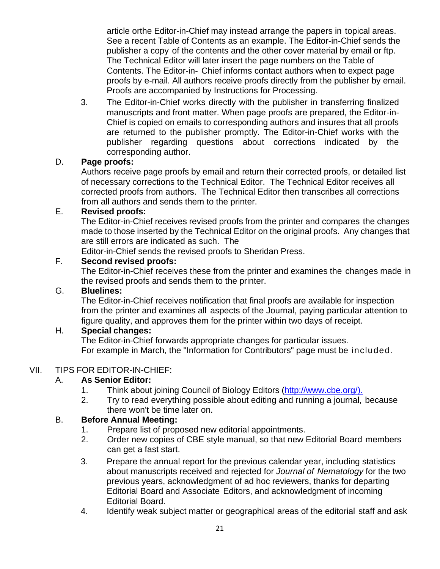article orthe Editor-in-Chief may instead arrange the papers in topical areas. See a recent Table of Contents as an example. The Editor-in-Chief sends the publisher a copy of the contents and the other cover material by email or ftp. The Technical Editor will later insert the page numbers on the Table of Contents. The Editor-in- Chief informs contact authors when to expect page proofs by e-mail. All authors receive proofs directly from the publisher by email. Proofs are accompanied by Instructions for Processing.

3. The Editor-in-Chief works directly with the publisher in transferring finalized manuscripts and front matter. When page proofs are prepared, the Editor-in-Chief is copied on emails to corresponding authors and insures that all proofs are returned to the publisher promptly. The Editor-in-Chief works with the publisher regarding questions about corrections indicated by the corresponding author.

#### D. **Page proofs:**

Authors receive page proofs by email and return their corrected proofs, or detailed list of necessary corrections to the Technical Editor. The Technical Editor receives all corrected proofs from authors. The Technical Editor then transcribes all corrections from all authors and sends them to the printer.

#### E. **Revised proofs:**

The Editor-in-Chief receives revised proofs from the printer and compares the changes made to those inserted by the Technical Editor on the original proofs. Any changes that are still errors are indicated as such. The

Editor-in-Chief sends the revised proofs to Sheridan Press.

### F. **Second revised proofs:**

The Editor-in-Chief receives these from the printer and examines the changes made in the revised proofs and sends them to the printer.

#### G. **Bluelines:**

The Editor-in-Chief receives notification that final proofs are available for inspection from the printer and examines all aspects of the Journal, paying particular attention to figure quality, and approves them for the printer within two days of receipt.

### H. **Special changes:**

The Editor-in-Chief forwards appropriate changes for particular issues. For example in March, the "Information for Contributors" page must be included.

### VII. TIPS FOR EDITOR-IN-CHIEF:

### A. **As Senior Editor:**

- 1. Think about joining Council of Biology Editors [\(http://www.cbe.org/\).](http://www.cbe.org/))
- 2. Try to read everything possible about editing and running a journal, because there won't be time later on.

### B. **Before Annual Meeting:**

- 1. Prepare list of proposed new editorial appointments.
- 2. Order new copies of CBE style manual, so that new Editorial Board members can get a fast start.
- 3. Prepare the annual report for the previous calendar year, including statistics about manuscripts received and rejected for *Journal of Nematology* for the two previous years, acknowledgment of ad hoc reviewers, thanks for departing Editorial Board and Associate Editors, and acknowledgment of incoming Editorial Board.
- 4. Identify weak subject matter or geographical areas of the editorial staff and ask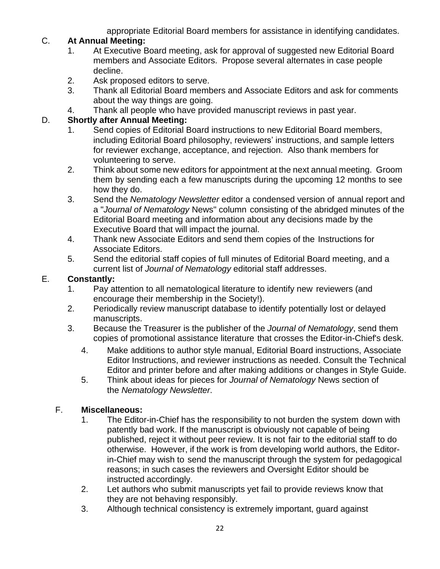appropriate Editorial Board members for assistance in identifying candidates.

#### C. **At Annual Meeting:**

- 1. At Executive Board meeting, ask for approval of suggested new Editorial Board members and Associate Editors. Propose several alternates in case people decline.
- 2. Ask proposed editors to serve.
- 3. Thank all Editorial Board members and Associate Editors and ask for comments about the way things are going.
- 4. Thank all people who have provided manuscript reviews in past year.

#### D. **Shortly after Annual Meeting:**

- 1. Send copies of Editorial Board instructions to new Editorial Board members, including Editorial Board philosophy, reviewers' instructions, and sample letters for reviewer exchange, acceptance, and rejection. Also thank members for volunteering to serve.
- 2. Think about some new editors for appointment at the next annual meeting. Groom them by sending each a few manuscripts during the upcoming 12 months to see how they do.
- 3. Send the *Nematology Newsletter* editor a condensed version of annual report and a "*Journal of Nematology* News" column consisting of the abridged minutes of the Editorial Board meeting and information about any decisions made by the Executive Board that will impact the journal.
- 4. Thank new Associate Editors and send them copies of the Instructions for Associate Editors.
- 5. Send the editorial staff copies of full minutes of Editorial Board meeting, and a current list of *Journal of Nematology* editorial staff addresses.

#### E. **Constantly:**

- 1. Pay attention to all nematological literature to identify new reviewers (and encourage their membership in the Society!).
- 2. Periodically review manuscript database to identify potentially lost or delayed manuscripts.
- 3. Because the Treasurer is the publisher of the *Journal of Nematology*, send them copies of promotional assistance literature that crosses the Editor-in-Chief's desk.
	- 4. Make additions to author style manual, Editorial Board instructions, Associate Editor Instructions, and reviewer instructions as needed. Consult the Technical Editor and printer before and after making additions or changes in Style Guide.
	- 5. Think about ideas for pieces for *Journal of Nematology* News section of the *Nematology Newsletter*.

### F. **Miscellaneous:**

- 1. The Editor-in-Chief has the responsibility to not burden the system down with patently bad work. If the manuscript is obviously not capable of being published, reject it without peer review. It is not fair to the editorial staff to do otherwise. However, if the work is from developing world authors, the Editorin-Chief may wish to send the manuscript through the system for pedagogical reasons; in such cases the reviewers and Oversight Editor should be instructed accordingly.
- 2. Let authors who submit manuscripts yet fail to provide reviews know that they are not behaving responsibly.
- 3. Although technical consistency is extremely important, guard against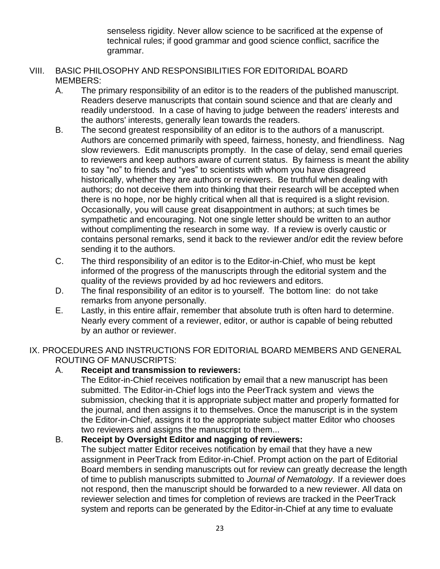senseless rigidity. Never allow science to be sacrificed at the expense of technical rules; if good grammar and good science conflict, sacrifice the grammar.

- VIII. BASIC PHILOSOPHY AND RESPONSIBILITIES FOR EDITORIDAL BOARD MEMBERS:
	- A. The primary responsibility of an editor is to the readers of the published manuscript. Readers deserve manuscripts that contain sound science and that are clearly and readily understood. In a case of having to judge between the readers' interests and the authors' interests, generally lean towards the readers.
	- B. The second greatest responsibility of an editor is to the authors of a manuscript. Authors are concerned primarily with speed, fairness, honesty, and friendliness. Nag slow reviewers. Edit manuscripts promptly. In the case of delay, send email queries to reviewers and keep authors aware of current status. By fairness is meant the ability to say "no" to friends and "yes" to scientists with whom you have disagreed historically, whether they are authors or reviewers. Be truthful when dealing with authors; do not deceive them into thinking that their research will be accepted when there is no hope, nor be highly critical when all that is required is a slight revision. Occasionally, you will cause great disappointment in authors; at such times be sympathetic and encouraging. Not one single letter should be written to an author without complimenting the research in some way. If a review is overly caustic or contains personal remarks, send it back to the reviewer and/or edit the review before sending it to the authors.
	- C. The third responsibility of an editor is to the Editor-in-Chief, who must be kept informed of the progress of the manuscripts through the editorial system and the quality of the reviews provided by ad hoc reviewers and editors.
	- D. The final responsibility of an editor is to yourself. The bottom line: do not take remarks from anyone personally.
	- E. Lastly, in this entire affair, remember that absolute truth is often hard to determine. Nearly every comment of a reviewer, editor, or author is capable of being rebutted by an author or reviewer.

IX. PROCEDURES AND INSTRUCTIONS FOR EDITORIAL BOARD MEMBERS AND GENERAL ROUTING OF MANUSCRIPTS:

#### A. **Receipt and transmission to reviewers:**

The Editor-in-Chief receives notification by email that a new manuscript has been submitted. The Editor-in-Chief logs into the PeerTrack system and views the submission, checking that it is appropriate subject matter and properly formatted for the journal, and then assigns it to themselves. Once the manuscript is in the system the Editor-in-Chief, assigns it to the appropriate subject matter Editor who chooses two reviewers and assigns the manuscript to them...

#### B. **Receipt by Oversight Editor and nagging of reviewers:**

The subject matter Editor receives notification by email that they have a new assignment in PeerTrack from Editor-in-Chief. Prompt action on the part of Editorial Board members in sending manuscripts out for review can greatly decrease the length of time to publish manuscripts submitted to *Journal of Nematology*. If a reviewer does not respond, then the manuscript should be forwarded to a new reviewer. All data on reviewer selection and times for completion of reviews are tracked in the PeerTrack system and reports can be generated by the Editor-in-Chief at any time to evaluate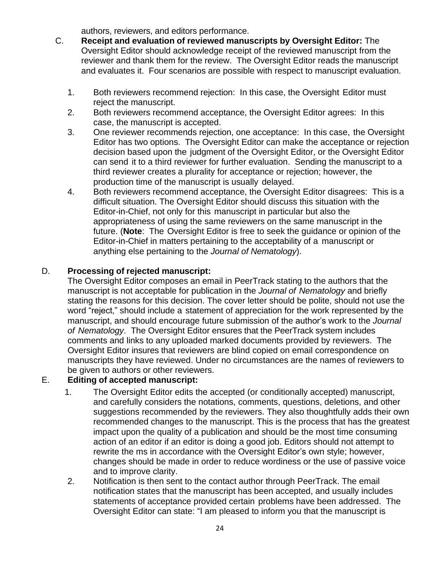authors, reviewers, and editors performance.

- C. **Receipt and evaluation of reviewed manuscripts by Oversight Editor:** The Oversight Editor should acknowledge receipt of the reviewed manuscript from the reviewer and thank them for the review. The Oversight Editor reads the manuscript and evaluates it. Four scenarios are possible with respect to manuscript evaluation.
	- 1. Both reviewers recommend rejection: In this case, the Oversight Editor must reject the manuscript.
	- 2. Both reviewers recommend acceptance, the Oversight Editor agrees: In this case, the manuscript is accepted.
	- 3. One reviewer recommends rejection, one acceptance: In this case, the Oversight Editor has two options. The Oversight Editor can make the acceptance or rejection decision based upon the judgment of the Oversight Editor, or the Oversight Editor can send it to a third reviewer for further evaluation. Sending the manuscript to a third reviewer creates a plurality for acceptance or rejection; however, the production time of the manuscript is usually delayed.
	- 4. Both reviewers recommend acceptance, the Oversight Editor disagrees: This is a difficult situation. The Oversight Editor should discuss this situation with the Editor-in-Chief, not only for this manuscript in particular but also the appropriateness of using the same reviewers on the same manuscript in the future. (**Note**: The Oversight Editor is free to seek the guidance or opinion of the Editor-in-Chief in matters pertaining to the acceptability of a manuscript or anything else pertaining to the *Journal of Nematology*).

#### D. **Processing of rejected manuscript:**

The Oversight Editor composes an email in PeerTrack stating to the authors that the manuscript is not acceptable for publication in the *Journal of Nematology* and briefly stating the reasons for this decision. The cover letter should be polite, should not use the word "reject," should include a statement of appreciation for the work represented by the manuscript, and should encourage future submission of the author's work to the *Journal of Nematology*. The Oversight Editor ensures that the PeerTrack system includes comments and links to any uploaded marked documents provided by reviewers. The Oversight Editor insures that reviewers are blind copied on email correspondence on manuscripts they have reviewed. Under no circumstances are the names of reviewers to be given to authors or other reviewers.

#### E. **Editing of accepted manuscript:**

- 1. The Oversight Editor edits the accepted (or conditionally accepted) manuscript, and carefully considers the notations, comments, questions, deletions, and other suggestions recommended by the reviewers. They also thoughtfully adds their own recommended changes to the manuscript. This is the process that has the greatest impact upon the quality of a publication and should be the most time consuming action of an editor if an editor is doing a good job. Editors should not attempt to rewrite the ms in accordance with the Oversight Editor's own style; however, changes should be made in order to reduce wordiness or the use of passive voice and to improve clarity.
- 2. Notification is then sent to the contact author through PeerTrack. The email notification states that the manuscript has been accepted, and usually includes statements of acceptance provided certain problems have been addressed. The Oversight Editor can state: "I am pleased to inform you that the manuscript is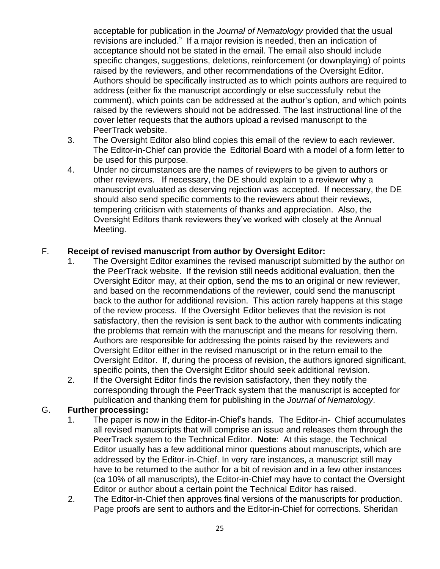acceptable for publication in the *Journal of Nematology* provided that the usual revisions are included." If a major revision is needed, then an indication of acceptance should not be stated in the email. The email also should include specific changes, suggestions, deletions, reinforcement (or downplaying) of points raised by the reviewers, and other recommendations of the Oversight Editor. Authors should be specifically instructed as to which points authors are required to address (either fix the manuscript accordingly or else successfully rebut the comment), which points can be addressed at the author's option, and which points raised by the reviewers should not be addressed. The last instructional line of the cover letter requests that the authors upload a revised manuscript to the PeerTrack website.

- 3. The Oversight Editor also blind copies this email of the review to each reviewer. The Editor-in-Chief can provide the Editorial Board with a model of a form letter to be used for this purpose.
- 4. Under no circumstances are the names of reviewers to be given to authors or other reviewers. If necessary, the DE should explain to a reviewer why a manuscript evaluated as deserving rejection was accepted. If necessary, the DE should also send specific comments to the reviewers about their reviews, tempering criticism with statements of thanks and appreciation. Also, the Oversight Editors thank reviewers they've worked with closely at the Annual Meeting.

#### F. **Receipt of revised manuscript from author by Oversight Editor:**

- 1. The Oversight Editor examines the revised manuscript submitted by the author on the PeerTrack website. If the revision still needs additional evaluation, then the Oversight Editor may, at their option, send the ms to an original or new reviewer, and based on the recommendations of the reviewer, could send the manuscript back to the author for additional revision. This action rarely happens at this stage of the review process. If the Oversight Editor believes that the revision is not satisfactory, then the revision is sent back to the author with comments indicating the problems that remain with the manuscript and the means for resolving them. Authors are responsible for addressing the points raised by the reviewers and Oversight Editor either in the revised manuscript or in the return email to the Oversight Editor. If, during the process of revision, the authors ignored significant, specific points, then the Oversight Editor should seek additional revision.
- 2. If the Oversight Editor finds the revision satisfactory, then they notify the corresponding through the PeerTrack system that the manuscript is accepted for publication and thanking them for publishing in the *Journal of Nematology*.

#### G. **Further processing:**

- 1. The paper is now in the Editor-in-Chief's hands. The Editor-in- Chief accumulates all revised manuscripts that will comprise an issue and releases them through the PeerTrack system to the Technical Editor. **Note**: At this stage, the Technical Editor usually has a few additional minor questions about manuscripts, which are addressed by the Editor-in-Chief. In very rare instances, a manuscript still may have to be returned to the author for a bit of revision and in a few other instances (ca 10% of all manuscripts), the Editor-in-Chief may have to contact the Oversight Editor or author about a certain point the Technical Editor has raised.
- 2. The Editor-in-Chief then approves final versions of the manuscripts for production. Page proofs are sent to authors and the Editor-in-Chief for corrections. Sheridan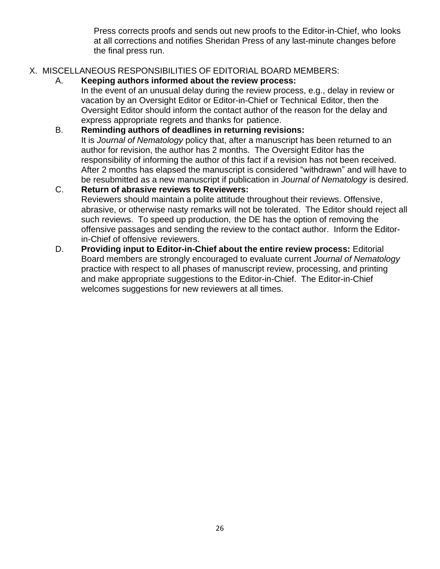Press corrects proofs and sends out new proofs to the Editor-in-Chief, who looks at all corrections and notifies Sheridan Press of any last-minute changes before the final press run.

#### X. MISCELLANEOUS RESPONSIBILITIES OF EDITORIAL BOARD MEMBERS:

A. **Keeping authors informed about the review process:**

In the event of an unusual delay during the review process, e.g., delay in review or vacation by an Oversight Editor or Editor-in-Chief or Technical Editor, then the Oversight Editor should inform the contact author of the reason for the delay and express appropriate regrets and thanks for patience.

#### B. **Reminding authors of deadlines in returning revisions:**

It is *Journal of Nematology* policy that, after a manuscript has been returned to an author for revision, the author has 2 months. The Oversight Editor has the responsibility of informing the author of this fact if a revision has not been received. After 2 months has elapsed the manuscript is considered "withdrawn" and will have to be resubmitted as a new manuscript if publication in *Journal of Nematology* is desired.

# C. **Return of abrasive reviews to Reviewers:**

Reviewers should maintain a polite attitude throughout their reviews. Offensive, abrasive, or otherwise nasty remarks will not be tolerated. The Editor should reject all such reviews. To speed up production, the DE has the option of removing the offensive passages and sending the review to the contact author. Inform the Editorin-Chief of offensive reviewers.

D. **Providing input to Editor-in-Chief about the entire review process:** Editorial Board members are strongly encouraged to evaluate current *Journal of Nematology* practice with respect to all phases of manuscript review, processing, and printing and make appropriate suggestions to the Editor-in-Chief. The Editor-in-Chief welcomes suggestions for new reviewers at all times.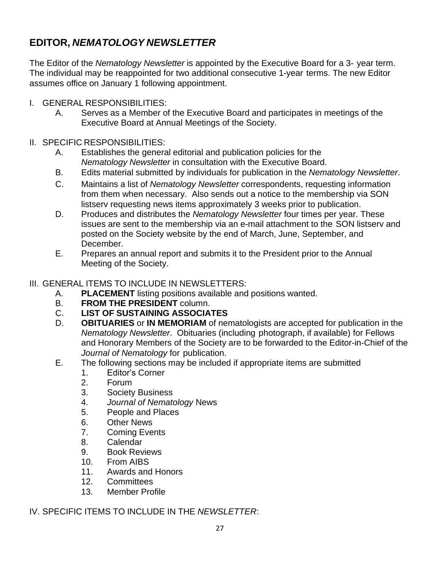# **EDITOR,** *NEMATOLOGY NEWSLETTER*

The Editor of the *Nematology Newsletter* is appointed by the Executive Board for a 3- year term. The individual may be reappointed for two additional consecutive 1-year terms. The new Editor assumes office on January 1 following appointment.

- I. GENERAL RESPONSIBILITIES:
	- A. Serves as a Member of the Executive Board and participates in meetings of the Executive Board at Annual Meetings of the Society.
- II. SPECIFIC RESPONSIBILITIES:
	- A. Establishes the general editorial and publication policies for the *Nematology Newsletter* in consultation with the Executive Board.
	- B. Edits material submitted by individuals for publication in the *Nematology Newsletter*.
	- C. Maintains a list of *Nematology Newsletter* correspondents, requesting information from them when necessary. Also sends out a notice to the membership via SON listserv requesting news items approximately 3 weeks prior to publication.
	- D. Produces and distributes the *Nematology Newsletter* four times per year. These issues are sent to the membership via an e-mail attachment to the SON listserv and posted on the Society website by the end of March, June, September, and December.
	- E. Prepares an annual report and submits it to the President prior to the Annual Meeting of the Society.
- III. GENERAL ITEMS TO INCLUDE IN NEWSLETTERS:
	- A. **PLACEMENT** listing positions available and positions wanted.
	- B. **FROM THE PRESIDENT** column.
	- C. **LIST OF SUSTAINING ASSOCIATES**
	- D. **OBITUARIES** or **IN MEMORIAM** of nematologists are accepted for publication in the *Nematology Newsletter*. Obituaries (including photograph, if available) for Fellows and Honorary Members of the Society are to be forwarded to the Editor-in-Chief of the *Journal of Nematology* for publication.
	- E. The following sections may be included if appropriate items are submitted
		- 1. Editor's Corner
		- 2. Forum
		- 3. Society Business
		- 4. *Journal of Nematology* News
		- 5. People and Places
		- 6. Other News
		- 7. Coming Events
		- 8. Calendar
		- 9. Book Reviews
		- 10. From AIBS
		- 11. Awards and Honors
		- 12. Committees
		- 13. Member Profile
- IV. SPECIFIC ITEMS TO INCLUDE IN THE *NEWSLETTER*: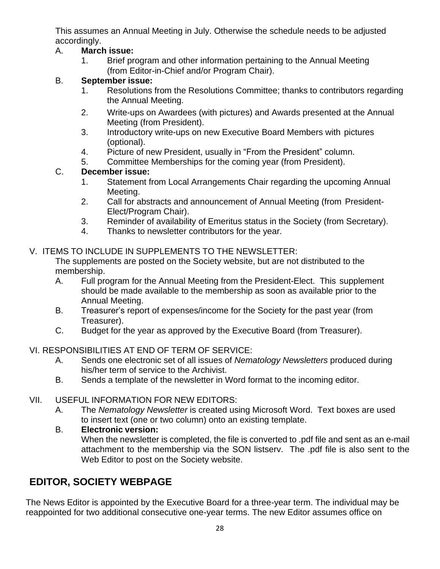This assumes an Annual Meeting in July. Otherwise the schedule needs to be adjusted accordingly.

### A. **March issue:**

1. Brief program and other information pertaining to the Annual Meeting (from Editor-in-Chief and/or Program Chair).

### B. **September issue:**

- 1. Resolutions from the Resolutions Committee; thanks to contributors regarding the Annual Meeting.
- 2. Write-ups on Awardees (with pictures) and Awards presented at the Annual Meeting (from President).
- 3. Introductory write-ups on new Executive Board Members with pictures (optional).
- 4. Picture of new President, usually in "From the President" column.
- 5. Committee Memberships for the coming year (from President).

### C. **December issue:**

- 1. Statement from Local Arrangements Chair regarding the upcoming Annual Meeting.
- 2. Call for abstracts and announcement of Annual Meeting (from President-Elect/Program Chair).
- 3. Reminder of availability of Emeritus status in the Society (from Secretary).
- 4. Thanks to newsletter contributors for the year.

### V. ITEMS TO INCLUDE IN SUPPLEMENTS TO THE NEWSLETTER:

The supplements are posted on the Society website, but are not distributed to the membership.

- A. Full program for the Annual Meeting from the President-Elect. This supplement should be made available to the membership as soon as available prior to the Annual Meeting.
- B. Treasurer's report of expenses/income for the Society for the past year (from Treasurer).
- C. Budget for the year as approved by the Executive Board (from Treasurer).

# VI. RESPONSIBILITIES AT END OF TERM OF SERVICE:

- A. Sends one electronic set of all issues of *Nematology Newsletters* produced during his/her term of service to the Archivist.
- B. Sends a template of the newsletter in Word format to the incoming editor.

# VII. USEFUL INFORMATION FOR NEW EDITORS:

A. The *Nematology Newsletter* is created using Microsoft Word. Text boxes are used to insert text (one or two column) onto an existing template.

### B. **Electronic version:**

When the newsletter is completed, the file is converted to .pdf file and sent as an e-mail attachment to the membership via the SON listserv. The .pdf file is also sent to the Web Editor to post on the Society website.

# **EDITOR, SOCIETY WEBPAGE**

The News Editor is appointed by the Executive Board for a three-year term. The individual may be reappointed for two additional consecutive one-year terms. The new Editor assumes office on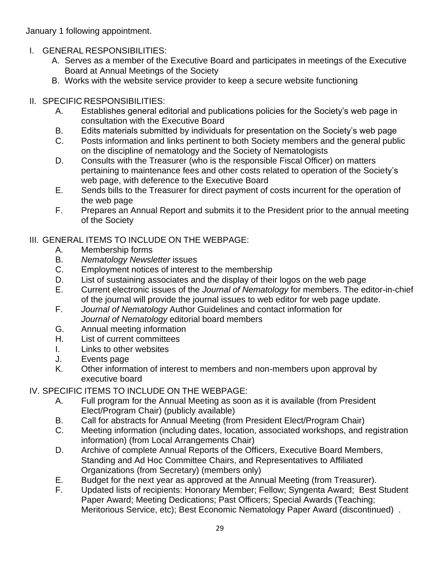January 1 following appointment.

- I. GENERAL RESPONSIBILITIES:
	- A. Serves as a member of the Executive Board and participates in meetings of the Executive Board at Annual Meetings of the Society
	- B. Works with the website service provider to keep a secure website functioning

# II. SPECIFIC RESPONSIBILITIES:

- A. Establishes general editorial and publications policies for the Society's web page in consultation with the Executive Board
- B. Edits materials submitted by individuals for presentation on the Society's web page
- C. Posts information and links pertinent to both Society members and the general public on the discipline of nematology and the Society of Nematologists
- D. Consults with the Treasurer (who is the responsible Fiscal Officer) on matters pertaining to maintenance fees and other costs related to operation of the Society's web page, with deference to the Executive Board
- E. Sends bills to the Treasurer for direct payment of costs incurrent for the operation of the web page
- F. Prepares an Annual Report and submits it to the President prior to the annual meeting of the Society

### III. GENERAL ITEMS TO INCLUDE ON THE WEBPAGE:

- A. Membership forms
- B. *Nematology Newsletter* issues
- C. Employment notices of interest to the membership
- D. List of sustaining associates and the display of their logos on the web page
- E. Current electronic issues of the *Journal of Nematology* for members. The editor-in-chief of the journal will provide the journal issues to web editor for web page update.
- F. *Journal of Nematology* Author Guidelines and contact information for *Journal of Nematology* editorial board members
- G. Annual meeting information
- H. List of current committees
- I. Links to other websites
- J. Events page
- K. Other information of interest to members and non-members upon approval by executive board
- IV. SPECIFIC ITEMS TO INCLUDE ON THE WEBPAGE:
	- A. Full program for the Annual Meeting as soon as it is available (from President Elect/Program Chair) (publicly available)
	- B. Call for abstracts for Annual Meeting (from President Elect/Program Chair)
	- C. Meeting information (including dates, location, associated workshops, and registration information) (from Local Arrangements Chair)
	- D. Archive of complete Annual Reports of the Officers, Executive Board Members, Standing and Ad Hoc Committee Chairs, and Representatives to Affiliated Organizations (from Secretary) (members only)
	- E. Budget for the next year as approved at the Annual Meeting (from Treasurer).
	- F. Updated lists of recipients: Honorary Member; Fellow; Syngenta Award; Best Student Paper Award; Meeting Dedications; Past Officers; Special Awards (Teaching; Meritorious Service, etc); Best Economic Nematology Paper Award (discontinued) .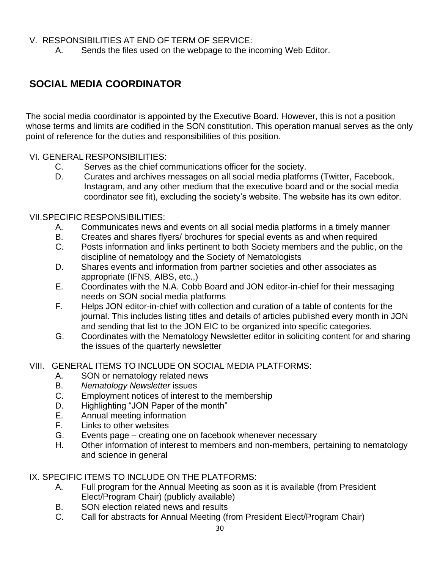#### V. RESPONSIBILITIES AT END OF TERM OF SERVICE:

A. Sends the files used on the webpage to the incoming Web Editor.

# **SOCIAL MEDIA COORDINATOR**

The social media coordinator is appointed by the Executive Board. However, this is not a position whose terms and limits are codified in the SON constitution. This operation manual serves as the only point of reference for the duties and responsibilities of this position.

#### VI. GENERAL RESPONSIBILITIES:

- C. Serves as the chief communications officer for the society.
- D. Curates and archives messages on all social media platforms (Twitter, Facebook, Instagram, and any other medium that the executive board and or the social media coordinator see fit), excluding the society's website. The website has its own editor.

#### VII.SPECIFIC RESPONSIBILITIES:

- A. Communicates news and events on all social media platforms in a timely manner
- B. Creates and shares flyers/ brochures for special events as and when required
- C. Posts information and links pertinent to both Society members and the public, on the discipline of nematology and the Society of Nematologists
- D. Shares events and information from partner societies and other associates as appropriate (IFNS, AIBS, etc.,)
- E. Coordinates with the N.A. Cobb Board and JON editor-in-chief for their messaging needs on SON social media platforms
- F. Helps JON editor-in-chief with collection and curation of a table of contents for the journal. This includes listing titles and details of articles published every month in JON and sending that list to the JON EIC to be organized into specific categories.
- G. Coordinates with the Nematology Newsletter editor in soliciting content for and sharing the issues of the quarterly newsletter

#### VIII. GENERAL ITEMS TO INCLUDE ON SOCIAL MEDIA PLATFORMS:

- A. SON or nematology related news
- B. *Nematology Newsletter* issues
- C. Employment notices of interest to the membership
- D. Highlighting "JON Paper of the month"
- E. Annual meeting information
- F. Links to other websites
- G. Events page creating one on facebook whenever necessary
- H. Other information of interest to members and non-members, pertaining to nematology and science in general

#### IX. SPECIFIC ITEMS TO INCLUDE ON THE PLATFORMS:

- A. Full program for the Annual Meeting as soon as it is available (from President Elect/Program Chair) (publicly available)
- B. SON election related news and results
- C. Call for abstracts for Annual Meeting (from President Elect/Program Chair)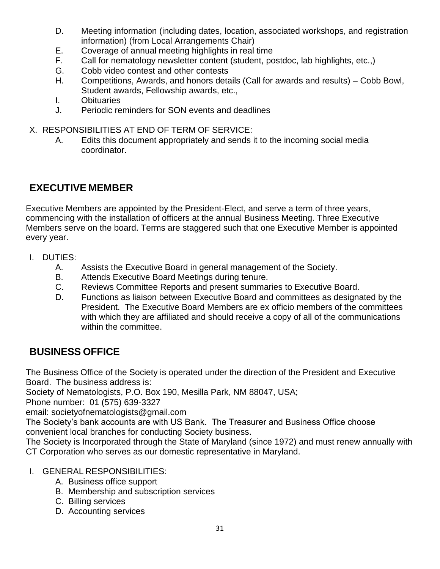- D. Meeting information (including dates, location, associated workshops, and registration information) (from Local Arrangements Chair)
- E. Coverage of annual meeting highlights in real time
- F. Call for nematology newsletter content (student, postdoc, lab highlights, etc.,)
- G. Cobb video contest and other contests
- H. Competitions, Awards, and honors details (Call for awards and results) Cobb Bowl, Student awards, Fellowship awards, etc.,
- I. Obituaries
- J. Periodic reminders for SON events and deadlines
- X. RESPONSIBILITIES AT END OF TERM OF SERVICE:
	- A. Edits this document appropriately and sends it to the incoming social media coordinator.

# **EXECUTIVE MEMBER**

Executive Members are appointed by the President-Elect, and serve a term of three years, commencing with the installation of officers at the annual Business Meeting. Three Executive Members serve on the board. Terms are staggered such that one Executive Member is appointed every year.

- I. DUTIES:
	- A. Assists the Executive Board in general management of the Society.
	- B. Attends Executive Board Meetings during tenure.
	- C. Reviews Committee Reports and present summaries to Executive Board.
	- D. Functions as liaison between Executive Board and committees as designated by the President. The Executive Board Members are ex officio members of the committees with which they are affiliated and should receive a copy of all of the communications within the committee.

# <span id="page-30-0"></span>**BUSINESS OFFICE**

The Business Office of the Society is operated under the direction of the President and Executive Board. The business address is:

Society of Nematologists, P.O. Box 190, Mesilla Park, NM 88047, USA;

Phone number: 01 (575) 639-3327

email: societyofnematologists@gmail.com

The Society's bank accounts are with US Bank. The Treasurer and Business Office choose convenient local branches for conducting Society business.

The Society is Incorporated through the State of Maryland (since 1972) and must renew annually with CT Corporation who serves as our domestic representative in Maryland.

- I. GENERAL RESPONSIBILITIES:
	- A. Business office support
	- B. Membership and subscription services
	- C. Billing services
	- D. Accounting services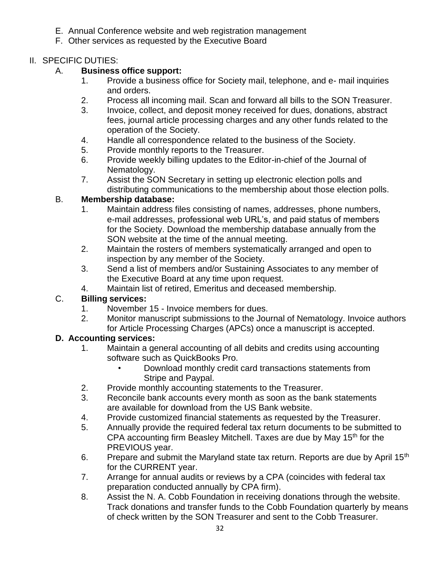- E. Annual Conference website and web registration management
- F. Other services as requested by the Executive Board

### II. SPECIFIC DUTIES:

### A. **Business office support:**

- 1. Provide a business office for Society mail, telephone, and e- mail inquiries and orders.
- 2. Process all incoming mail. Scan and forward all bills to the SON Treasurer.
- 3. Invoice, collect, and deposit money received for dues, donations, abstract fees, journal article processing charges and any other funds related to the operation of the Society.
- 4. Handle all correspondence related to the business of the Society.
- 5. Provide monthly reports to the Treasurer.
- 6. Provide weekly billing updates to the Editor-in-chief of the Journal of Nematology.
- 7. Assist the SON Secretary in setting up electronic election polls and distributing communications to the membership about those election polls.

### B. **Membership database:**

- 1. Maintain address files consisting of names, addresses, phone numbers, e-mail addresses, professional web URL's, and paid status of members for the Society. Download the membership database annually from the SON website at the time of the annual meeting.
- 2. Maintain the rosters of members systematically arranged and open to inspection by any member of the Society.
- 3. Send a list of members and/or Sustaining Associates to any member of the Executive Board at any time upon request.
- 4. Maintain list of retired, Emeritus and deceased membership.

# C. **Billing services:**

- 1. November 15 Invoice members for dues.
- 2. Monitor manuscript submissions to the Journal of Nematology. Invoice authors for Article Processing Charges (APCs) once a manuscript is accepted.

# **D. Accounting services:**

- 1. Maintain a general accounting of all debits and credits using accounting software such as QuickBooks Pro.
	- Download monthly credit card transactions statements from Stripe and Paypal.
- 2. Provide monthly accounting statements to the Treasurer.
- 3. Reconcile bank accounts every month as soon as the bank statements are available for download from the US Bank website.
- 4. Provide customized financial statements as requested by the Treasurer.
- 5. Annually provide the required federal tax return documents to be submitted to CPA accounting firm Beasley Mitchell. Taxes are due by May 15<sup>th</sup> for the PREVIOUS year.
- 6. Prepare and submit the Maryland state tax return. Reports are due by April  $15<sup>th</sup>$ for the CURRENT year.
- 7. Arrange for annual audits or reviews by a CPA (coincides with federal tax preparation conducted annually by CPA firm).
- 8. Assist the N. A. Cobb Foundation in receiving donations through the website. Track donations and transfer funds to the Cobb Foundation quarterly by means of check written by the SON Treasurer and sent to the Cobb Treasurer.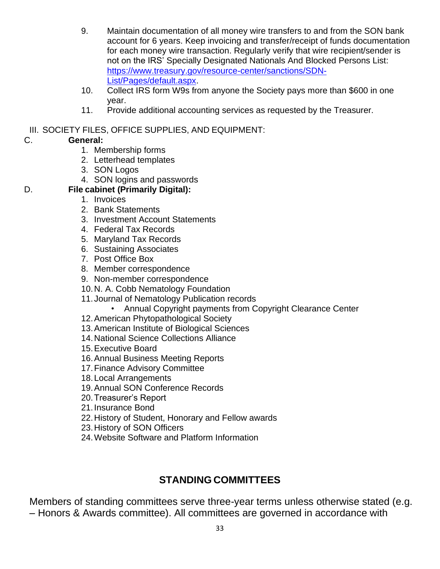- 9. Maintain documentation of all money wire transfers to and from the SON bank account for 6 years. Keep invoicing and transfer/receipt of funds documentation for each money wire transaction. Regularly verify that wire recipient/sender is not on the IRS' Specially Designated Nationals And Blocked Persons List: [https://www.treasury.gov/resource-center/sanctions/SDN-](https://www.treasury.gov/resource-center/sanctions/SDN-List/Pages/default.aspx)[List/Pages/default.aspx.](https://www.treasury.gov/resource-center/sanctions/SDN-List/Pages/default.aspx)
- 10. Collect IRS form W9s from anyone the Society pays more than \$600 in one year.
- 11. Provide additional accounting services as requested by the Treasurer.
- III. SOCIETY FILES, OFFICE SUPPLIES, AND EQUIPMENT:

# C. **General:**

- 1. Membership forms
- 2. Letterhead templates
- 3. SON Logos
- 4. SON logins and passwords

### D. **File cabinet (Primarily Digital):**

- 1. Invoices
- 2. Bank Statements
- 3. Investment Account Statements
- 4. Federal Tax Records
- 5. Maryland Tax Records
- 6. Sustaining Associates
- 7. Post Office Box
- 8. Member correspondence
- 9. Non-member correspondence
- 10.N. A. Cobb Nematology Foundation
- 11. Journal of Nematology Publication records
	- Annual Copyright payments from Copyright Clearance Center
- 12.American Phytopathological Society
- 13.American Institute of Biological Sciences
- 14.National Science Collections Alliance
- 15.Executive Board
- 16.Annual Business Meeting Reports
- 17.Finance Advisory Committee
- 18.Local Arrangements
- 19.Annual SON Conference Records
- 20.Treasurer's Report
- 21.Insurance Bond
- 22.History of Student, Honorary and Fellow awards
- 23.History of SON Officers
- 24.Website Software and Platform Information

# **STANDING COMMITTEES**

<span id="page-32-0"></span>Members of standing committees serve three-year terms unless otherwise stated (e.g. – Honors & Awards committee). All committees are governed in accordance with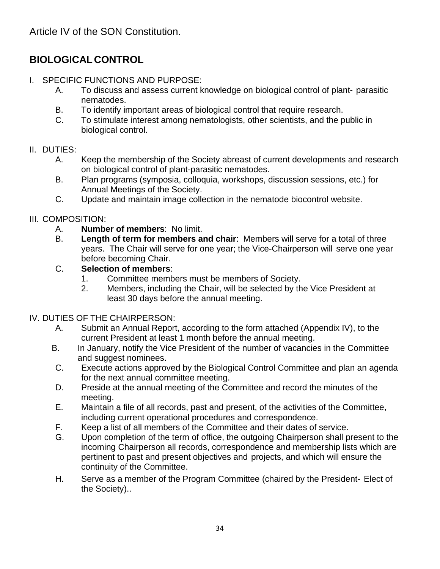# **BIOLOGICALCONTROL**

- I. SPECIFIC FUNCTIONS AND PURPOSE:
	- A. To discuss and assess current knowledge on biological control of plant- parasitic nematodes.
	- B. To identify important areas of biological control that require research.
	- C. To stimulate interest among nematologists, other scientists, and the public in biological control.

### II. DUTIES:

- A. Keep the membership of the Society abreast of current developments and research on biological control of plant-parasitic nematodes.
- B. Plan programs (symposia, colloquia, workshops, discussion sessions, etc.) for Annual Meetings of the Society.
- C. Update and maintain image collection in the nematode biocontrol website.

### III. COMPOSITION:

- A. **Number of members**: No limit.
- B. **Length of term for members and chair**: Members will serve for a total of three years. The Chair will serve for one year; the Vice-Chairperson will serve one year before becoming Chair.
- C. **Selection of members**:
	- 1. Committee members must be members of Society.
	- 2. Members, including the Chair, will be selected by the Vice President at least 30 days before the annual meeting.

### IV. DUTIES OF THE CHAIRPERSON:

- A. Submit an Annual Report, according to the form attached (Appendix IV), to the current President at least 1 month before the annual meeting.
- B. In January, notify the Vice President of the number of vacancies in the Committee and suggest nominees.
- C. Execute actions approved by the Biological Control Committee and plan an agenda for the next annual committee meeting.
- D. Preside at the annual meeting of the Committee and record the minutes of the meeting.
- E. Maintain a file of all records, past and present, of the activities of the Committee, including current operational procedures and correspondence.
- F. Keep a list of all members of the Committee and their dates of service.
- G. Upon completion of the term of office, the outgoing Chairperson shall present to the incoming Chairperson all records, correspondence and membership lists which are pertinent to past and present objectives and projects, and which will ensure the continuity of the Committee.
- H. Serve as a member of the Program Committee (chaired by the President- Elect of the Society)..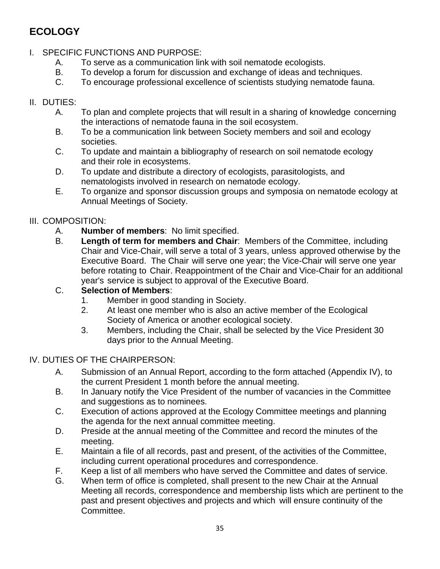# <span id="page-34-0"></span>**ECOLOGY**

- I. SPECIFIC FUNCTIONS AND PURPOSE:
	- A. To serve as a communication link with soil nematode ecologists.
	- B. To develop a forum for discussion and exchange of ideas and techniques.
	- C. To encourage professional excellence of scientists studying nematode fauna.

# II. DUTIES:

- A. To plan and complete projects that will result in a sharing of knowledge concerning the interactions of nematode fauna in the soil ecosystem.
- B. To be a communication link between Society members and soil and ecology societies.
- C. To update and maintain a bibliography of research on soil nematode ecology and their role in ecosystems.
- D. To update and distribute a directory of ecologists, parasitologists, and nematologists involved in research on nematode ecology.
- E. To organize and sponsor discussion groups and symposia on nematode ecology at Annual Meetings of Society.

# III. COMPOSITION:

- A. **Number of members**: No limit specified.
- B. **Length of term for members and Chair**: Members of the Committee, including Chair and Vice-Chair, will serve a total of 3 years, unless approved otherwise by the Executive Board. The Chair will serve one year; the Vice-Chair will serve one year before rotating to Chair. Reappointment of the Chair and Vice-Chair for an additional year's service is subject to approval of the Executive Board.

# C. **Selection of Members**:

- 1. Member in good standing in Society.
- 2. At least one member who is also an active member of the Ecological Society of America or another ecological society.
- 3. Members, including the Chair, shall be selected by the Vice President 30 days prior to the Annual Meeting.

# IV. DUTIES OF THE CHAIRPERSON:

- A. Submission of an Annual Report, according to the form attached (Appendix IV), to the current President 1 month before the annual meeting.
- B. In January notify the Vice President of the number of vacancies in the Committee and suggestions as to nominees.
- C. Execution of actions approved at the Ecology Committee meetings and planning the agenda for the next annual committee meeting.
- D. Preside at the annual meeting of the Committee and record the minutes of the meeting.
- E. Maintain a file of all records, past and present, of the activities of the Committee, including current operational procedures and correspondence.
- F. Keep a list of all members who have served the Committee and dates of service.
- G. When term of office is completed, shall present to the new Chair at the Annual Meeting all records, correspondence and membership lists which are pertinent to the past and present objectives and projects and which will ensure continuity of the Committee.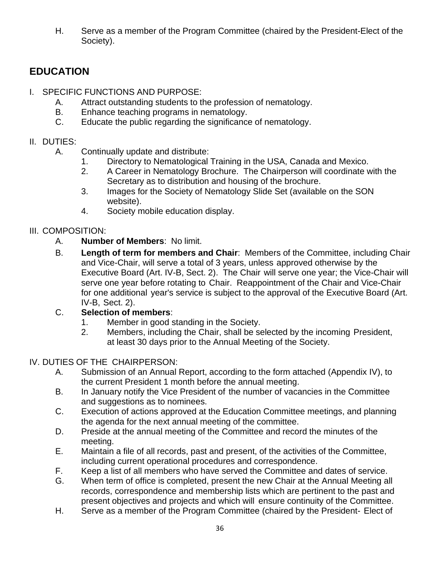H. Serve as a member of the Program Committee (chaired by the President-Elect of the Society).

# <span id="page-35-0"></span>**EDUCATION**

- I. SPECIFIC FUNCTIONS AND PURPOSE:
	- A. Attract outstanding students to the profession of nematology.<br>B. Fnhance teaching programs in nematology.
	- Enhance teaching programs in nematology.
	- C. Educate the public regarding the significance of nematology.

### II. DUTIES:

- A. Continually update and distribute:
	- 1. Directory to Nematological Training in the USA, Canada and Mexico.
	- 2. A Career in Nematology Brochure. The Chairperson will coordinate with the Secretary as to distribution and housing of the brochure.
	- 3. Images for the Society of Nematology Slide Set (available on the SON website).
	- 4. Society mobile education display.

# III. COMPOSITION:

- A. **Number of Members**: No limit.
- B. **Length of term for members and Chair**: Members of the Committee, including Chair and Vice-Chair, will serve a total of 3 years, unless approved otherwise by the Executive Board (Art. IV-B, Sect. 2). The Chair will serve one year; the Vice-Chair will serve one year before rotating to Chair. Reappointment of the Chair and Vice-Chair for one additional year's service is subject to the approval of the Executive Board (Art. IV-B, Sect. 2).

# C. **Selection of members**:

- 1. Member in good standing in the Society.
- 2. Members, including the Chair, shall be selected by the incoming President, at least 30 days prior to the Annual Meeting of the Society.

# IV. DUTIES OF THE CHAIRPERSON:

- A. Submission of an Annual Report, according to the form attached (Appendix IV), to the current President 1 month before the annual meeting.
- B. In January notify the Vice President of the number of vacancies in the Committee and suggestions as to nominees.
- C. Execution of actions approved at the Education Committee meetings, and planning the agenda for the next annual meeting of the committee.
- D. Preside at the annual meeting of the Committee and record the minutes of the meeting.
- E. Maintain a file of all records, past and present, of the activities of the Committee, including current operational procedures and correspondence.
- F. Keep a list of all members who have served the Committee and dates of service.
- G. When term of office is completed, present the new Chair at the Annual Meeting all records, correspondence and membership lists which are pertinent to the past and present objectives and projects and which will ensure continuity of the Committee.
- H. Serve as a member of the Program Committee (chaired by the President- Elect of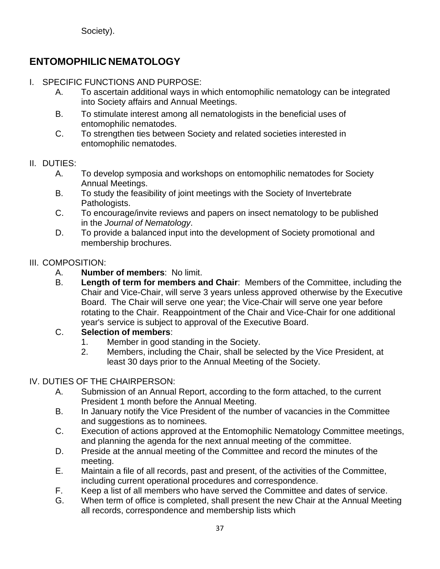Society).

# **ENTOMOPHILIC NEMATOLOGY**

- I. SPECIFIC FUNCTIONS AND PURPOSE:
	- A. To ascertain additional ways in which entomophilic nematology can be integrated into Society affairs and Annual Meetings.
	- B. To stimulate interest among all nematologists in the beneficial uses of entomophilic nematodes.
	- C. To strengthen ties between Society and related societies interested in entomophilic nematodes.

### II. DUTIES:

- A. To develop symposia and workshops on entomophilic nematodes for Society Annual Meetings.
- B. To study the feasibility of joint meetings with the Society of Invertebrate Pathologists.
- C. To encourage/invite reviews and papers on insect nematology to be published in the *Journal of Nematology*.
- D. To provide a balanced input into the development of Society promotional and membership brochures.

## III. COMPOSITION:

- A. **Number of members**: No limit.
- B. **Length of term for members and Chair**: Members of the Committee, including the Chair and Vice-Chair, will serve 3 years unless approved otherwise by the Executive Board. The Chair will serve one year; the Vice-Chair will serve one year before rotating to the Chair. Reappointment of the Chair and Vice-Chair for one additional year's service is subject to approval of the Executive Board.

## C. **Selection of members**:

- 1. Member in good standing in the Society.
- 2. Members, including the Chair, shall be selected by the Vice President, at least 30 days prior to the Annual Meeting of the Society.

## IV. DUTIES OF THE CHAIRPERSON:

- A. Submission of an Annual Report, according to the form attached, to the current President 1 month before the Annual Meeting.
- B. In January notify the Vice President of the number of vacancies in the Committee and suggestions as to nominees.
- C. Execution of actions approved at the Entomophilic Nematology Committee meetings, and planning the agenda for the next annual meeting of the committee.
- D. Preside at the annual meeting of the Committee and record the minutes of the meeting.
- E. Maintain a file of all records, past and present, of the activities of the Committee, including current operational procedures and correspondence.
- F. Keep a list of all members who have served the Committee and dates of service.
- G. When term of office is completed, shall present the new Chair at the Annual Meeting all records, correspondence and membership lists which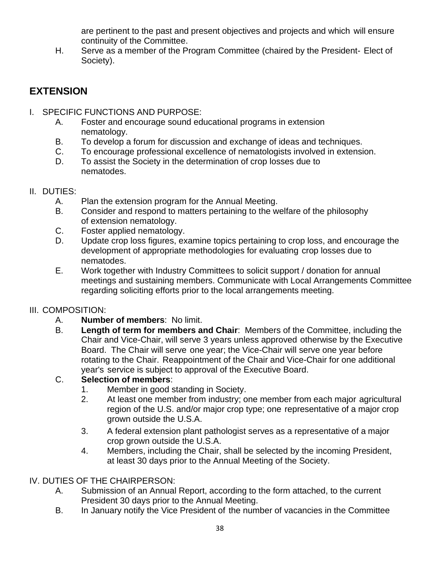are pertinent to the past and present objectives and projects and which will ensure continuity of the Committee.

H. Serve as a member of the Program Committee (chaired by the President- Elect of Society).

# **EXTENSION**

- I. SPECIFIC FUNCTIONS AND PURPOSE:
	- A. Foster and encourage sound educational programs in extension nematology.
	- B. To develop a forum for discussion and exchange of ideas and techniques.
	- C. To encourage professional excellence of nematologists involved in extension.
	- D. To assist the Society in the determination of crop losses due to nematodes.
- II. DUTIES:
	- A. Plan the extension program for the Annual Meeting.
	- B. Consider and respond to matters pertaining to the welfare of the philosophy of extension nematology.
	- C. Foster applied nematology.
	- D. Update crop loss figures, examine topics pertaining to crop loss, and encourage the development of appropriate methodologies for evaluating crop losses due to nematodes.
	- E. Work together with Industry Committees to solicit support / donation for annual meetings and sustaining members. Communicate with Local Arrangements Committee regarding soliciting efforts prior to the local arrangements meeting.

## III. COMPOSITION:

- A. **Number of members**: No limit.
- B. **Length of term for members and Chair**: Members of the Committee, including the Chair and Vice-Chair, will serve 3 years unless approved otherwise by the Executive Board. The Chair will serve one year; the Vice-Chair will serve one year before rotating to the Chair. Reappointment of the Chair and Vice-Chair for one additional year's service is subject to approval of the Executive Board.

## C. **Selection of members**:

- 1. Member in good standing in Society.
- 2. At least one member from industry; one member from each major agricultural region of the U.S. and/or major crop type; one representative of a major crop grown outside the U.S.A.
- 3. A federal extension plant pathologist serves as a representative of a major crop grown outside the U.S.A.
- 4. Members, including the Chair, shall be selected by the incoming President, at least 30 days prior to the Annual Meeting of the Society.

## IV. DUTIES OF THE CHAIRPERSON:

- A. Submission of an Annual Report, according to the form attached, to the current President 30 days prior to the Annual Meeting.
- B. In January notify the Vice President of the number of vacancies in the Committee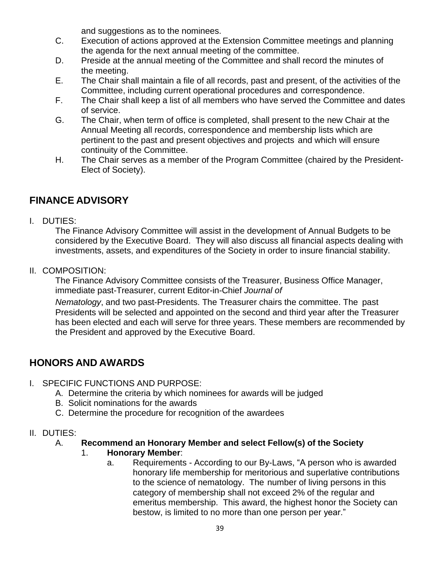and suggestions as to the nominees.

- C. Execution of actions approved at the Extension Committee meetings and planning the agenda for the next annual meeting of the committee.
- D. Preside at the annual meeting of the Committee and shall record the minutes of the meeting.
- E. The Chair shall maintain a file of all records, past and present, of the activities of the Committee, including current operational procedures and correspondence.
- F. The Chair shall keep a list of all members who have served the Committee and dates of service.
- G. The Chair, when term of office is completed, shall present to the new Chair at the Annual Meeting all records, correspondence and membership lists which are pertinent to the past and present objectives and projects and which will ensure continuity of the Committee.
- H. The Chair serves as a member of the Program Committee (chaired by the President-Elect of Society).

# **FINANCE ADVISORY**

I. DUTIES:

The Finance Advisory Committee will assist in the development of Annual Budgets to be considered by the Executive Board. They will also discuss all financial aspects dealing with investments, assets, and expenditures of the Society in order to insure financial stability.

II. COMPOSITION:

The Finance Advisory Committee consists of the Treasurer, Business Office Manager, immediate past-Treasurer, current Editor-in-Chief *Journal of*

*Nematology*, and two past-Presidents. The Treasurer chairs the committee. The past Presidents will be selected and appointed on the second and third year after the Treasurer has been elected and each will serve for three years. These members are recommended by the President and approved by the Executive Board.

# **HONORS AND AWARDS**

- I. SPECIFIC FUNCTIONS AND PURPOSE:
	- A. Determine the criteria by which nominees for awards will be judged
	- B. Solicit nominations for the awards
	- C. Determine the procedure for recognition of the awardees
- II. DUTIES:

## A. **Recommend an Honorary Member and select Fellow(s) of the Society**

- 1. **Honorary Member**:
	- a. Requirements According to our By-Laws, "A person who is awarded honorary life membership for meritorious and superlative contributions to the science of nematology. The number of living persons in this category of membership shall not exceed 2% of the regular and emeritus membership. This award, the highest honor the Society can bestow, is limited to no more than one person per year."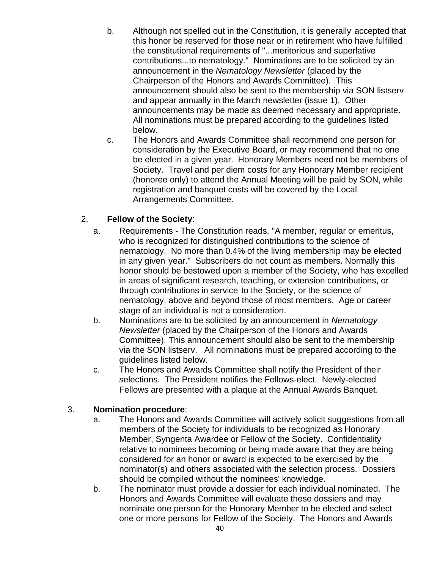- b. Although not spelled out in the Constitution, it is generally accepted that this honor be reserved for those near or in retirement who have fulfilled the constitutional requirements of "...meritorious and superlative contributions...to nematology." Nominations are to be solicited by an announcement in the *Nematology Newsletter* (placed by the Chairperson of the Honors and Awards Committee). This announcement should also be sent to the membership via SON listserv and appear annually in the March newsletter (issue 1). Other announcements may be made as deemed necessary and appropriate. All nominations must be prepared according to the guidelines listed below.
- c. The Honors and Awards Committee shall recommend one person for consideration by the Executive Board, or may recommend that no one be elected in a given year. Honorary Members need not be members of Society. Travel and per diem costs for any Honorary Member recipient (honoree only) to attend the Annual Meeting will be paid by SON, while registration and banquet costs will be covered by the Local Arrangements Committee.

### 2. **Fellow of the Society**:

- a. Requirements The Constitution reads, "A member, regular or emeritus, who is recognized for distinguished contributions to the science of nematology. No more than 0.4% of the living membership may be elected in any given year." Subscribers do not count as members. Normally this honor should be bestowed upon a member of the Society, who has excelled in areas of significant research, teaching, or extension contributions, or through contributions in service to the Society, or the science of nematology, above and beyond those of most members. Age or career stage of an individual is not a consideration.
- b. Nominations are to be solicited by an announcement in *Nematology Newsletter* (placed by the Chairperson of the Honors and Awards Committee). This announcement should also be sent to the membership via the SON listserv. All nominations must be prepared according to the guidelines listed below.
- c. The Honors and Awards Committee shall notify the President of their selections. The President notifies the Fellows-elect. Newly-elected Fellows are presented with a plaque at the Annual Awards Banquet.

#### 3. **Nomination procedure**:

- a. The Honors and Awards Committee will actively solicit suggestions from all members of the Society for individuals to be recognized as Honorary Member, Syngenta Awardee or Fellow of the Society. Confidentiality relative to nominees becoming or being made aware that they are being considered for an honor or award is expected to be exercised by the nominator(s) and others associated with the selection process. Dossiers should be compiled without the nominees' knowledge.
- b. The nominator must provide a dossier for each individual nominated. The Honors and Awards Committee will evaluate these dossiers and may nominate one person for the Honorary Member to be elected and select one or more persons for Fellow of the Society. The Honors and Awards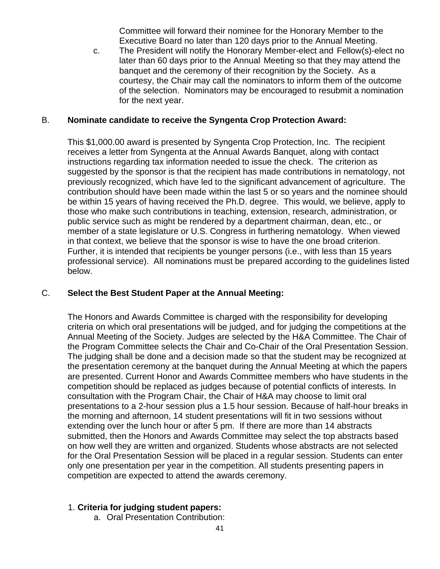Committee will forward their nominee for the Honorary Member to the Executive Board no later than 120 days prior to the Annual Meeting.

c. The President will notify the Honorary Member-elect and Fellow(s)-elect no later than 60 days prior to the Annual Meeting so that they may attend the banquet and the ceremony of their recognition by the Society. As a courtesy, the Chair may call the nominators to inform them of the outcome of the selection. Nominators may be encouraged to resubmit a nomination for the next year.

#### B. **Nominate candidate to receive the Syngenta Crop Protection Award:**

This \$1,000.00 award is presented by Syngenta Crop Protection, Inc. The recipient receives a letter from Syngenta at the Annual Awards Banquet, along with contact instructions regarding tax information needed to issue the check. The criterion as suggested by the sponsor is that the recipient has made contributions in nematology, not previously recognized, which have led to the significant advancement of agriculture. The contribution should have been made within the last 5 or so years and the nominee should be within 15 years of having received the Ph.D. degree. This would, we believe, apply to those who make such contributions in teaching, extension, research, administration, or public service such as might be rendered by a department chairman, dean, etc., or member of a state legislature or U.S. Congress in furthering nematology. When viewed in that context, we believe that the sponsor is wise to have the one broad criterion. Further, it is intended that recipients be younger persons (i.e., with less than 15 years professional service). All nominations must be prepared according to the guidelines listed below.

### C. **Select the Best Student Paper at the Annual Meeting:**

The Honors and Awards Committee is charged with the responsibility for developing criteria on which oral presentations will be judged, and for judging the competitions at the Annual Meeting of the Society. Judges are selected by the H&A Committee. The Chair of the Program Committee selects the Chair and Co-Chair of the Oral Presentation Session. The judging shall be done and a decision made so that the student may be recognized at the presentation ceremony at the banquet during the Annual Meeting at which the papers are presented. Current Honor and Awards Committee members who have students in the competition should be replaced as judges because of potential conflicts of interests. In consultation with the Program Chair, the Chair of H&A may choose to limit oral presentations to a 2-hour session plus a 1.5 hour session. Because of half-hour breaks in the morning and afternoon, 14 student presentations will fit in two sessions without extending over the lunch hour or after 5 pm. If there are more than 14 abstracts submitted, then the Honors and Awards Committee may select the top abstracts based on how well they are written and organized. Students whose abstracts are not selected for the Oral Presentation Session will be placed in a regular session. Students can enter only one presentation per year in the competition. All students presenting papers in competition are expected to attend the awards ceremony.

### 1. **Criteria for judging student papers:**

a. Oral Presentation Contribution: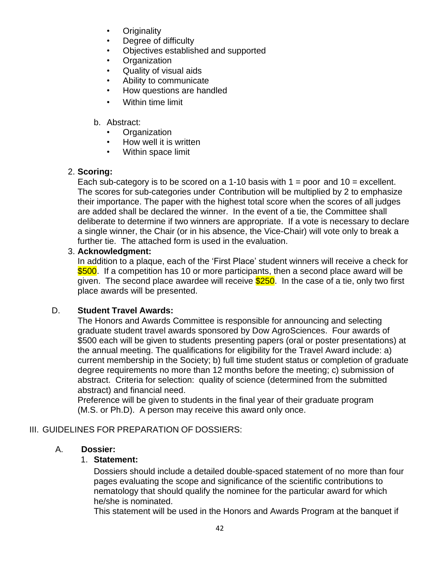- **Originality**
- Degree of difficulty
- Objectives established and supported
- **Organization**
- Quality of visual aids
- Ability to communicate
- How questions are handled
- Within time limit

### b. Abstract:

- **Organization**
- How well it is written
- Within space limit

## 2. **Scoring:**

Each sub-category is to be scored on a 1-10 basis with  $1 =$  poor and  $10 =$  excellent. The scores for sub-categories under Contribution will be multiplied by 2 to emphasize their importance. The paper with the highest total score when the scores of all judges are added shall be declared the winner. In the event of a tie, the Committee shall deliberate to determine if two winners are appropriate. If a vote is necessary to declare a single winner, the Chair (or in his absence, the Vice-Chair) will vote only to break a further tie. The attached form is used in the evaluation.

### 3. **Acknowledgment:**

In addition to a plaque, each of the 'First Place' student winners will receive a check for \$500. If a competition has 10 or more participants, then a second place award will be given. The second place awardee will receive **\$250**. In the case of a tie, only two first place awards will be presented.

## D. **Student Travel Awards:**

The Honors and Awards Committee is responsible for announcing and selecting graduate student travel awards sponsored by Dow AgroSciences. Four awards of \$500 each will be given to students presenting papers (oral or poster presentations) at the annual meeting. The qualifications for eligibility for the Travel Award include: a) current membership in the Society; b) full time student status or completion of graduate degree requirements no more than 12 months before the meeting; c) submission of abstract. Criteria for selection: quality of science (determined from the submitted abstract) and financial need.

Preference will be given to students in the final year of their graduate program (M.S. or Ph.D). A person may receive this award only once.

## III. GUIDELINES FOR PREPARATION OF DOSSIERS:

## A. **Dossier:**

### 1. **Statement:**

Dossiers should include a detailed double-spaced statement of no more than four pages evaluating the scope and significance of the scientific contributions to nematology that should qualify the nominee for the particular award for which he/she is nominated.

This statement will be used in the Honors and Awards Program at the banquet if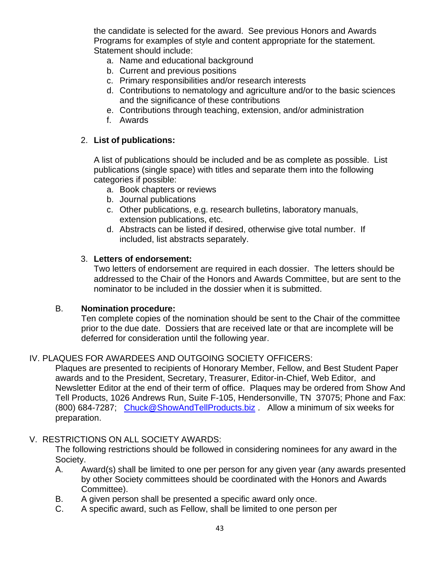the candidate is selected for the award. See previous Honors and Awards Programs for examples of style and content appropriate for the statement. Statement should include:

- a. Name and educational background
- b. Current and previous positions
- c. Primary responsibilities and/or research interests
- d. Contributions to nematology and agriculture and/or to the basic sciences and the significance of these contributions
- e. Contributions through teaching, extension, and/or administration
- f. Awards

#### 2. **List of publications:**

A list of publications should be included and be as complete as possible. List publications (single space) with titles and separate them into the following categories if possible:

- a. Book chapters or reviews
- b. Journal publications
- c. Other publications, e.g. research bulletins, laboratory manuals, extension publications, etc.
- d. Abstracts can be listed if desired, otherwise give total number. If included, list abstracts separately.

#### 3. **Letters of endorsement:**

Two letters of endorsement are required in each dossier. The letters should be addressed to the Chair of the Honors and Awards Committee, but are sent to the nominator to be included in the dossier when it is submitted.

#### B. **Nomination procedure:**

Ten complete copies of the nomination should be sent to the Chair of the committee prior to the due date. Dossiers that are received late or that are incomplete will be deferred for consideration until the following year.

### IV. PLAQUES FOR AWARDEES AND OUTGOING SOCIETY OFFICERS:

Plaques are presented to recipients of Honorary Member, Fellow, and Best Student Paper awards and to the President, Secretary, Treasurer, Editor-in-Chief, Web Editor, and Newsletter Editor at the end of their term of office. Plaques may be ordered from Show And Tell Products, 1026 Andrews Run, Suite F-105, Hendersonville, TN 37075; Phone and Fax: (800) 684-7287; [Chuck@ShowAndTellProducts.biz](mailto:Chuck@ShowAndTellProducts.biz) . Allow a minimum of six weeks for preparation.

### V. RESTRICTIONS ON ALL SOCIETY AWARDS:

The following restrictions should be followed in considering nominees for any award in the Society.

- A. Award(s) shall be limited to one per person for any given year (any awards presented by other Society committees should be coordinated with the Honors and Awards Committee).
- B. A given person shall be presented a specific award only once.
- C. A specific award, such as Fellow, shall be limited to one person per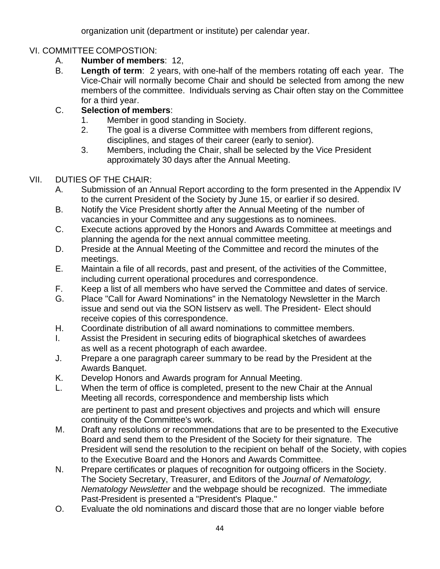organization unit (department or institute) per calendar year.

## VI. COMMITTEE COMPOSTION:

- A. **Number of members**: 12,
- B. **Length of term**: 2 years, with one-half of the members rotating off each year. The Vice-Chair will normally become Chair and should be selected from among the new members of the committee. Individuals serving as Chair often stay on the Committee for a third year.

## C. **Selection of members**:

- 1. Member in good standing in Society.
- 2. The goal is a diverse Committee with members from different regions, disciplines, and stages of their career (early to senior).
- 3. Members, including the Chair, shall be selected by the Vice President approximately 30 days after the Annual Meeting.

## VII. DUTIES OF THE CHAIR:

- A. Submission of an Annual Report according to the form presented in the Appendix IV to the current President of the Society by June 15, or earlier if so desired.
- B. Notify the Vice President shortly after the Annual Meeting of the number of vacancies in your Committee and any suggestions as to nominees.
- C. Execute actions approved by the Honors and Awards Committee at meetings and planning the agenda for the next annual committee meeting.
- D. Preside at the Annual Meeting of the Committee and record the minutes of the meetings.
- E. Maintain a file of all records, past and present, of the activities of the Committee, including current operational procedures and correspondence.
- F. Keep a list of all members who have served the Committee and dates of service.
- G. Place "Call for Award Nominations" in the Nematology Newsletter in the March issue and send out via the SON listserv as well. The President- Elect should receive copies of this correspondence.
- H. Coordinate distribution of all award nominations to committee members.
- I. Assist the President in securing edits of biographical sketches of awardees as well as a recent photograph of each awardee.
- J. Prepare a one paragraph career summary to be read by the President at the Awards Banquet.
- K. Develop Honors and Awards program for Annual Meeting.
- L. When the term of office is completed, present to the new Chair at the Annual Meeting all records, correspondence and membership lists which are pertinent to past and present objectives and projects and which will ensure continuity of the Committee's work.
- M. Draft any resolutions or recommendations that are to be presented to the Executive Board and send them to the President of the Society for their signature. The President will send the resolution to the recipient on behalf of the Society, with copies to the Executive Board and the Honors and Awards Committee.
- N. Prepare certificates or plaques of recognition for outgoing officers in the Society. The Society Secretary, Treasurer, and Editors of the *Journal of Nematology, Nematology Newsletter* and the webpage should be recognized. The immediate Past-President is presented a "President's Plaque."
- O. Evaluate the old nominations and discard those that are no longer viable before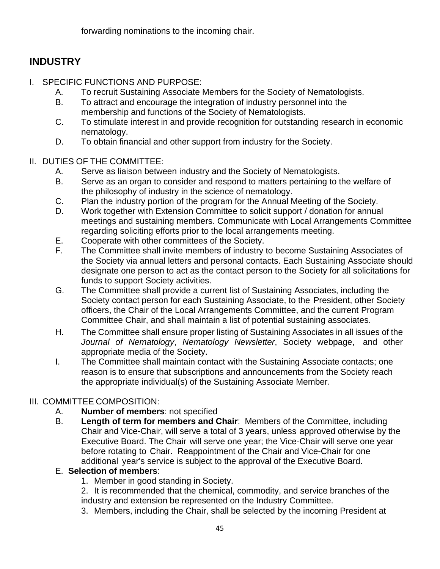forwarding nominations to the incoming chair.

# **INDUSTRY**

- I. SPECIFIC FUNCTIONS AND PURPOSE:
	- A. To recruit Sustaining Associate Members for the Society of Nematologists.
	- B. To attract and encourage the integration of industry personnel into the membership and functions of the Society of Nematologists.
	- C. To stimulate interest in and provide recognition for outstanding research in economic nematology.
	- D. To obtain financial and other support from industry for the Society.

## II. DUTIES OF THE COMMITTEE:

- A. Serve as liaison between industry and the Society of Nematologists.
- B. Serve as an organ to consider and respond to matters pertaining to the welfare of the philosophy of industry in the science of nematology.
- C. Plan the industry portion of the program for the Annual Meeting of the Society.
- D. Work together with Extension Committee to solicit support / donation for annual meetings and sustaining members. Communicate with Local Arrangements Committee regarding soliciting efforts prior to the local arrangements meeting.
- E. Cooperate with other committees of the Society.
- F. The Committee shall invite members of industry to become Sustaining Associates of the Society via annual letters and personal contacts. Each Sustaining Associate should designate one person to act as the contact person to the Society for all solicitations for funds to support Society activities.
- G. The Committee shall provide a current list of Sustaining Associates, including the Society contact person for each Sustaining Associate, to the President, other Society officers, the Chair of the Local Arrangements Committee, and the current Program Committee Chair, and shall maintain a list of potential sustaining associates.
- H. The Committee shall ensure proper listing of Sustaining Associates in all issues of the *Journal of Nematology*, *Nematology Newsletter*, Society webpage, and other appropriate media of the Society.
- I. The Committee shall maintain contact with the Sustaining Associate contacts; one reason is to ensure that subscriptions and announcements from the Society reach the appropriate individual(s) of the Sustaining Associate Member.

## III. COMMITTEE COMPOSITION:

- A. **Number of members**: not specified
- B. **Length of term for members and Chair**: Members of the Committee, including Chair and Vice-Chair, will serve a total of 3 years, unless approved otherwise by the Executive Board. The Chair will serve one year; the Vice-Chair will serve one year before rotating to Chair. Reappointment of the Chair and Vice-Chair for one additional year's service is subject to the approval of the Executive Board.

## E. **Selection of members**:

1. Member in good standing in Society.

2. It is recommended that the chemical, commodity, and service branches of the industry and extension be represented on the Industry Committee.

3. Members, including the Chair, shall be selected by the incoming President at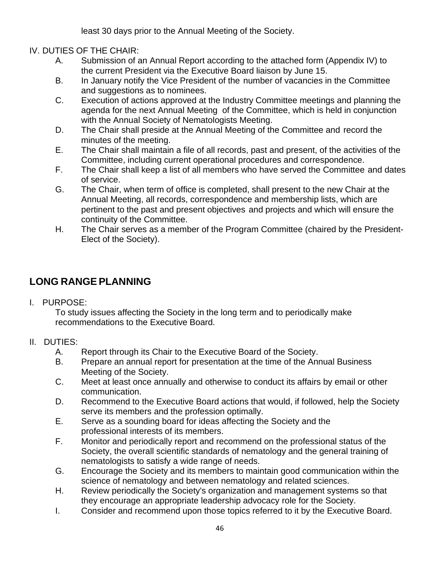least 30 days prior to the Annual Meeting of the Society.

## IV. DUTIES OF THE CHAIR:

- A. Submission of an Annual Report according to the attached form (Appendix IV) to the current President via the Executive Board liaison by June 15.
- B. In January notify the Vice President of the number of vacancies in the Committee and suggestions as to nominees.
- C. Execution of actions approved at the Industry Committee meetings and planning the agenda for the next Annual Meeting of the Committee, which is held in conjunction with the Annual Society of Nematologists Meeting.
- D. The Chair shall preside at the Annual Meeting of the Committee and record the minutes of the meeting.
- E. The Chair shall maintain a file of all records, past and present, of the activities of the Committee, including current operational procedures and correspondence.
- F. The Chair shall keep a list of all members who have served the Committee and dates of service.
- G. The Chair, when term of office is completed, shall present to the new Chair at the Annual Meeting, all records, correspondence and membership lists, which are pertinent to the past and present objectives and projects and which will ensure the continuity of the Committee.
- H. The Chair serves as a member of the Program Committee (chaired by the President-Elect of the Society).

# **LONG RANGEPLANNING**

I. PURPOSE:

To study issues affecting the Society in the long term and to periodically make recommendations to the Executive Board.

## II. DUTIES:

- A. Report through its Chair to the Executive Board of the Society.
- B. Prepare an annual report for presentation at the time of the Annual Business Meeting of the Society.
- C. Meet at least once annually and otherwise to conduct its affairs by email or other communication.
- D. Recommend to the Executive Board actions that would, if followed, help the Society serve its members and the profession optimally.
- E. Serve as a sounding board for ideas affecting the Society and the professional interests of its members.
- F. Monitor and periodically report and recommend on the professional status of the Society, the overall scientific standards of nematology and the general training of nematologists to satisfy a wide range of needs.
- G. Encourage the Society and its members to maintain good communication within the science of nematology and between nematology and related sciences.
- H. Review periodically the Society's organization and management systems so that they encourage an appropriate leadership advocacy role for the Society.
- I. Consider and recommend upon those topics referred to it by the Executive Board.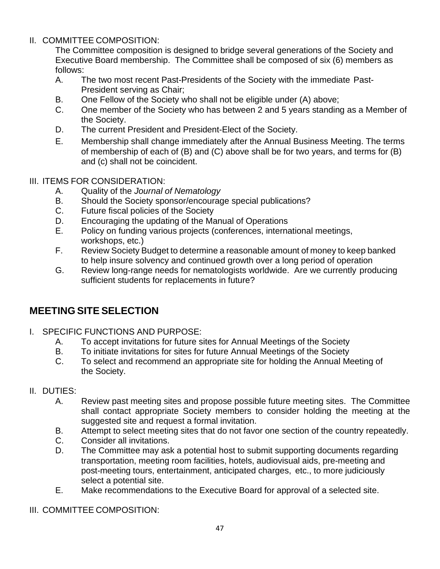#### II. COMMITTEE COMPOSITION:

The Committee composition is designed to bridge several generations of the Society and Executive Board membership. The Committee shall be composed of six (6) members as follows:

- A. The two most recent Past-Presidents of the Society with the immediate Past-President serving as Chair;
- B. One Fellow of the Society who shall not be eligible under (A) above;
- C. One member of the Society who has between 2 and 5 years standing as a Member of the Society.
- D. The current President and President-Elect of the Society.
- E. Membership shall change immediately after the Annual Business Meeting. The terms of membership of each of (B) and (C) above shall be for two years, and terms for (B) and (c) shall not be coincident.

#### III. ITEMS FOR CONSIDERATION:

- A. Quality of the *Journal of Nematology*
- B. Should the Society sponsor/encourage special publications?
- C. Future fiscal policies of the Society
- D. Encouraging the updating of the Manual of Operations
- E. Policy on funding various projects (conferences, international meetings, workshops, etc.)
- F. Review Society Budget to determine a reasonable amount of money to keep banked to help insure solvency and continued growth over a long period of operation
- G. Review long-range needs for nematologists worldwide. Are we currently producing sufficient students for replacements in future?

## **MEETING SITE SELECTION**

- I. SPECIFIC FUNCTIONS AND PURPOSE:
	- A. To accept invitations for future sites for Annual Meetings of the Society
	- B. To initiate invitations for sites for future Annual Meetings of the Society
	- C. To select and recommend an appropriate site for holding the Annual Meeting of the Society.

### II. DUTIES:

- A. Review past meeting sites and propose possible future meeting sites. The Committee shall contact appropriate Society members to consider holding the meeting at the suggested site and request a formal invitation.
- B. Attempt to select meeting sites that do not favor one section of the country repeatedly.
- C. Consider all invitations.
- D. The Committee may ask a potential host to submit supporting documents regarding transportation, meeting room facilities, hotels, audiovisual aids, pre-meeting and post-meeting tours, entertainment, anticipated charges, etc., to more judiciously select a potential site.
- E. Make recommendations to the Executive Board for approval of a selected site.
- III. COMMITTEE COMPOSITION: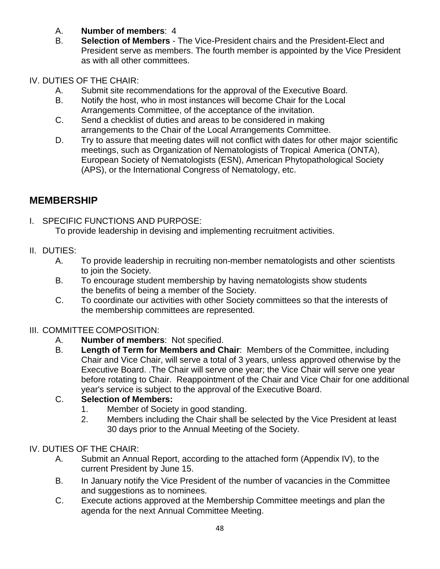- A. **Number of members**: 4
- B. **Selection of Members** The Vice-President chairs and the President-Elect and President serve as members. The fourth member is appointed by the Vice President as with all other committees.

## IV. DUTIES OF THE CHAIR:

- A. Submit site recommendations for the approval of the Executive Board.
- B. Notify the host, who in most instances will become Chair for the Local Arrangements Committee, of the acceptance of the invitation.
- C. Send a checklist of duties and areas to be considered in making arrangements to the Chair of the Local Arrangements Committee.
- D. Try to assure that meeting dates will not conflict with dates for other major scientific meetings, such as Organization of Nematologists of Tropical America (ONTA), European Society of Nematologists (ESN), American Phytopathological Society (APS), or the International Congress of Nematology, etc.

# **MEMBERSHIP**

- I. SPECIFIC FUNCTIONS AND PURPOSE: To provide leadership in devising and implementing recruitment activities.
- II. DUTIES:
	- A. To provide leadership in recruiting non-member nematologists and other scientists to join the Society.
	- B. To encourage student membership by having nematologists show students the benefits of being a member of the Society.
	- C. To coordinate our activities with other Society committees so that the interests of the membership committees are represented.

## III. COMMITTEE COMPOSITION:

- A. **Number of members**: Not specified.
- B. **Length of Term for Members and Chair**: Members of the Committee, including Chair and Vice Chair, will serve a total of 3 years, unless approved otherwise by the Executive Board. .The Chair will serve one year; the Vice Chair will serve one year before rotating to Chair. Reappointment of the Chair and Vice Chair for one additional year's service is subject to the approval of the Executive Board.

## C. **Selection of Members:**

- 1. Member of Society in good standing.
- 2. Members including the Chair shall be selected by the Vice President at least 30 days prior to the Annual Meeting of the Society.

## IV. DUTIES OF THE CHAIR:

- A. Submit an Annual Report, according to the attached form (Appendix IV), to the current President by June 15.
- B. In January notify the Vice President of the number of vacancies in the Committee and suggestions as to nominees.
- C. Execute actions approved at the Membership Committee meetings and plan the agenda for the next Annual Committee Meeting.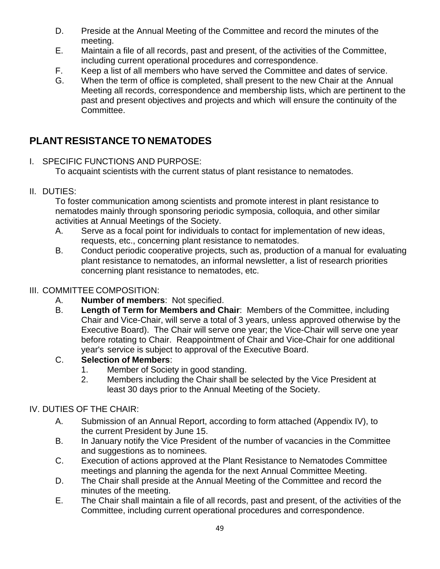- D. Preside at the Annual Meeting of the Committee and record the minutes of the meeting.
- E. Maintain a file of all records, past and present, of the activities of the Committee, including current operational procedures and correspondence.
- F. Keep a list of all members who have served the Committee and dates of service.
- G. When the term of office is completed, shall present to the new Chair at the Annual Meeting all records, correspondence and membership lists, which are pertinent to the past and present objectives and projects and which will ensure the continuity of the Committee.

# **PLANT RESISTANCE TO NEMATODES**

I. SPECIFIC FUNCTIONS AND PURPOSE:

To acquaint scientists with the current status of plant resistance to nematodes.

II. DUTIES:

To foster communication among scientists and promote interest in plant resistance to nematodes mainly through sponsoring periodic symposia, colloquia, and other similar activities at Annual Meetings of the Society.

- A. Serve as a focal point for individuals to contact for implementation of new ideas, requests, etc., concerning plant resistance to nematodes.
- B. Conduct periodic cooperative projects, such as, production of a manual for evaluating plant resistance to nematodes, an informal newsletter, a list of research priorities concerning plant resistance to nematodes, etc.

## III. COMMITTEE COMPOSITION:

- A. **Number of members**: Not specified.
- B. **Length of Term for Members and Chair**: Members of the Committee, including Chair and Vice-Chair, will serve a total of 3 years, unless approved otherwise by the Executive Board). The Chair will serve one year; the Vice-Chair will serve one year before rotating to Chair. Reappointment of Chair and Vice-Chair for one additional year's service is subject to approval of the Executive Board.
- C. **Selection of Members**:
	- 1. Member of Society in good standing.
	- 2. Members including the Chair shall be selected by the Vice President at least 30 days prior to the Annual Meeting of the Society.

## IV. DUTIES OF THE CHAIR:

- A. Submission of an Annual Report, according to form attached (Appendix IV), to the current President by June 15.
- B. In January notify the Vice President of the number of vacancies in the Committee and suggestions as to nominees.
- C. Execution of actions approved at the Plant Resistance to Nematodes Committee meetings and planning the agenda for the next Annual Committee Meeting.
- D. The Chair shall preside at the Annual Meeting of the Committee and record the minutes of the meeting.
- E. The Chair shall maintain a file of all records, past and present, of the activities of the Committee, including current operational procedures and correspondence.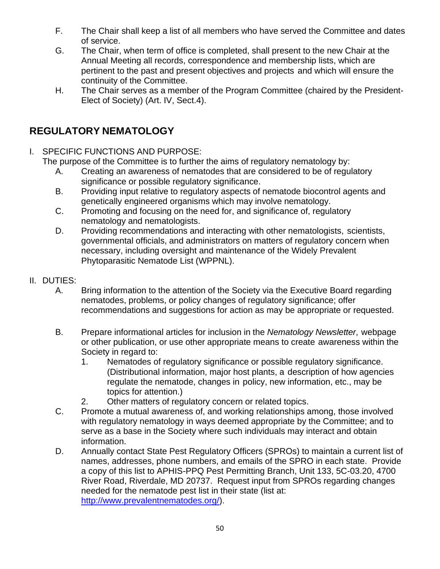- F. The Chair shall keep a list of all members who have served the Committee and dates of service.
- G. The Chair, when term of office is completed, shall present to the new Chair at the Annual Meeting all records, correspondence and membership lists, which are pertinent to the past and present objectives and projects and which will ensure the continuity of the Committee.
- H. The Chair serves as a member of the Program Committee (chaired by the President-Elect of Society) (Art. IV, Sect.4).

# **REGULATORY NEMATOLOGY**

I. SPECIFIC FUNCTIONS AND PURPOSE:

The purpose of the Committee is to further the aims of regulatory nematology by:

- A. Creating an awareness of nematodes that are considered to be of regulatory significance or possible regulatory significance.
- B. Providing input relative to regulatory aspects of nematode biocontrol agents and genetically engineered organisms which may involve nematology.
- C. Promoting and focusing on the need for, and significance of, regulatory nematology and nematologists.
- D. Providing recommendations and interacting with other nematologists, scientists, governmental officials, and administrators on matters of regulatory concern when necessary, including oversight and maintenance of the Widely Prevalent Phytoparasitic Nematode List (WPPNL).
- II. DUTIES:
	- A. Bring information to the attention of the Society via the Executive Board regarding nematodes, problems, or policy changes of regulatory significance; offer recommendations and suggestions for action as may be appropriate or requested.
	- B. Prepare informational articles for inclusion in the *Nematology Newsletter*, webpage or other publication, or use other appropriate means to create awareness within the Society in regard to:
		- 1. Nematodes of regulatory significance or possible regulatory significance. (Distributional information, major host plants, a description of how agencies regulate the nematode, changes in policy, new information, etc., may be topics for attention.)
		- 2. Other matters of regulatory concern or related topics.
	- C. Promote a mutual awareness of, and working relationships among, those involved with regulatory nematology in ways deemed appropriate by the Committee; and to serve as a base in the Society where such individuals may interact and obtain information.
	- D. Annually contact State Pest Regulatory Officers (SPROs) to maintain a current list of names, addresses, phone numbers, and emails of the SPRO in each state. Provide a copy of this list to APHIS-PPQ Pest Permitting Branch, Unit 133, 5C-03.20, 4700 River Road, Riverdale, MD 20737. Request input from SPROs regarding changes needed for the nematode pest list in their state (list at: [http://www.prevalentnematodes.org/\)](http://www.prevalentnematodes.org/).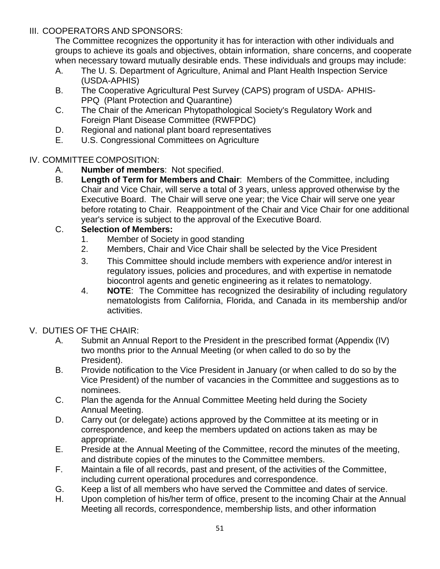### III. COOPERATORS AND SPONSORS:

The Committee recognizes the opportunity it has for interaction with other individuals and groups to achieve its goals and objectives, obtain information, share concerns, and cooperate when necessary toward mutually desirable ends. These individuals and groups may include:

- A. The U. S. Department of Agriculture, Animal and Plant Health Inspection Service (USDA-APHIS)
- B. The Cooperative Agricultural Pest Survey (CAPS) program of USDA- APHIS-PPQ (Plant Protection and Quarantine)
- C. The Chair of the American Phytopathological Society's Regulatory Work and Foreign Plant Disease Committee (RWFPDC)
- D. Regional and national plant board representatives<br>E. U.S. Congressional Committees on Agriculture
- U.S. Congressional Committees on Agriculture

## IV. COMMITTEE COMPOSITION:

- A. **Number of members**: Not specified.
- B. **Length of Term for Members and Chair**: Members of the Committee, including Chair and Vice Chair, will serve a total of 3 years, unless approved otherwise by the Executive Board. The Chair will serve one year; the Vice Chair will serve one year before rotating to Chair. Reappointment of the Chair and Vice Chair for one additional year's service is subject to the approval of the Executive Board.

## C. **Selection of Members:**

- 1. Member of Society in good standing
- 2. Members, Chair and Vice Chair shall be selected by the Vice President
- 3. This Committee should include members with experience and/or interest in regulatory issues, policies and procedures, and with expertise in nematode biocontrol agents and genetic engineering as it relates to nematology.
- 4. **NOTE**: The Committee has recognized the desirability of including regulatory nematologists from California, Florida, and Canada in its membership and/or activities.

## V. DUTIES OF THE CHAIR:

- A. Submit an Annual Report to the President in the prescribed format (Appendix (IV) two months prior to the Annual Meeting (or when called to do so by the President).
- B. Provide notification to the Vice President in January (or when called to do so by the Vice President) of the number of vacancies in the Committee and suggestions as to nominees.
- C. Plan the agenda for the Annual Committee Meeting held during the Society Annual Meeting.
- D. Carry out (or delegate) actions approved by the Committee at its meeting or in correspondence, and keep the members updated on actions taken as may be appropriate.
- E. Preside at the Annual Meeting of the Committee, record the minutes of the meeting, and distribute copies of the minutes to the Committee members.
- F. Maintain a file of all records, past and present, of the activities of the Committee, including current operational procedures and correspondence.
- G. Keep a list of all members who have served the Committee and dates of service.
- H. Upon completion of his/her term of office, present to the incoming Chair at the Annual Meeting all records, correspondence, membership lists, and other information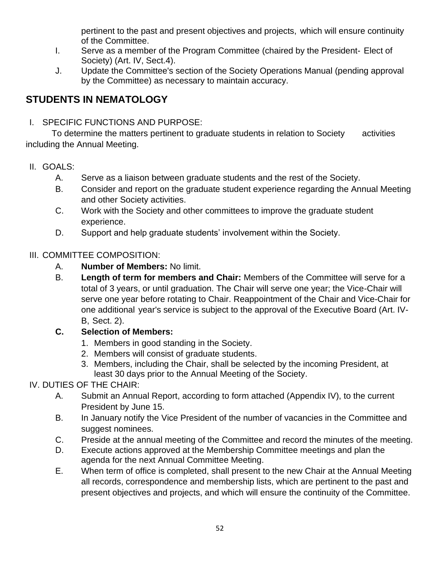pertinent to the past and present objectives and projects, which will ensure continuity of the Committee.

- I. Serve as a member of the Program Committee (chaired by the President- Elect of Society) (Art. IV, Sect.4).
- J. Update the Committee's section of the Society Operations Manual (pending approval by the Committee) as necessary to maintain accuracy.

# **STUDENTS IN NEMATOLOGY**

I. SPECIFIC FUNCTIONS AND PURPOSE:

To determine the matters pertinent to graduate students in relation to Society activities including the Annual Meeting.

- II. GOALS:
	- A. Serve as a liaison between graduate students and the rest of the Society.
	- B. Consider and report on the graduate student experience regarding the Annual Meeting and other Society activities.
	- C. Work with the Society and other committees to improve the graduate student experience.
	- D. Support and help graduate students' involvement within the Society.

## III. COMMITTEE COMPOSITION:

- A. **Number of Members:** No limit.
- B. **Length of term for members and Chair:** Members of the Committee will serve for a total of 3 years, or until graduation. The Chair will serve one year; the Vice-Chair will serve one year before rotating to Chair. Reappointment of the Chair and Vice-Chair for one additional year's service is subject to the approval of the Executive Board (Art. IV-B, Sect. 2).

## **C. Selection of Members:**

- 1. Members in good standing in the Society.
- 2. Members will consist of graduate students.
- 3. Members, including the Chair, shall be selected by the incoming President, at least 30 days prior to the Annual Meeting of the Society.

## IV. DUTIES OF THE CHAIR:

- A. Submit an Annual Report, according to form attached (Appendix IV), to the current President by June 15.
- B. In January notify the Vice President of the number of vacancies in the Committee and suggest nominees.
- C. Preside at the annual meeting of the Committee and record the minutes of the meeting.
- D. Execute actions approved at the Membership Committee meetings and plan the agenda for the next Annual Committee Meeting.
- E. When term of office is completed, shall present to the new Chair at the Annual Meeting all records, correspondence and membership lists, which are pertinent to the past and present objectives and projects, and which will ensure the continuity of the Committee.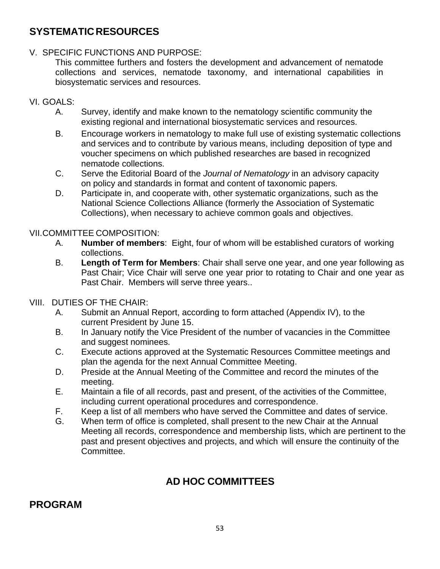## **SYSTEMATICRESOURCES**

### V. SPECIFIC FUNCTIONS AND PURPOSE:

This committee furthers and fosters the development and advancement of nematode collections and services, nematode taxonomy, and international capabilities in biosystematic services and resources.

### VI. GOALS:

- A. Survey, identify and make known to the nematology scientific community the existing regional and international biosystematic services and resources.
- B. Encourage workers in nematology to make full use of existing systematic collections and services and to contribute by various means, including deposition of type and voucher specimens on which published researches are based in recognized nematode collections.
- C. Serve the Editorial Board of the *Journal of Nematology* in an advisory capacity on policy and standards in format and content of taxonomic papers.
- D. Participate in, and cooperate with, other systematic organizations, such as the National Science Collections Alliance (formerly the Association of Systematic Collections), when necessary to achieve common goals and objectives.

### VII.COMMITTEE COMPOSITION:

- A. **Number of members**: Eight, four of whom will be established curators of working collections.
- B. **Length of Term for Members**: Chair shall serve one year, and one year following as Past Chair; Vice Chair will serve one year prior to rotating to Chair and one year as Past Chair. Members will serve three years..
- VIII. DUTIES OF THE CHAIR:
	- A. Submit an Annual Report, according to form attached (Appendix IV), to the current President by June 15.
	- B. In January notify the Vice President of the number of vacancies in the Committee and suggest nominees.
	- C. Execute actions approved at the Systematic Resources Committee meetings and plan the agenda for the next Annual Committee Meeting.
	- D. Preside at the Annual Meeting of the Committee and record the minutes of the meeting.
	- E. Maintain a file of all records, past and present, of the activities of the Committee, including current operational procedures and correspondence.
	- F. Keep a list of all members who have served the Committee and dates of service.
	- G. When term of office is completed, shall present to the new Chair at the Annual Meeting all records, correspondence and membership lists, which are pertinent to the past and present objectives and projects, and which will ensure the continuity of the Committee.

# **AD HOC COMMITTEES**

## **PROGRAM**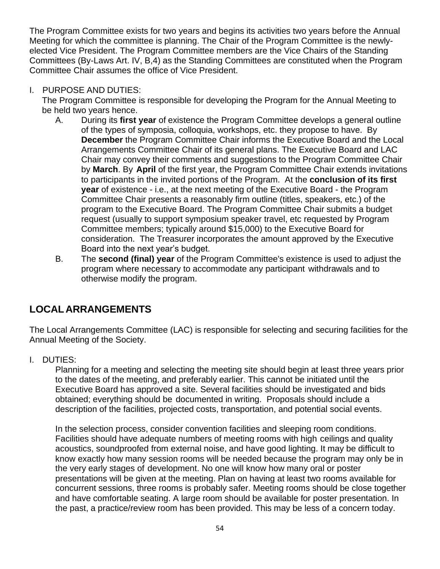The Program Committee exists for two years and begins its activities two years before the Annual Meeting for which the committee is planning. The Chair of the Program Committee is the newlyelected Vice President. The Program Committee members are the Vice Chairs of the Standing Committees (By-Laws Art. IV, B,4) as the Standing Committees are constituted when the Program Committee Chair assumes the office of Vice President.

### I. PURPOSE AND DUTIES:

The Program Committee is responsible for developing the Program for the Annual Meeting to be held two years hence.

- A. During its **first year** of existence the Program Committee develops a general outline of the types of symposia, colloquia, workshops, etc. they propose to have. By **December** the Program Committee Chair informs the Executive Board and the Local Arrangements Committee Chair of its general plans. The Executive Board and LAC Chair may convey their comments and suggestions to the Program Committee Chair by **March**. By **April** of the first year, the Program Committee Chair extends invitations to participants in the invited portions of the Program. At the **conclusion of its first year** of existence - i.e., at the next meeting of the Executive Board - the Program Committee Chair presents a reasonably firm outline (titles, speakers, etc.) of the program to the Executive Board. The Program Committee Chair submits a budget request (usually to support symposium speaker travel, etc requested by Program Committee members; typically around \$15,000) to the Executive Board for consideration. The Treasurer incorporates the amount approved by the Executive Board into the next year's budget.
- B. The **second (final) year** of the Program Committee's existence is used to adjust the program where necessary to accommodate any participant withdrawals and to otherwise modify the program.

## **LOCALARRANGEMENTS**

The Local Arrangements Committee (LAC) is responsible for selecting and securing facilities for the Annual Meeting of the Society.

I. DUTIES:

Planning for a meeting and selecting the meeting site should begin at least three years prior to the dates of the meeting, and preferably earlier. This cannot be initiated until the Executive Board has approved a site. Several facilities should be investigated and bids obtained; everything should be documented in writing. Proposals should include a description of the facilities, projected costs, transportation, and potential social events.

In the selection process, consider convention facilities and sleeping room conditions. Facilities should have adequate numbers of meeting rooms with high ceilings and quality acoustics, soundproofed from external noise, and have good lighting. It may be difficult to know exactly how many session rooms will be needed because the program may only be in the very early stages of development. No one will know how many oral or poster presentations will be given at the meeting. Plan on having at least two rooms available for concurrent sessions, three rooms is probably safer. Meeting rooms should be close together and have comfortable seating. A large room should be available for poster presentation. In the past, a practice/review room has been provided. This may be less of a concern today.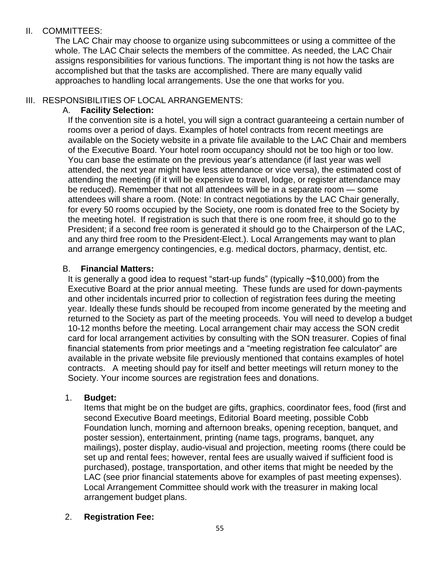### II. COMMITTEES:

The LAC Chair may choose to organize using subcommittees or using a committee of the whole. The LAC Chair selects the members of the committee. As needed, the LAC Chair assigns responsibilities for various functions. The important thing is not how the tasks are accomplished but that the tasks are accomplished. There are many equally valid approaches to handling local arrangements. Use the one that works for you.

### III. RESPONSIBILITIES OF LOCAL ARRANGEMENTS:

### A. **Facility Selection:**

If the convention site is a hotel, you will sign a contract guaranteeing a certain number of rooms over a period of days. Examples of hotel contracts from recent meetings are available on the Society website in a private file available to the LAC Chair and members of the Executive Board. Your hotel room occupancy should not be too high or too low. You can base the estimate on the previous year's attendance (if last year was well attended, the next year might have less attendance or vice versa), the estimated cost of attending the meeting (if it will be expensive to travel, lodge, or register attendance may be reduced). Remember that not all attendees will be in a separate room — some attendees will share a room. (Note: In contract negotiations by the LAC Chair generally, for every 50 rooms occupied by the Society, one room is donated free to the Society by the meeting hotel. If registration is such that there is one room free, it should go to the President; if a second free room is generated it should go to the Chairperson of the LAC, and any third free room to the President-Elect.). Local Arrangements may want to plan and arrange emergency contingencies, e.g. medical doctors, pharmacy, dentist, etc.

### B. **Financial Matters:**

It is generally a good idea to request "start-up funds" (typically ~\$10,000) from the Executive Board at the prior annual meeting. These funds are used for down-payments and other incidentals incurred prior to collection of registration fees during the meeting year. Ideally these funds should be recouped from income generated by the meeting and returned to the Society as part of the meeting proceeds. You will need to develop a budget 10-12 months before the meeting. Local arrangement chair may access the SON credit card for local arrangement activities by consulting with the SON treasurer. Copies of final financial statements from prior meetings and a "meeting registration fee calculator" are available in the private website file previously mentioned that contains examples of hotel contracts. A meeting should pay for itself and better meetings will return money to the Society. Your income sources are registration fees and donations.

### 1. **Budget:**

Items that might be on the budget are gifts, graphics, coordinator fees, food (first and second Executive Board meetings, Editorial Board meeting, possible Cobb Foundation lunch, morning and afternoon breaks, opening reception, banquet, and poster session), entertainment, printing (name tags, programs, banquet, any mailings), poster display, audio-visual and projection, meeting rooms (there could be set up and rental fees; however, rental fees are usually waived if sufficient food is purchased), postage, transportation, and other items that might be needed by the LAC (see prior financial statements above for examples of past meeting expenses). Local Arrangement Committee should work with the treasurer in making local arrangement budget plans.

## 2. **Registration Fee:**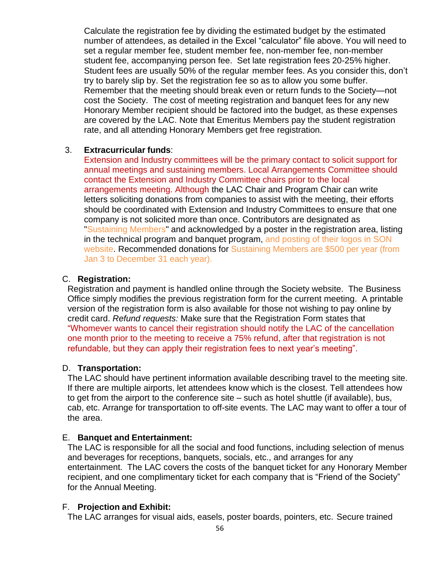Calculate the registration fee by dividing the estimated budget by the estimated number of attendees, as detailed in the Excel "calculator" file above. You will need to set a regular member fee, student member fee, non-member fee, non-member student fee, accompanying person fee. Set late registration fees 20-25% higher. Student fees are usually 50% of the regular member fees. As you consider this, don't try to barely slip by. Set the registration fee so as to allow you some buffer. Remember that the meeting should break even or return funds to the Society—not cost the Society. The cost of meeting registration and banquet fees for any new Honorary Member recipient should be factored into the budget, as these expenses are covered by the LAC. Note that Emeritus Members pay the student registration rate, and all attending Honorary Members get free registration.

#### 3. **Extracurricular funds**:

Extension and Industry committees will be the primary contact to solicit support for annual meetings and sustaining members. Local Arrangements Committee should contact the Extension and Industry Committee chairs prior to the local arrangements meeting. Although the LAC Chair and Program Chair can write letters soliciting donations from companies to assist with the meeting, their efforts should be coordinated with Extension and Industry Committees to ensure that one company is not solicited more than once. Contributors are designated as "Sustaining Members" and acknowledged by a poster in the registration area, listing in the technical program and banquet program, and posting of their logos in SON website. Recommended donations for Sustaining Members are \$500 per year (from Jan 3 to December 31 each year).

#### C. **Registration:**

Registration and payment is handled online through the Society website. The Business Office simply modifies the previous registration form for the current meeting. A printable version of the registration form is also available for those not wishing to pay online by credit card. *Refund requests:* Make sure that the Registration Form states that "Whomever wants to cancel their registration should notify the LAC of the cancellation one month prior to the meeting to receive a 75% refund, after that registration is not refundable, but they can apply their registration fees to next year's meeting".

#### D. **Transportation:**

The LAC should have pertinent information available describing travel to the meeting site. If there are multiple airports, let attendees know which is the closest. Tell attendees how to get from the airport to the conference site – such as hotel shuttle (if available), bus, cab, etc. Arrange for transportation to off-site events. The LAC may want to offer a tour of the area.

#### E. **Banquet and Entertainment:**

The LAC is responsible for all the social and food functions, including selection of menus and beverages for receptions, banquets, socials, etc., and arranges for any entertainment. The LAC covers the costs of the banquet ticket for any Honorary Member recipient, and one complimentary ticket for each company that is "Friend of the Society" for the Annual Meeting.

#### F. **Projection and Exhibit:**

The LAC arranges for visual aids, easels, poster boards, pointers, etc. Secure trained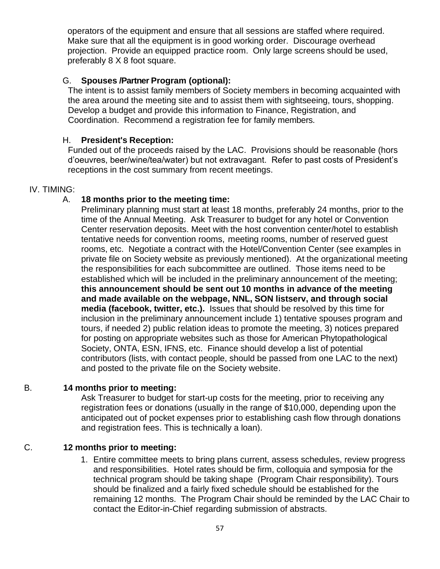operators of the equipment and ensure that all sessions are staffed where required. Make sure that all the equipment is in good working order. Discourage overhead projection. Provide an equipped practice room. Only large screens should be used, preferably 8 X 8 foot square.

#### G. **Spouses /Partner Program (optional):**

The intent is to assist family members of Society members in becoming acquainted with the area around the meeting site and to assist them with sightseeing, tours, shopping. Develop a budget and provide this information to Finance, Registration, and Coordination. Recommend a registration fee for family members.

#### H. **President's Reception:**

Funded out of the proceeds raised by the LAC. Provisions should be reasonable (hors d'oeuvres, beer/wine/tea/water) but not extravagant. Refer to past costs of President's receptions in the cost summary from recent meetings.

#### IV. TIMING:

#### A. **18 months prior to the meeting time:**

Preliminary planning must start at least 18 months, preferably 24 months, prior to the time of the Annual Meeting. Ask Treasurer to budget for any hotel or Convention Center reservation deposits. Meet with the host convention center/hotel to establish tentative needs for convention rooms, meeting rooms, number of reserved guest rooms, etc. Negotiate a contract with the Hotel/Convention Center (see examples in private file on Society website as previously mentioned). At the organizational meeting the responsibilities for each subcommittee are outlined. Those items need to be established which will be included in the preliminary announcement of the meeting; **this announcement should be sent out 10 months in advance of the meeting and made available on the webpage, NNL, SON listserv, and through social media (facebook, twitter, etc.).** Issues that should be resolved by this time for inclusion in the preliminary announcement include 1) tentative spouses program and tours, if needed 2) public relation ideas to promote the meeting, 3) notices prepared for posting on appropriate websites such as those for American Phytopathological Society, ONTA, ESN, IFNS, etc. Finance should develop a list of potential contributors (lists, with contact people, should be passed from one LAC to the next) and posted to the private file on the Society website.

#### B. **14 months prior to meeting:**

Ask Treasurer to budget for start-up costs for the meeting, prior to receiving any registration fees or donations (usually in the range of \$10,000, depending upon the anticipated out of pocket expenses prior to establishing cash flow through donations and registration fees. This is technically a loan).

### C. **12 months prior to meeting:**

1. Entire committee meets to bring plans current, assess schedules, review progress and responsibilities. Hotel rates should be firm, colloquia and symposia for the technical program should be taking shape (Program Chair responsibility). Tours should be finalized and a fairly fixed schedule should be established for the remaining 12 months. The Program Chair should be reminded by the LAC Chair to contact the Editor-in-Chief regarding submission of abstracts.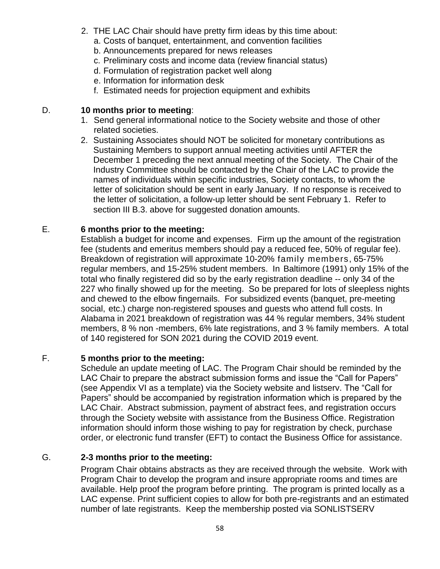- 2. THE LAC Chair should have pretty firm ideas by this time about:
	- a. Costs of banquet, entertainment, and convention facilities
	- b. Announcements prepared for news releases
	- c. Preliminary costs and income data (review financial status)
	- d. Formulation of registration packet well along
	- e. Information for information desk
	- f. Estimated needs for projection equipment and exhibits

#### D. **10 months prior to meeting**:

- 1. Send general informational notice to the Society website and those of other related societies.
- 2. Sustaining Associates should NOT be solicited for monetary contributions as Sustaining Members to support annual meeting activities until AFTER the December 1 preceding the next annual meeting of the Society. The Chair of the Industry Committee should be contacted by the Chair of the LAC to provide the names of individuals within specific industries, Society contacts, to whom the letter of solicitation should be sent in early January. If no response is received to the letter of solicitation, a follow-up letter should be sent February 1. Refer to section III B.3. above for suggested donation amounts.

### E. **6 months prior to the meeting:**

Establish a budget for income and expenses. Firm up the amount of the registration fee (students and emeritus members should pay a reduced fee, 50% of regular fee). Breakdown of registration will approximate 10-20% family members, 65-75% regular members, and 15-25% student members. In Baltimore (1991) only 15% of the total who finally registered did so by the early registration deadline -- only 34 of the 227 who finally showed up for the meeting. So be prepared for lots of sleepless nights and chewed to the elbow fingernails. For subsidized events (banquet, pre-meeting social, etc.) charge non-registered spouses and guests who attend full costs. In Alabama in 2021 breakdown of registration was 44 % regular members, 34% student members, 8 % non -members, 6% late registrations, and 3 % family members. A total of 140 registered for SON 2021 during the COVID 2019 event.

### F. **5 months prior to the meeting:**

Schedule an update meeting of LAC. The Program Chair should be reminded by the LAC Chair to prepare the abstract submission forms and issue the "Call for Papers" (see Appendix VI as a template) via the Society website and listserv. The "Call for Papers" should be accompanied by registration information which is prepared by the LAC Chair. Abstract submission, payment of abstract fees, and registration occurs through the Society website with assistance from the Business Office. Registration information should inform those wishing to pay for registration by check, purchase order, or electronic fund transfer (EFT) to contact the Business Office for assistance.

### G. **2-3 months prior to the meeting:**

Program Chair obtains abstracts as they are received through the website. Work with Program Chair to develop the program and insure appropriate rooms and times are available. Help proof the program before printing. The program is printed locally as a LAC expense. Print sufficient copies to allow for both pre-registrants and an estimated number of late registrants. Keep the membership posted via SONLISTSERV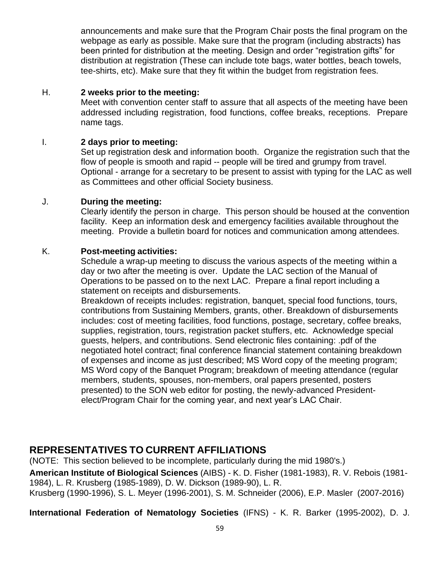announcements and make sure that the Program Chair posts the final program on the webpage as early as possible. Make sure that the program (including abstracts) has been printed for distribution at the meeting. Design and order "registration gifts" for distribution at registration (These can include tote bags, water bottles, beach towels, tee-shirts, etc). Make sure that they fit within the budget from registration fees.

#### H. **2 weeks prior to the meeting:**

Meet with convention center staff to assure that all aspects of the meeting have been addressed including registration, food functions, coffee breaks, receptions. Prepare name tags.

#### I. **2 days prior to meeting:**

Set up registration desk and information booth. Organize the registration such that the flow of people is smooth and rapid -- people will be tired and grumpy from travel. Optional - arrange for a secretary to be present to assist with typing for the LAC as well as Committees and other official Society business.

#### J. **During the meeting:**

Clearly identify the person in charge. This person should be housed at the convention facility. Keep an information desk and emergency facilities available throughout the meeting. Provide a bulletin board for notices and communication among attendees.

#### K. **Post-meeting activities:**

Schedule a wrap-up meeting to discuss the various aspects of the meeting within a day or two after the meeting is over. Update the LAC section of the Manual of Operations to be passed on to the next LAC. Prepare a final report including a statement on receipts and disbursements.

Breakdown of receipts includes: registration, banquet, special food functions, tours, contributions from Sustaining Members, grants, other. Breakdown of disbursements includes: cost of meeting facilities, food functions, postage, secretary, coffee breaks, supplies, registration, tours, registration packet stuffers, etc. Acknowledge special guests, helpers, and contributions. Send electronic files containing: .pdf of the negotiated hotel contract; final conference financial statement containing breakdown of expenses and income as just described; MS Word copy of the meeting program; MS Word copy of the Banquet Program; breakdown of meeting attendance (regular members, students, spouses, non-members, oral papers presented, posters presented) to the SON web editor for posting, the newly-advanced Presidentelect/Program Chair for the coming year, and next year's LAC Chair.

## **REPRESENTATIVES TO CURRENT AFFILIATIONS**

(NOTE: This section believed to be incomplete, particularly during the mid 1980's.) **American Institute of Biological Sciences** (AIBS) - K. D. Fisher (1981-1983), R. V. Rebois (1981- 1984), L. R. Krusberg (1985-1989), D. W. Dickson (1989-90), L. R. Krusberg (1990-1996), S. L. Meyer (1996-2001), S. M. Schneider (2006), E.P. Masler (2007-2016)

**International Federation of Nematology Societies** (IFNS) - K. R. Barker (1995-2002), D. J.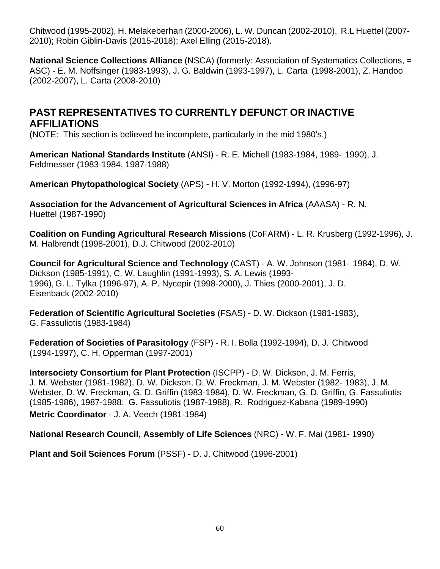Chitwood (1995-2002), H. Melakeberhan (2000-2006), L. W. Duncan (2002-2010), R.L Huettel (2007- 2010); Robin Giblin-Davis (2015-2018); Axel Elling (2015-2018).

**National Science Collections Alliance** (NSCA) (formerly: Association of Systematics Collections, = ASC) - E. M. Noffsinger (1983-1993), J. G. Baldwin (1993-1997), L. Carta (1998-2001), Z. Handoo (2002-2007), L. Carta (2008-2010)

## **PAST REPRESENTATIVES TO CURRENTLY DEFUNCT OR INACTIVE AFFILIATIONS**

(NOTE: This section is believed be incomplete, particularly in the mid 1980's.)

**American National Standards Institute** (ANSI) - R. E. Michell (1983-1984, 1989- 1990), J. Feldmesser (1983-1984, 1987-1988)

**American Phytopathological Society** (APS) - H. V. Morton (1992-1994), (1996-97)

**Association for the Advancement of Agricultural Sciences in Africa** (AAASA) - R. N. Huettel (1987-1990)

**Coalition on Funding Agricultural Research Missions** (CoFARM) - L. R. Krusberg (1992-1996), J. M. Halbrendt (1998-2001), D.J. Chitwood (2002-2010)

**Council for Agricultural Science and Technology** (CAST) - A. W. Johnson (1981- 1984), D. W. Dickson (1985-1991), C. W. Laughlin (1991-1993), S. A. Lewis (1993- 1996), G. L. Tylka (1996-97), A. P. Nycepir (1998-2000), J. Thies (2000-2001), J. D. Eisenback (2002-2010)

**Federation of Scientific Agricultural Societies** (FSAS) - D. W. Dickson (1981-1983), G. Fassuliotis (1983-1984)

**Federation of Societies of Parasitology** (FSP) - R. I. Bolla (1992-1994), D. J. Chitwood (1994-1997), C. H. Opperman (1997-2001)

**Intersociety Consortium for Plant Protection** (ISCPP) - D. W. Dickson, J. M. Ferris, J. M. Webster (1981-1982), D. W. Dickson, D. W. Freckman, J. M. Webster (1982- 1983), J. M. Webster, D. W. Freckman, G. D. Griffin (1983-1984), D. W. Freckman, G. D. Griffin, G. Fassuliotis (1985-1986), 1987-1988: G. Fassuliotis (1987-1988), R. Rodriguez-Kabana (1989-1990) **Metric Coordinator** - J. A. Veech (1981-1984)

**National Research Council, Assembly of Life Sciences** (NRC) - W. F. Mai (1981- 1990)

**Plant and Soil Sciences Forum** (PSSF) - D. J. Chitwood (1996-2001)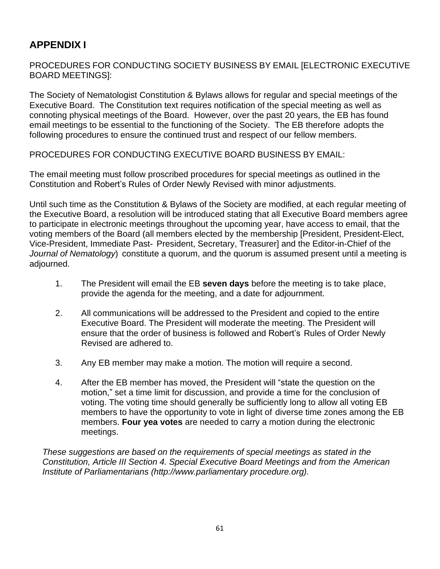# **APPENDIX I**

PROCEDURES FOR CONDUCTING SOCIETY BUSINESS BY EMAIL [ELECTRONIC EXECUTIVE BOARD MEETINGS]:

The Society of Nematologist Constitution & Bylaws allows for regular and special meetings of the Executive Board. The Constitution text requires notification of the special meeting as well as connoting physical meetings of the Board. However, over the past 20 years, the EB has found email meetings to be essential to the functioning of the Society. The EB therefore adopts the following procedures to ensure the continued trust and respect of our fellow members.

PROCEDURES FOR CONDUCTING EXECUTIVE BOARD BUSINESS BY EMAIL:

The email meeting must follow proscribed procedures for special meetings as outlined in the Constitution and Robert's Rules of Order Newly Revised with minor adjustments.

Until such time as the Constitution & Bylaws of the Society are modified, at each regular meeting of the Executive Board, a resolution will be introduced stating that all Executive Board members agree to participate in electronic meetings throughout the upcoming year, have access to email, that the voting members of the Board (all members elected by the membership [President, President-Elect, Vice-President, Immediate Past- President, Secretary, Treasurer] and the Editor-in-Chief of the *Journal of Nematology*) constitute a quorum, and the quorum is assumed present until a meeting is adjourned.

- 1. The President will email the EB **seven days** before the meeting is to take place, provide the agenda for the meeting, and a date for adjournment.
- 2. All communications will be addressed to the President and copied to the entire Executive Board. The President will moderate the meeting. The President will ensure that the order of business is followed and Robert's Rules of Order Newly Revised are adhered to.
- 3. Any EB member may make a motion. The motion will require a second.
- 4. After the EB member has moved, the President will "state the question on the motion," set a time limit for discussion, and provide a time for the conclusion of voting. The voting time should generally be sufficiently long to allow all voting EB members to have the opportunity to vote in light of diverse time zones among the EB members. **Four yea votes** are needed to carry a motion during the electronic meetings.

*These suggestions are based on the requirements of special meetings as stated in the Constitution, Article III Section 4. Special Executive Board Meetings and from the American Institute of Parliamentarians (http://www.parliamentary procedure.org).*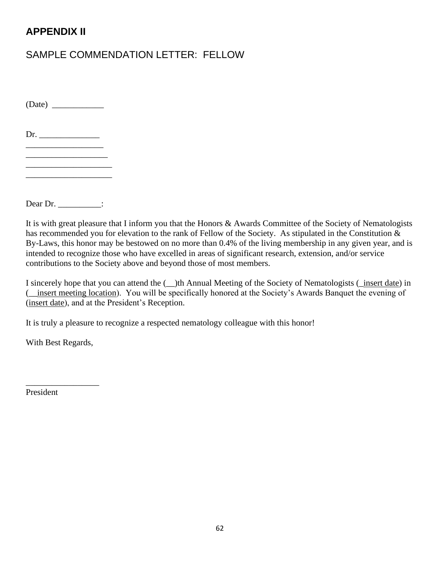# **APPENDIX II**

# SAMPLE COMMENDATION LETTER: FELLOW

 $(Date)$ 

 $Dr.$ 

 $\frac{1}{2}$  ,  $\frac{1}{2}$  ,  $\frac{1}{2}$  ,  $\frac{1}{2}$  ,  $\frac{1}{2}$  ,  $\frac{1}{2}$  ,  $\frac{1}{2}$  ,  $\frac{1}{2}$  ,  $\frac{1}{2}$  ,  $\frac{1}{2}$  ,  $\frac{1}{2}$  ,  $\frac{1}{2}$  ,  $\frac{1}{2}$  ,  $\frac{1}{2}$  ,  $\frac{1}{2}$  ,  $\frac{1}{2}$  ,  $\frac{1}{2}$  ,  $\frac{1}{2}$  ,  $\frac{1$ \_\_\_\_\_\_\_\_\_\_\_\_\_\_\_\_\_\_\_ \_\_\_\_\_\_\_\_\_\_\_\_\_\_\_\_\_\_\_\_

Dear Dr. \_\_\_\_\_\_\_\_\_\_:

It is with great pleasure that I inform you that the Honors & Awards Committee of the Society of Nematologists has recommended you for elevation to the rank of Fellow of the Society. As stipulated in the Constitution & By-Laws, this honor may be bestowed on no more than 0.4% of the living membership in any given year, and is intended to recognize those who have excelled in areas of significant research, extension, and/or service contributions to the Society above and beyond those of most members.

I sincerely hope that you can attend the (\_\_)th Annual Meeting of the Society of Nematologists (\_insert date) in (\_\_insert meeting location). You will be specifically honored at the Society's Awards Banquet the evening of (insert date), and at the President's Reception.

It is truly a pleasure to recognize a respected nematology colleague with this honor!

With Best Regards,

\_\_\_\_\_\_\_\_\_\_\_\_\_\_\_\_\_

President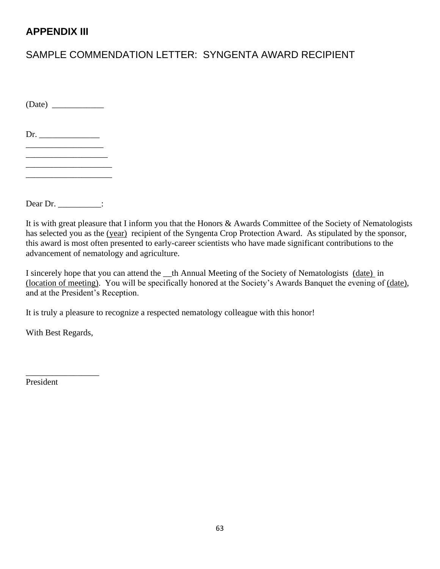# **APPENDIX III**

# SAMPLE COMMENDATION LETTER: SYNGENTA AWARD RECIPIENT

 $(Date)$ 

 $Dr.$ 

 $\_$ \_\_\_\_\_\_\_\_\_\_\_\_\_\_\_\_\_\_\_ \_\_\_\_\_\_\_\_\_\_\_\_\_\_\_\_\_\_\_\_

Dear Dr. \_\_\_\_\_\_\_\_\_\_:

It is with great pleasure that I inform you that the Honors & Awards Committee of the Society of Nematologists has selected you as the (year) recipient of the Syngenta Crop Protection Award. As stipulated by the sponsor, this award is most often presented to early-career scientists who have made significant contributions to the advancement of nematology and agriculture.

I sincerely hope that you can attend the \_\_th Annual Meeting of the Society of Nematologists (date) in (location of meeting). You will be specifically honored at the Society's Awards Banquet the evening of (date), and at the President's Reception.

It is truly a pleasure to recognize a respected nematology colleague with this honor!

With Best Regards,

\_\_\_\_\_\_\_\_\_\_\_\_\_\_\_\_\_

President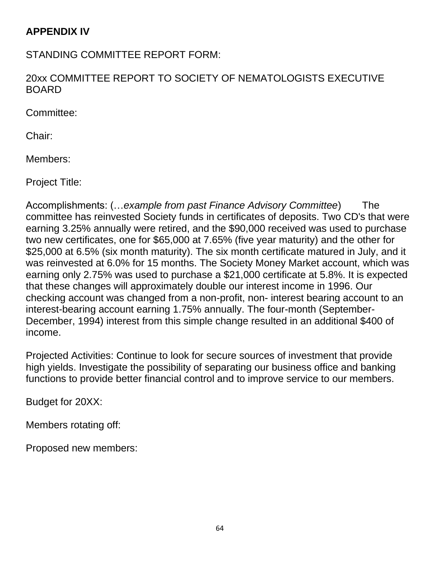## **APPENDIX IV**

STANDING COMMITTEE REPORT FORM:

20xx COMMITTEE REPORT TO SOCIETY OF NEMATOLOGISTS EXECUTIVE BOARD

Committee:

Chair:

Members:

Project Title:

Accomplishments: (…*example from past Finance Advisory Committee*) The committee has reinvested Society funds in certificates of deposits. Two CD's that were earning 3.25% annually were retired, and the \$90,000 received was used to purchase two new certificates, one for \$65,000 at 7.65% (five year maturity) and the other for \$25,000 at 6.5% (six month maturity). The six month certificate matured in July, and it was reinvested at 6.0% for 15 months. The Society Money Market account, which was earning only 2.75% was used to purchase a \$21,000 certificate at 5.8%. It is expected that these changes will approximately double our interest income in 1996. Our checking account was changed from a non-profit, non- interest bearing account to an interest-bearing account earning 1.75% annually. The four-month (September-December, 1994) interest from this simple change resulted in an additional \$400 of income.

Projected Activities: Continue to look for secure sources of investment that provide high yields. Investigate the possibility of separating our business office and banking functions to provide better financial control and to improve service to our members.

Budget for 20XX:

Members rotating off:

Proposed new members: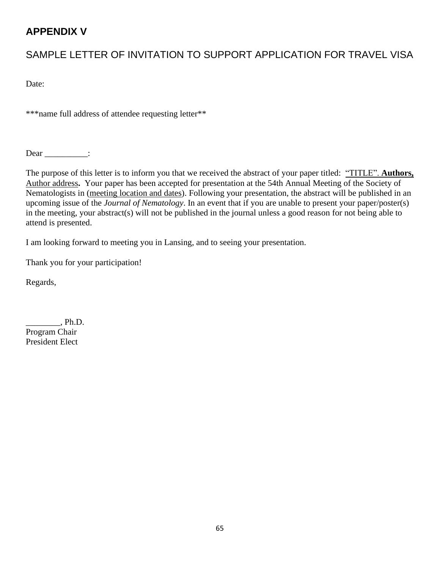# **APPENDIX V**

# SAMPLE LETTER OF INVITATION TO SUPPORT APPLICATION FOR TRAVEL VISA

Date:

\*\*\*name full address of attendee requesting letter\*\*

Dear \_\_\_\_\_\_\_\_\_\_\_:

The purpose of this letter is to inform you that we received the abstract of your paper titled: "TITLE". **Authors,**  Author address**.** Your paper has been accepted for presentation at the 54th Annual Meeting of the Society of Nematologists in (meeting location and dates). Following your presentation, the abstract will be published in an upcoming issue of the *Journal of Nematology*. In an event that if you are unable to present your paper/poster(s) in the meeting, your abstract(s) will not be published in the journal unless a good reason for not being able to attend is presented.

I am looking forward to meeting you in Lansing, and to seeing your presentation.

Thank you for your participation!

Regards,

\_\_\_\_\_\_\_\_, Ph.D. Program Chair President Elect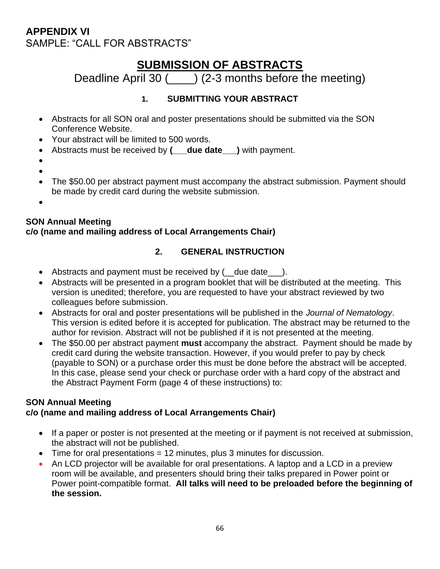# **APPENDIX VI** SAMPLE: "CALL FOR ABSTRACTS"

# **SUBMISSION OF ABSTRACTS**

Deadline April 30 ( $\overline{\phantom{0}}$ ) (2-3 months before the meeting)

## **1. SUBMITTING YOUR ABSTRACT**

- Abstracts for all SON oral and poster presentations should be submitted via the SON Conference Website.
- Your abstract will be limited to 500 words.
- Abstracts must be received by **(\_\_\_due date\_\_\_)** with payment.
- •
- •
- The \$50.00 per abstract payment must accompany the abstract submission. Payment should be made by credit card during the website submission.
- •

### **SON Annual Meeting c/o (name and mailing address of Local Arrangements Chair)**

## **2. GENERAL INSTRUCTION**

- Abstracts and payment must be received by ( \_\_ due date \_\_\_\_).
- Abstracts will be presented in a program booklet that will be distributed at the meeting. This version is unedited; therefore, you are requested to have your abstract reviewed by two colleagues before submission.
- Abstracts for oral and poster presentations will be published in the *Journal of Nematology*. This version is edited before it is accepted for publication. The abstract may be returned to the author for revision. Abstract will not be published if it is not presented at the meeting.
- The \$50.00 per abstract payment **must** accompany the abstract. Payment should be made by credit card during the website transaction. However, if you would prefer to pay by check (payable to SON) or a purchase order this must be done before the abstract will be accepted. In this case, please send your check or purchase order with a hard copy of the abstract and the Abstract Payment Form (page 4 of these instructions) to:

#### **SON Annual Meeting c/o (name and mailing address of Local Arrangements Chair)**

- If a paper or poster is not presented at the meeting or if payment is not received at submission, the abstract will not be published.
- Time for oral presentations = 12 minutes, plus 3 minutes for discussion.
- An LCD projector will be available for oral presentations. A laptop and a LCD in a preview room will be available, and presenters should bring their talks prepared in Power point or Power point-compatible format. **All talks will need to be preloaded before the beginning of the session.**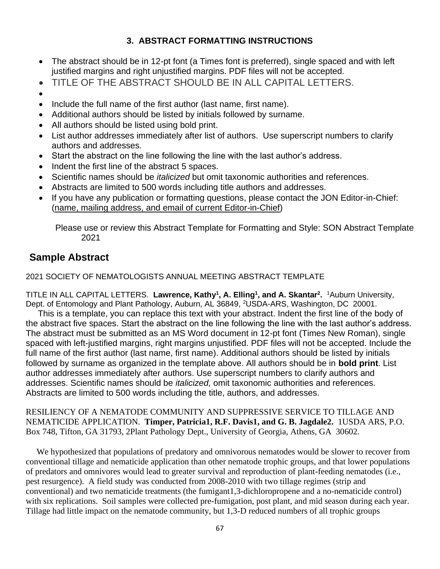### **3. ABSTRACT FORMATTING INSTRUCTIONS**

- The abstract should be in 12-pt font (a Times font is preferred), single spaced and with left justified margins and right unjustified margins. PDF files will not be accepted.
- TITLE OF THE ABSTRACT SHOULD BE IN ALL CAPITAL LETTERS.
- •
- Include the full name of the first author (last name, first name).
- Additional authors should be listed by initials followed by surname.
- All authors should be listed using bold print.
- List author addresses immediately after list of authors. Use superscript numbers to clarify authors and addresses.
- Start the abstract on the line following the line with the last author's address.
- Indent the first line of the abstract 5 spaces.
- Scientific names should be *italicized* but omit taxonomic authorities and references.
- Abstracts are limited to 500 words including title authors and addresses.
- If you have any publication or formatting questions, please contact the JON Editor-in-Chief: (name, mailing address, and email of current Editor-in-Chief)

Please use or review this Abstract Template for Formatting and Style: SON Abstract Template 2021

# **Sample Abstract**

2021 SOCIETY OF NEMATOLOGISTS ANNUAL MEETING ABSTRACT TEMPLATE

TITLE IN ALL CAPITAL LETTERS. Lawrence, Kathy<sup>1</sup>, A. Elling<sup>1</sup>, and A. Skantar<sup>2</sup>. <sup>1</sup>Auburn University, Dept. of Entomology and Plant Pathology, Auburn, AL 36849, <sup>2</sup>USDA-ARS, Washington, DC 20001.

 This is a template, you can replace this text with your abstract. Indent the first line of the body of the abstract five spaces. Start the abstract on the line following the line with the last author's address. The abstract must be submitted as an MS Word document in 12-pt font (Times New Roman), single spaced with left-justified margins, right margins unjustified. PDF files will not be accepted. Include the full name of the first author (last name, first name). Additional authors should be listed by initials followed by surname as organized in the template above. All authors should be in **bold print**. List author addresses immediately after authors. Use superscript numbers to clarify authors and addresses. Scientific names should be *italicized,* omit taxonomic authorities and references. Abstracts are limited to 500 words including the title, authors, and addresses.

RESILIENCY OF A NEMATODE COMMUNITY AND SUPPRESSIVE SERVICE TO TILLAGE AND NEMATICIDE APPLICATION. **Timper, Patricia1, R.F. Davis1, and G. B. Jagdale2.** 1USDA ARS, P.O. Box 748, Tifton, GA 31793, 2Plant Pathology Dept., University of Georgia, Athens, GA 30602.

 We hypothesized that populations of predatory and omnivorous nematodes would be slower to recover from conventional tillage and nematicide application than other nematode trophic groups, and that lower populations of predators and omnivores would lead to greater survival and reproduction of plant-feeding nematodes (i.e., pest resurgence). A field study was conducted from 2008-2010 with two tillage regimes (strip and conventional) and two nematicide treatments (the fumigant1,3-dichloropropene and a no-nematicide control) with six replications. Soil samples were collected pre-fumigation, post plant, and mid season during each year. Tillage had little impact on the nematode community, but 1,3-D reduced numbers of all trophic groups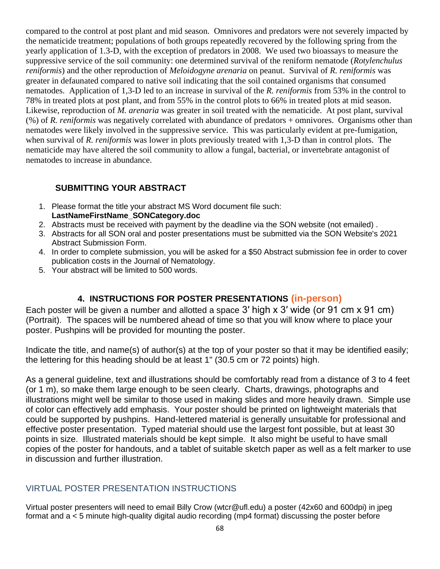compared to the control at post plant and mid season. Omnivores and predators were not severely impacted by the nematicide treatment; populations of both groups repeatedly recovered by the following spring from the yearly application of 1.3-D, with the exception of predators in 2008. We used two bioassays to measure the suppressive service of the soil community: one determined survival of the reniform nematode (*Rotylenchulus reniformis*) and the other reproduction of *Meloidogyne arenaria* on peanut. Survival of *R. reniformis* was greater in defaunated compared to native soil indicating that the soil contained organisms that consumed nematodes. Application of 1,3-D led to an increase in survival of the *R. reniformis* from 53% in the control to 78% in treated plots at post plant, and from 55% in the control plots to 66% in treated plots at mid season. Likewise, reproduction of *M. arenaria* was greater in soil treated with the nematicide. At post plant, survival (%) of *R. reniformis* was negatively correlated with abundance of predators + omnivores. Organisms other than nematodes were likely involved in the suppressive service. This was particularly evident at pre-fumigation, when survival of *R. reniformis* was lower in plots previously treated with 1,3-D than in control plots. The nematicide may have altered the soil community to allow a fungal, bacterial, or invertebrate antagonist of nematodes to increase in abundance.

### **SUBMITTING YOUR ABSTRACT**

- 1. Please format the title your abstract MS Word document file such: **LastNameFirstName\_SONCategory.doc**
- 2. Abstracts must be received with payment by the deadline via the SON website (not emailed) .
- 3. Abstracts for all SON oral and poster presentations must be submitted via the SON Website's 2021 Abstract Submission Form.
- 4. In order to complete submission, you will be asked for a \$50 Abstract submission fee in order to cover publication costs in the Journal of Nematology.
- 5. Your abstract will be limited to 500 words.

## **4. INSTRUCTIONS FOR POSTER PRESENTATIONS (in-person)**

Each poster will be given a number and allotted a space 3' high x 3' wide (or 91 cm x 91 cm) (Portrait). The spaces will be numbered ahead of time so that you will know where to place your poster. Pushpins will be provided for mounting the poster.

Indicate the title, and name(s) of author(s) at the top of your poster so that it may be identified easily; the lettering for this heading should be at least 1" (30.5 cm or 72 points) high.

As a general guideline, text and illustrations should be comfortably read from a distance of 3 to 4 feet (or 1 m), so make them large enough to be seen clearly. Charts, drawings, photographs and illustrations might well be similar to those used in making slides and more heavily drawn. Simple use of color can effectively add emphasis. Your poster should be printed on lightweight materials that could be supported by pushpins. Hand-lettered material is generally unsuitable for professional and effective poster presentation. Typed material should use the largest font possible, but at least 30 points in size. Illustrated materials should be kept simple. It also might be useful to have small copies of the poster for handouts, and a tablet of suitable sketch paper as well as a felt marker to use in discussion and further illustration.

### VIRTUAL POSTER PRESENTATION INSTRUCTIONS

Virtual poster presenters will need to email Billy Crow (wtcr@ufl.edu) a poster (42x60 and 600dpi) in jpeg format and a < 5 minute high-quality digital audio recording (mp4 format) discussing the poster before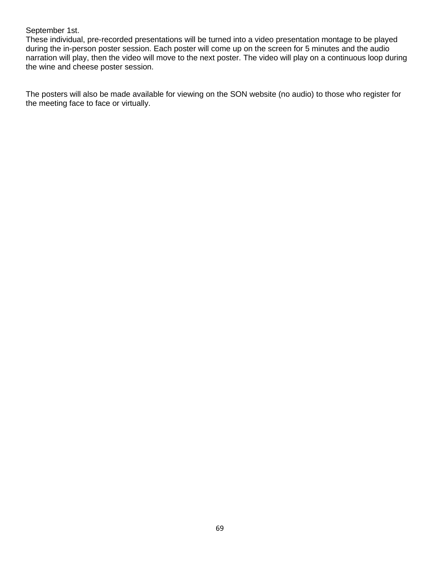#### September 1st.

These individual, pre-recorded presentations will be turned into a video presentation montage to be played during the in-person poster session. Each poster will come up on the screen for 5 minutes and the audio narration will play, then the video will move to the next poster. The video will play on a continuous loop during the wine and cheese poster session.

The posters will also be made available for viewing on the SON website (no audio) to those who register for the meeting face to face or virtually.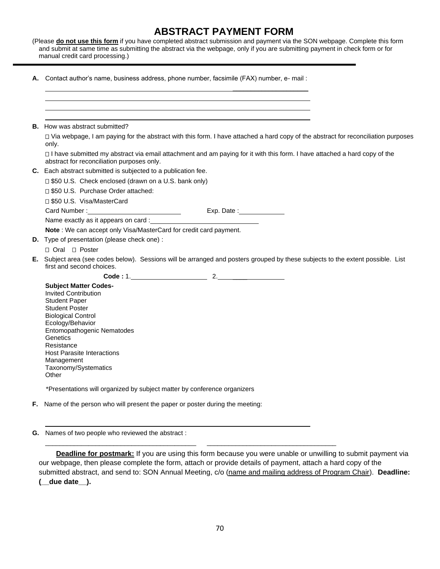## **ABSTRACT PAYMENT FORM**

(Please **do not use this form** if you have completed abstract submission and payment via the SON webpage. Complete this form and submit at same time as submitting the abstract via the webpage, only if you are submitting payment in check form or for manual credit card processing.)

**A.** Contact author's name, business address, phone number, facsimile (FAX) number, e- mail :

|  | <b>B.</b> How was abstract submitted?                                                                                                                                                                                                                                                                     |
|--|-----------------------------------------------------------------------------------------------------------------------------------------------------------------------------------------------------------------------------------------------------------------------------------------------------------|
|  | □ Via webpage, I am paying for the abstract with this form. I have attached a hard copy of the abstract for reconciliation purposes<br>only.                                                                                                                                                              |
|  | □ I have submitted my abstract via email attachment and am paying for it with this form. I have attached a hard copy of the<br>abstract for reconciliation purposes only.                                                                                                                                 |
|  | C. Each abstract submitted is subjected to a publication fee.                                                                                                                                                                                                                                             |
|  | □ \$50 U.S. Check enclosed (drawn on a U.S. bank only)                                                                                                                                                                                                                                                    |
|  | □ \$50 U.S. Purchase Order attached:                                                                                                                                                                                                                                                                      |
|  | □ \$50 U.S. Visa/MasterCard                                                                                                                                                                                                                                                                               |
|  | Exp. Date : _______________                                                                                                                                                                                                                                                                               |
|  | Name exactly as it appears on card :                                                                                                                                                                                                                                                                      |
|  | Note: We can accept only Visa/MasterCard for credit card payment.                                                                                                                                                                                                                                         |
|  | D. Type of presentation (please check one) :                                                                                                                                                                                                                                                              |
|  | □ Oral □ Poster                                                                                                                                                                                                                                                                                           |
|  | E. Subject area (see codes below). Sessions will be arranged and posters grouped by these subjects to the extent possible. List<br>first and second choices.                                                                                                                                              |
|  |                                                                                                                                                                                                                                                                                                           |
|  | <b>Subject Matter Codes-</b><br><b>Invited Contribution</b><br><b>Student Paper</b><br><b>Student Poster</b><br><b>Biological Control</b><br>Ecology/Behavior<br>Entomopathogenic Nematodes<br>Genetics<br>Resistance<br><b>Host Parasite Interactions</b><br>Management<br>Taxonomy/Systematics<br>Other |
|  | *Presentations will organized by subject matter by conference organizers                                                                                                                                                                                                                                  |
|  | F. Name of the person who will present the paper or poster during the meeting:                                                                                                                                                                                                                            |

**G.** Names of two people who reviewed the abstract :

**Deadline for postmark:** If you are using this form because you were unable or unwilling to submit payment via our webpage, then please complete the form, attach or provide details of payment, attach a hard copy of the submitted abstract, and send to: SON Annual Meeting, c/o (name and mailing address of Program Chair). **Deadline: (\_\_due date\_\_).**

\_\_\_\_\_\_\_\_\_\_\_\_\_\_\_\_\_\_\_\_\_\_\_\_\_\_\_\_\_\_\_\_\_\_\_\_\_\_\_\_\_\_ \_\_\_\_\_\_\_\_\_\_\_\_\_\_\_\_\_\_\_\_\_\_\_\_\_\_\_\_\_\_\_\_\_\_\_\_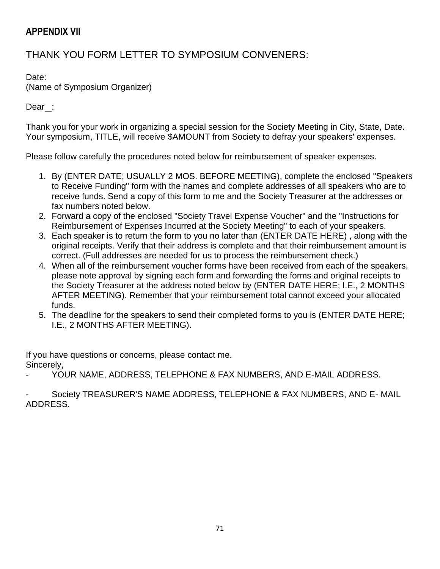## **APPENDIX VII**

# THANK YOU FORM LETTER TO SYMPOSIUM CONVENERS:

Date:

(Name of Symposium Organizer)

Dear :

Thank you for your work in organizing a special session for the Society Meeting in City, State, Date. Your symposium, TITLE, will receive \$AMOUNT from Society to defray your speakers' expenses.

Please follow carefully the procedures noted below for reimbursement of speaker expenses.

- 1. By (ENTER DATE; USUALLY 2 MOS. BEFORE MEETING), complete the enclosed "Speakers to Receive Funding" form with the names and complete addresses of all speakers who are to receive funds. Send a copy of this form to me and the Society Treasurer at the addresses or fax numbers noted below.
- 2. Forward a copy of the enclosed "Society Travel Expense Voucher" and the "Instructions for Reimbursement of Expenses Incurred at the Society Meeting" to each of your speakers.
- 3. Each speaker is to return the form to you no later than (ENTER DATE HERE) , along with the original receipts. Verify that their address is complete and that their reimbursement amount is correct. (Full addresses are needed for us to process the reimbursement check.)
- 4. When all of the reimbursement voucher forms have been received from each of the speakers, please note approval by signing each form and forwarding the forms and original receipts to the Society Treasurer at the address noted below by (ENTER DATE HERE; I.E., 2 MONTHS AFTER MEETING). Remember that your reimbursement total cannot exceed your allocated funds.
- 5. The deadline for the speakers to send their completed forms to you is (ENTER DATE HERE; I.E., 2 MONTHS AFTER MEETING).

If you have questions or concerns, please contact me. Sincerely,

YOUR NAME, ADDRESS, TELEPHONE & FAX NUMBERS, AND E-MAIL ADDRESS.

Society TREASURER'S NAME ADDRESS, TELEPHONE & FAX NUMBERS, AND E- MAIL ADDRESS.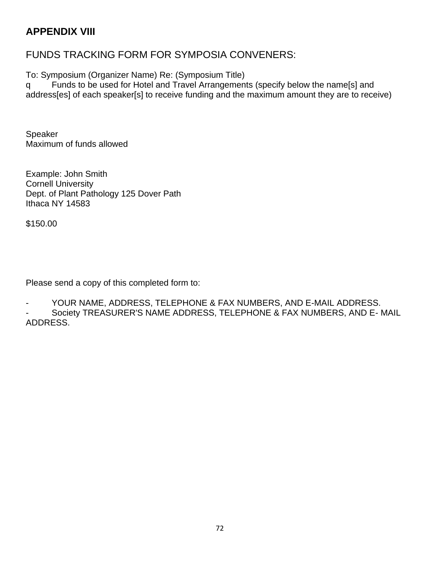## **APPENDIX VIII**

## FUNDS TRACKING FORM FOR SYMPOSIA CONVENERS:

To: Symposium (Organizer Name) Re: (Symposium Title)

q Funds to be used for Hotel and Travel Arrangements (specify below the name[s] and address[es] of each speaker[s] to receive funding and the maximum amount they are to receive)

Speaker Maximum of funds allowed

Example: John Smith Cornell University Dept. of Plant Pathology 125 Dover Path Ithaca NY 14583

\$150.00

Please send a copy of this completed form to:

YOUR NAME, ADDRESS, TELEPHONE & FAX NUMBERS, AND E-MAIL ADDRESS.

Society TREASURER'S NAME ADDRESS, TELEPHONE & FAX NUMBERS, AND E- MAIL ADDRESS.